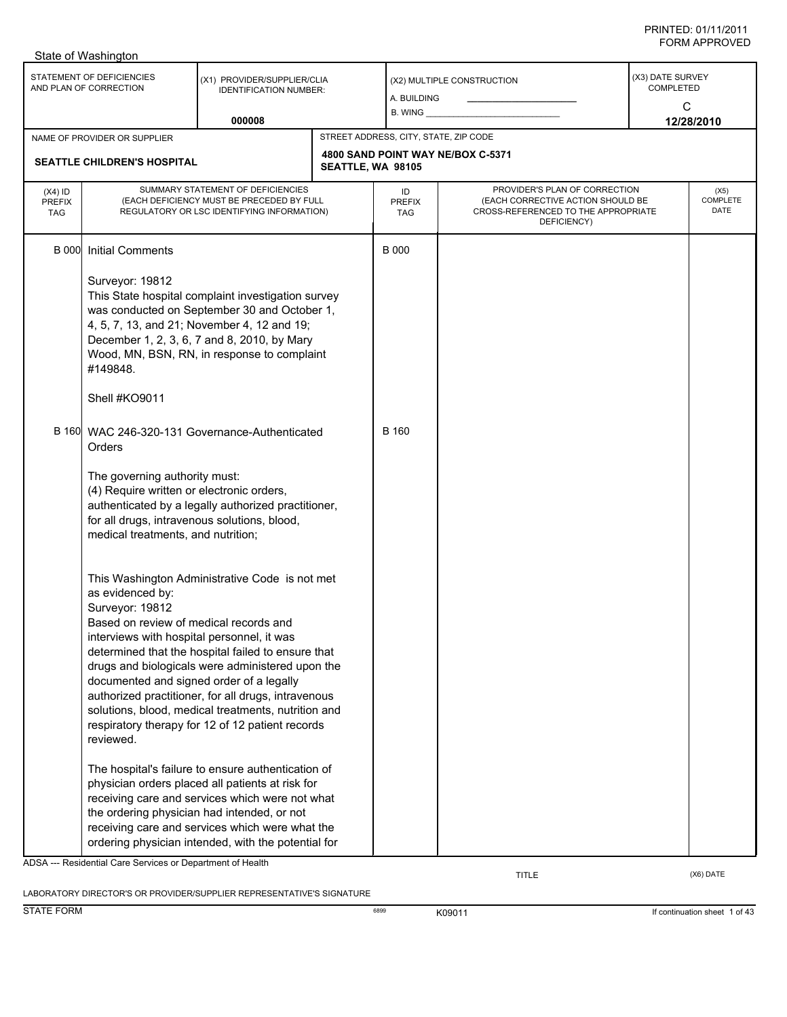|                                          | State of Washington                                                                                                                                                                  |                                                                                                                                                                                                                                                                                                                            |                                       |                                   |                                                                                                                          |                                           |                          |  |
|------------------------------------------|--------------------------------------------------------------------------------------------------------------------------------------------------------------------------------------|----------------------------------------------------------------------------------------------------------------------------------------------------------------------------------------------------------------------------------------------------------------------------------------------------------------------------|---------------------------------------|-----------------------------------|--------------------------------------------------------------------------------------------------------------------------|-------------------------------------------|--------------------------|--|
|                                          | STATEMENT OF DEFICIENCIES<br>AND PLAN OF CORRECTION                                                                                                                                  | (X1) PROVIDER/SUPPLIER/CLIA<br><b>IDENTIFICATION NUMBER:</b>                                                                                                                                                                                                                                                               |                                       | A. BUILDING                       | (X2) MULTIPLE CONSTRUCTION                                                                                               | (X3) DATE SURVEY<br><b>COMPLETED</b><br>C |                          |  |
|                                          |                                                                                                                                                                                      | 000008                                                                                                                                                                                                                                                                                                                     |                                       | B. WING                           |                                                                                                                          |                                           | 12/28/2010               |  |
|                                          | NAME OF PROVIDER OR SUPPLIER                                                                                                                                                         |                                                                                                                                                                                                                                                                                                                            | STREET ADDRESS, CITY, STATE, ZIP CODE |                                   |                                                                                                                          |                                           |                          |  |
|                                          | <b>SEATTLE CHILDREN'S HOSPITAL</b>                                                                                                                                                   |                                                                                                                                                                                                                                                                                                                            | SEATTLE, WA 98105                     |                                   | 4800 SAND POINT WAY NE/BOX C-5371                                                                                        |                                           |                          |  |
| $(X4)$ ID<br><b>PREFIX</b><br><b>TAG</b> |                                                                                                                                                                                      | SUMMARY STATEMENT OF DEFICIENCIES<br>(EACH DEFICIENCY MUST BE PRECEDED BY FULL<br>REGULATORY OR LSC IDENTIFYING INFORMATION)                                                                                                                                                                                               |                                       | ID<br><b>PREFIX</b><br><b>TAG</b> | PROVIDER'S PLAN OF CORRECTION<br>(EACH CORRECTIVE ACTION SHOULD BE<br>CROSS-REFERENCED TO THE APPROPRIATE<br>DEFICIENCY) |                                           | (X5)<br>COMPLETE<br>DATE |  |
| <b>B</b> 000                             | <b>Initial Comments</b><br>Surveyor: 19812<br>#149848.                                                                                                                               | This State hospital complaint investigation survey<br>was conducted on September 30 and October 1,<br>4, 5, 7, 13, and 21; November 4, 12 and 19;<br>December 1, 2, 3, 6, 7 and 8, 2010, by Mary<br>Wood, MN, BSN, RN, in response to complaint                                                                            |                                       | <b>B</b> 000                      |                                                                                                                          |                                           |                          |  |
|                                          | Shell #KO9011                                                                                                                                                                        |                                                                                                                                                                                                                                                                                                                            |                                       |                                   |                                                                                                                          |                                           |                          |  |
|                                          | Orders                                                                                                                                                                               | B 160 WAC 246-320-131 Governance-Authenticated                                                                                                                                                                                                                                                                             |                                       | <b>B</b> 160                      |                                                                                                                          |                                           |                          |  |
|                                          | The governing authority must:<br>(4) Require written or electronic orders,<br>for all drugs, intravenous solutions, blood,<br>medical treatments, and nutrition;                     | authenticated by a legally authorized practitioner,                                                                                                                                                                                                                                                                        |                                       |                                   |                                                                                                                          |                                           |                          |  |
|                                          | as evidenced by:<br>Surveyor: 19812<br>Based on review of medical records and<br>interviews with hospital personnel, it was<br>documented and signed order of a legally<br>reviewed. | This Washington Administrative Code is not met<br>determined that the hospital failed to ensure that<br>drugs and biologicals were administered upon the<br>authorized practitioner, for all drugs, intravenous<br>solutions, blood, medical treatments, nutrition and<br>respiratory therapy for 12 of 12 patient records |                                       |                                   |                                                                                                                          |                                           |                          |  |
|                                          | ADSA --- Residential Care Services or Department of Health                                                                                                                           | The hospital's failure to ensure authentication of<br>physician orders placed all patients at risk for<br>receiving care and services which were not what<br>the ordering physician had intended, or not<br>receiving care and services which were what the<br>ordering physician intended, with the potential for         |                                       |                                   |                                                                                                                          |                                           |                          |  |

LABORATORY DIRECTOR'S OR PROVIDER/SUPPLIER REPRESENTATIVE'S SIGNATURE

TITLE (X6) DATE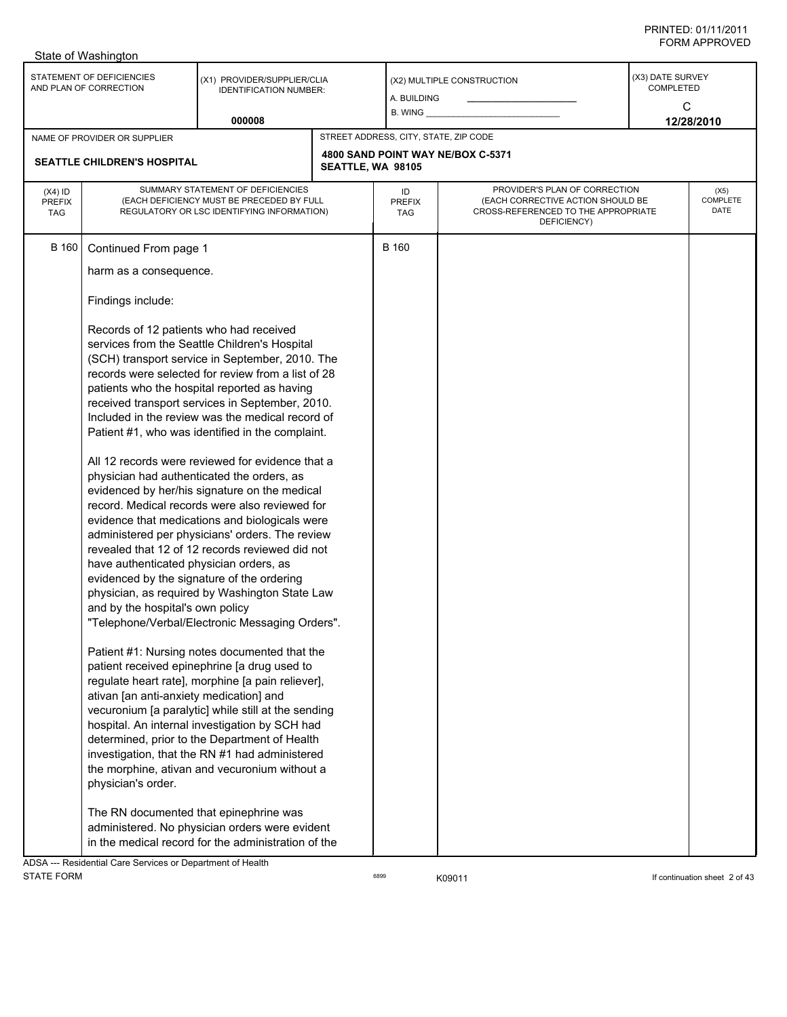|                                          | State of Washington                                                                                                                                                                                                                                                                                                                                                                                   |                                                                                                                                                                                                                                                                                                                                                                                                                                                                                                                                                                                                                                                                                                                                                                                                                                                                                                                                                                                                                                                                                                                                                                                                                                                            |                   |                                       |                                                                                                                          |                                                      |                                 |
|------------------------------------------|-------------------------------------------------------------------------------------------------------------------------------------------------------------------------------------------------------------------------------------------------------------------------------------------------------------------------------------------------------------------------------------------------------|------------------------------------------------------------------------------------------------------------------------------------------------------------------------------------------------------------------------------------------------------------------------------------------------------------------------------------------------------------------------------------------------------------------------------------------------------------------------------------------------------------------------------------------------------------------------------------------------------------------------------------------------------------------------------------------------------------------------------------------------------------------------------------------------------------------------------------------------------------------------------------------------------------------------------------------------------------------------------------------------------------------------------------------------------------------------------------------------------------------------------------------------------------------------------------------------------------------------------------------------------------|-------------------|---------------------------------------|--------------------------------------------------------------------------------------------------------------------------|------------------------------------------------------|---------------------------------|
|                                          | STATEMENT OF DEFICIENCIES<br>AND PLAN OF CORRECTION                                                                                                                                                                                                                                                                                                                                                   | (X1) PROVIDER/SUPPLIER/CLIA<br><b>IDENTIFICATION NUMBER:</b><br>000008                                                                                                                                                                                                                                                                                                                                                                                                                                                                                                                                                                                                                                                                                                                                                                                                                                                                                                                                                                                                                                                                                                                                                                                     |                   | A. BUILDING<br>B. WING                | (X2) MULTIPLE CONSTRUCTION                                                                                               | (X3) DATE SURVEY<br><b>COMPLETED</b><br>$\mathsf{C}$ | 12/28/2010                      |
|                                          | NAME OF PROVIDER OR SUPPLIER                                                                                                                                                                                                                                                                                                                                                                          |                                                                                                                                                                                                                                                                                                                                                                                                                                                                                                                                                                                                                                                                                                                                                                                                                                                                                                                                                                                                                                                                                                                                                                                                                                                            |                   | STREET ADDRESS, CITY, STATE, ZIP CODE |                                                                                                                          |                                                      |                                 |
|                                          | <b>SEATTLE CHILDREN'S HOSPITAL</b>                                                                                                                                                                                                                                                                                                                                                                    |                                                                                                                                                                                                                                                                                                                                                                                                                                                                                                                                                                                                                                                                                                                                                                                                                                                                                                                                                                                                                                                                                                                                                                                                                                                            | SEATTLE, WA 98105 |                                       | 4800 SAND POINT WAY NE/BOX C-5371                                                                                        |                                                      |                                 |
| $(X4)$ ID<br><b>PREFIX</b><br><b>TAG</b> | SUMMARY STATEMENT OF DEFICIENCIES<br>(EACH DEFICIENCY MUST BE PRECEDED BY FULL<br>REGULATORY OR LSC IDENTIFYING INFORMATION)                                                                                                                                                                                                                                                                          |                                                                                                                                                                                                                                                                                                                                                                                                                                                                                                                                                                                                                                                                                                                                                                                                                                                                                                                                                                                                                                                                                                                                                                                                                                                            |                   | ID<br><b>PREFIX</b><br>TAG            | PROVIDER'S PLAN OF CORRECTION<br>(EACH CORRECTIVE ACTION SHOULD BE<br>CROSS-REFERENCED TO THE APPROPRIATE<br>DEFICIENCY) |                                                      | (X5)<br><b>COMPLETE</b><br>DATE |
| <b>B</b> 160                             | Continued From page 1<br>harm as a consequence.<br>Findings include:<br>Records of 12 patients who had received<br>physician had authenticated the orders, as<br>have authenticated physician orders, as<br>evidenced by the signature of the ordering<br>and by the hospital's own policy<br>ativan [an anti-anxiety medication] and<br>physician's order.<br>The RN documented that epinephrine was | services from the Seattle Children's Hospital<br>(SCH) transport service in September, 2010. The<br>records were selected for review from a list of 28<br>patients who the hospital reported as having<br>received transport services in September, 2010.<br>Included in the review was the medical record of<br>Patient #1, who was identified in the complaint.<br>All 12 records were reviewed for evidence that a<br>evidenced by her/his signature on the medical<br>record. Medical records were also reviewed for<br>evidence that medications and biologicals were<br>administered per physicians' orders. The review<br>revealed that 12 of 12 records reviewed did not<br>physician, as required by Washington State Law<br>"Telephone/Verbal/Electronic Messaging Orders".<br>Patient #1: Nursing notes documented that the<br>patient received epinephrine [a drug used to<br>regulate heart rate], morphine [a pain reliever],<br>vecuronium [a paralytic] while still at the sending<br>hospital. An internal investigation by SCH had<br>determined, prior to the Department of Health<br>investigation, that the RN #1 had administered<br>the morphine, ativan and vecuronium without a<br>administered. No physician orders were evident |                   | <b>B</b> 160                          |                                                                                                                          |                                                      |                                 |
|                                          |                                                                                                                                                                                                                                                                                                                                                                                                       | in the medical record for the administration of the                                                                                                                                                                                                                                                                                                                                                                                                                                                                                                                                                                                                                                                                                                                                                                                                                                                                                                                                                                                                                                                                                                                                                                                                        |                   |                                       |                                                                                                                          |                                                      |                                 |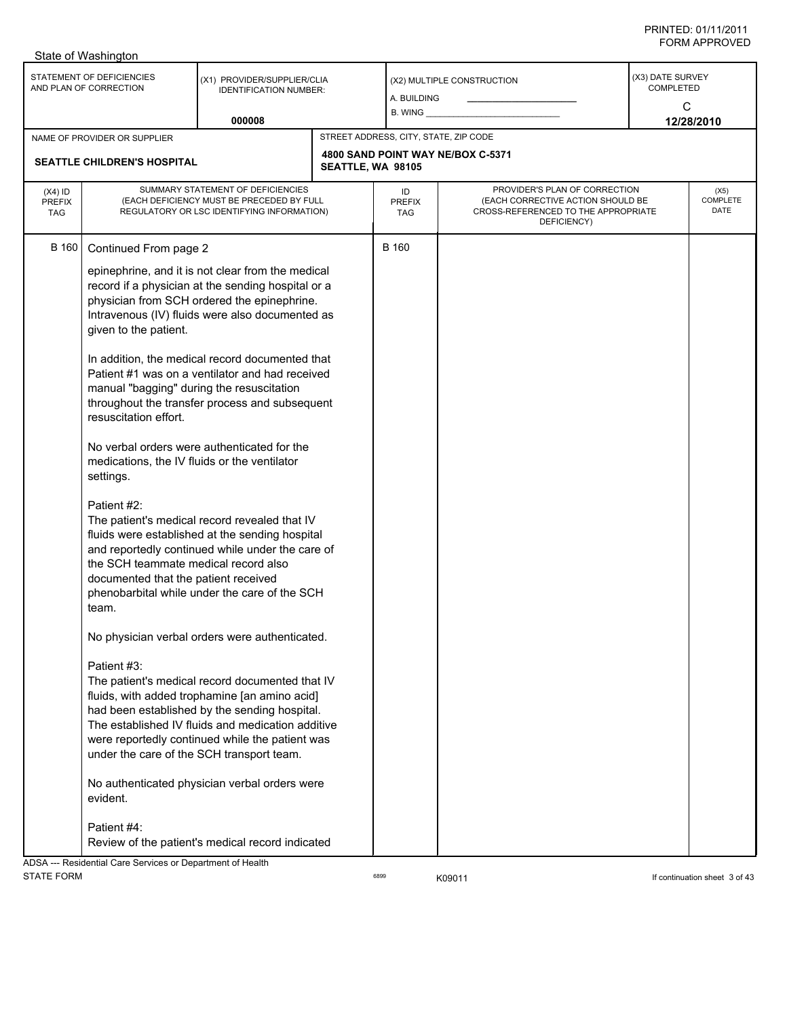|                                          | State of Washington                                                                                                                                                                                                                                                                                                   |                                                                                                                                                      |                   |                                       |                                                                                                                          |                                    |                          |
|------------------------------------------|-----------------------------------------------------------------------------------------------------------------------------------------------------------------------------------------------------------------------------------------------------------------------------------------------------------------------|------------------------------------------------------------------------------------------------------------------------------------------------------|-------------------|---------------------------------------|--------------------------------------------------------------------------------------------------------------------------|------------------------------------|--------------------------|
|                                          | STATEMENT OF DEFICIENCIES<br>AND PLAN OF CORRECTION                                                                                                                                                                                                                                                                   | (X1) PROVIDER/SUPPLIER/CLIA<br><b>IDENTIFICATION NUMBER:</b>                                                                                         |                   | A. BUILDING<br>$B.$ WING $\_\_$       | (X2) MULTIPLE CONSTRUCTION                                                                                               | (X3) DATE SURVEY<br>COMPLETED<br>C |                          |
|                                          |                                                                                                                                                                                                                                                                                                                       | 000008                                                                                                                                               |                   |                                       |                                                                                                                          |                                    | 12/28/2010               |
|                                          | NAME OF PROVIDER OR SUPPLIER                                                                                                                                                                                                                                                                                          |                                                                                                                                                      |                   | STREET ADDRESS, CITY, STATE, ZIP CODE |                                                                                                                          |                                    |                          |
| <b>SEATTLE CHILDREN'S HOSPITAL</b>       |                                                                                                                                                                                                                                                                                                                       |                                                                                                                                                      | SEATTLE, WA 98105 |                                       | 4800 SAND POINT WAY NE/BOX C-5371                                                                                        |                                    |                          |
| $(X4)$ ID<br><b>PREFIX</b><br><b>TAG</b> | SUMMARY STATEMENT OF DEFICIENCIES<br>(EACH DEFICIENCY MUST BE PRECEDED BY FULL<br>REGULATORY OR LSC IDENTIFYING INFORMATION)                                                                                                                                                                                          |                                                                                                                                                      |                   | ID<br><b>PREFIX</b><br>TAG            | PROVIDER'S PLAN OF CORRECTION<br>(EACH CORRECTIVE ACTION SHOULD BE<br>CROSS-REFERENCED TO THE APPROPRIATE<br>DEFICIENCY) |                                    | (X5)<br>COMPLETE<br>DATE |
| <b>B</b> 160                             | Continued From page 2                                                                                                                                                                                                                                                                                                 | epinephrine, and it is not clear from the medical                                                                                                    |                   | <b>B</b> 160                          |                                                                                                                          |                                    |                          |
|                                          | given to the patient.                                                                                                                                                                                                                                                                                                 | record if a physician at the sending hospital or a<br>physician from SCH ordered the epinephrine.<br>Intravenous (IV) fluids were also documented as |                   |                                       |                                                                                                                          |                                    |                          |
|                                          | manual "bagging" during the resuscitation<br>resuscitation effort.                                                                                                                                                                                                                                                    | In addition, the medical record documented that<br>Patient #1 was on a ventilator and had received<br>throughout the transfer process and subsequent |                   |                                       |                                                                                                                          |                                    |                          |
|                                          | medications, the IV fluids or the ventilator<br>settings.                                                                                                                                                                                                                                                             | No verbal orders were authenticated for the                                                                                                          |                   |                                       |                                                                                                                          |                                    |                          |
|                                          | Patient #2:<br>The patient's medical record revealed that IV<br>fluids were established at the sending hospital<br>and reportedly continued while under the care of<br>the SCH teammate medical record also<br>documented that the patient received<br>phenobarbital while under the care of the SCH<br>team.         |                                                                                                                                                      |                   |                                       |                                                                                                                          |                                    |                          |
|                                          |                                                                                                                                                                                                                                                                                                                       | No physician verbal orders were authenticated.                                                                                                       |                   |                                       |                                                                                                                          |                                    |                          |
|                                          | Patient #3:<br>The patient's medical record documented that IV<br>fluids, with added trophamine [an amino acid]<br>had been established by the sending hospital.<br>The established IV fluids and medication additive<br>were reportedly continued while the patient was<br>under the care of the SCH transport team. |                                                                                                                                                      |                   |                                       |                                                                                                                          |                                    |                          |
|                                          | evident.                                                                                                                                                                                                                                                                                                              | No authenticated physician verbal orders were                                                                                                        |                   |                                       |                                                                                                                          |                                    |                          |
|                                          | Patient #4:<br><b>NDSA --- Residential Care Services or Denartment of Health</b>                                                                                                                                                                                                                                      | Review of the patient's medical record indicated                                                                                                     |                   |                                       |                                                                                                                          |                                    |                          |

tial Care Services or Department of Health STATE FORM **EXAMPLE 19** CONTROLLER STATE FORM **If continuation sheet 3 of 43**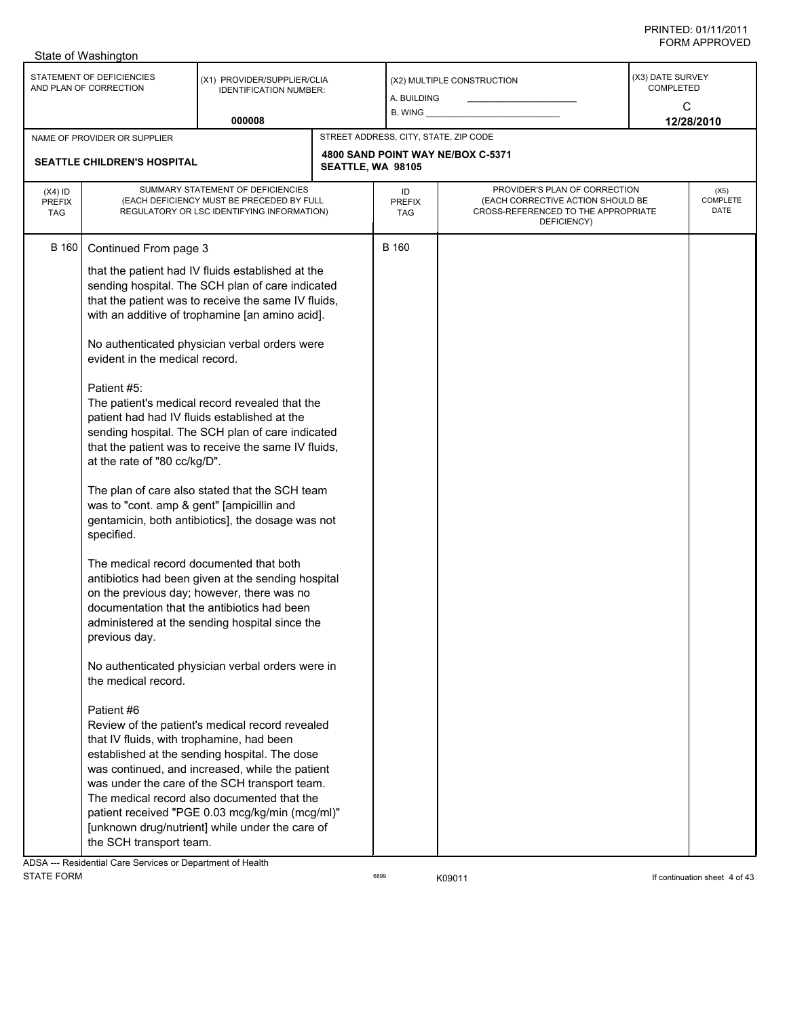|                                          | State of Washington                                                                                                                                                                                                                                                                                                                                             |                                                                                                                                                                                                                                                                                                                                                                                                                                                                                                                                                                                                                                                                                                                                                                                                                                                                                                                                                                                                                                                                                                                                                            |                   |                                       |                                                                                                                          |                                    |                          |
|------------------------------------------|-----------------------------------------------------------------------------------------------------------------------------------------------------------------------------------------------------------------------------------------------------------------------------------------------------------------------------------------------------------------|------------------------------------------------------------------------------------------------------------------------------------------------------------------------------------------------------------------------------------------------------------------------------------------------------------------------------------------------------------------------------------------------------------------------------------------------------------------------------------------------------------------------------------------------------------------------------------------------------------------------------------------------------------------------------------------------------------------------------------------------------------------------------------------------------------------------------------------------------------------------------------------------------------------------------------------------------------------------------------------------------------------------------------------------------------------------------------------------------------------------------------------------------------|-------------------|---------------------------------------|--------------------------------------------------------------------------------------------------------------------------|------------------------------------|--------------------------|
|                                          | STATEMENT OF DEFICIENCIES<br>AND PLAN OF CORRECTION                                                                                                                                                                                                                                                                                                             | (X1) PROVIDER/SUPPLIER/CLIA<br><b>IDENTIFICATION NUMBER:</b>                                                                                                                                                                                                                                                                                                                                                                                                                                                                                                                                                                                                                                                                                                                                                                                                                                                                                                                                                                                                                                                                                               |                   | A. BUILDING<br>B. WING                | (X2) MULTIPLE CONSTRUCTION                                                                                               | (X3) DATE SURVEY<br>COMPLETED<br>C |                          |
|                                          |                                                                                                                                                                                                                                                                                                                                                                 | 000008                                                                                                                                                                                                                                                                                                                                                                                                                                                                                                                                                                                                                                                                                                                                                                                                                                                                                                                                                                                                                                                                                                                                                     |                   |                                       |                                                                                                                          |                                    | 12/28/2010               |
|                                          | NAME OF PROVIDER OR SUPPLIER<br><b>SEATTLE CHILDREN'S HOSPITAL</b>                                                                                                                                                                                                                                                                                              |                                                                                                                                                                                                                                                                                                                                                                                                                                                                                                                                                                                                                                                                                                                                                                                                                                                                                                                                                                                                                                                                                                                                                            | SEATTLE, WA 98105 | STREET ADDRESS, CITY, STATE, ZIP CODE | 4800 SAND POINT WAY NE/BOX C-5371                                                                                        |                                    |                          |
| $(X4)$ ID<br><b>PREFIX</b><br><b>TAG</b> |                                                                                                                                                                                                                                                                                                                                                                 | SUMMARY STATEMENT OF DEFICIENCIES<br>(EACH DEFICIENCY MUST BE PRECEDED BY FULL<br>REGULATORY OR LSC IDENTIFYING INFORMATION)                                                                                                                                                                                                                                                                                                                                                                                                                                                                                                                                                                                                                                                                                                                                                                                                                                                                                                                                                                                                                               |                   |                                       | PROVIDER'S PLAN OF CORRECTION<br>(EACH CORRECTIVE ACTION SHOULD BE<br>CROSS-REFERENCED TO THE APPROPRIATE<br>DEFICIENCY) |                                    | (X5)<br>COMPLETE<br>DATE |
| B 160                                    | Continued From page 3<br>evident in the medical record.<br>Patient #5:<br>patient had had IV fluids established at the<br>at the rate of "80 cc/kg/D".<br>was to "cont. amp & gent" [ampicillin and<br>specified.<br>The medical record documented that both<br>previous day.<br>the medical record.<br>Patient #6<br>that IV fluids, with trophamine, had been | that the patient had IV fluids established at the<br>sending hospital. The SCH plan of care indicated<br>that the patient was to receive the same IV fluids,<br>with an additive of trophamine [an amino acid].<br>No authenticated physician verbal orders were<br>The patient's medical record revealed that the<br>sending hospital. The SCH plan of care indicated<br>that the patient was to receive the same IV fluids,<br>The plan of care also stated that the SCH team<br>gentamicin, both antibiotics], the dosage was not<br>antibiotics had been given at the sending hospital<br>on the previous day; however, there was no<br>documentation that the antibiotics had been<br>administered at the sending hospital since the<br>No authenticated physician verbal orders were in<br>Review of the patient's medical record revealed<br>established at the sending hospital. The dose<br>was continued, and increased, while the patient<br>was under the care of the SCH transport team.<br>The medical record also documented that the<br>patient received "PGE 0.03 mcg/kg/min (mcg/ml)"<br>[unknown drug/nutrient] while under the care of |                   | <b>B</b> 160                          |                                                                                                                          |                                    |                          |
|                                          | the SCH transport team.                                                                                                                                                                                                                                                                                                                                         |                                                                                                                                                                                                                                                                                                                                                                                                                                                                                                                                                                                                                                                                                                                                                                                                                                                                                                                                                                                                                                                                                                                                                            |                   |                                       |                                                                                                                          |                                    |                          |

ADSA --- Residential Care Services or Department of Health STATE FORM **EXAMPLE 19** CONTROLLER STATE FORM **If continuation sheet 4 of 43**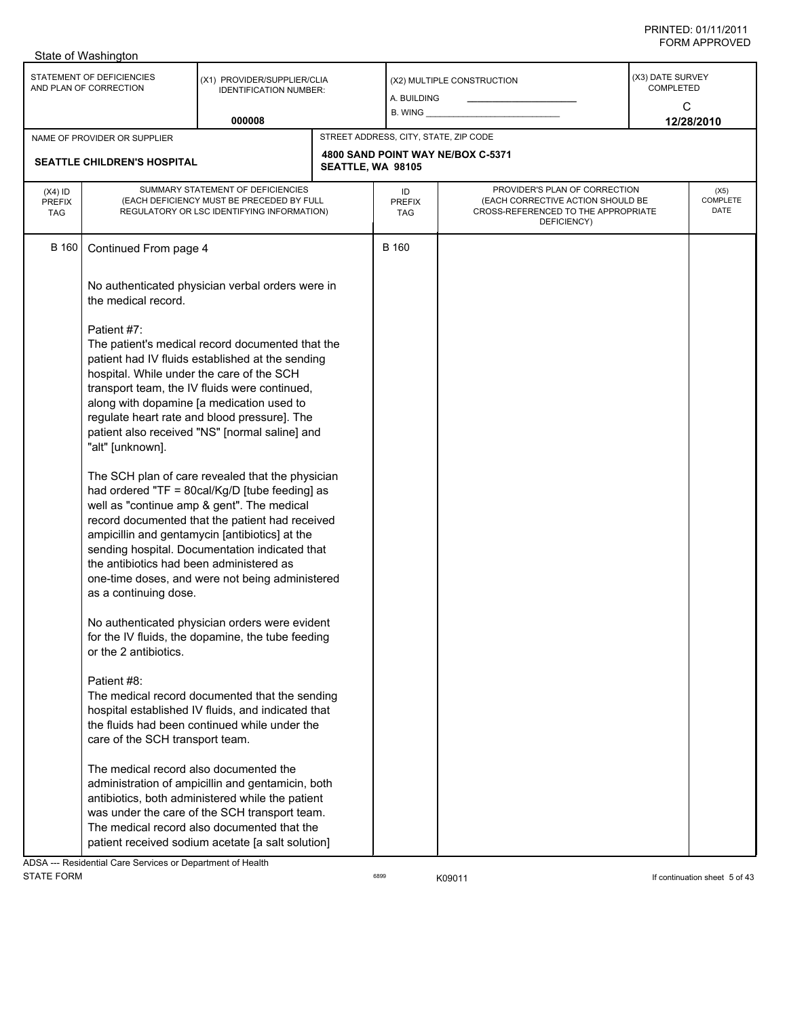|                                   | State of Washington                                                                                                                                                                                                                                                                                                                                                                                                             |                                                                                                     |                   |                                       |                                                                                                                          |                                           |                                 |
|-----------------------------------|---------------------------------------------------------------------------------------------------------------------------------------------------------------------------------------------------------------------------------------------------------------------------------------------------------------------------------------------------------------------------------------------------------------------------------|-----------------------------------------------------------------------------------------------------|-------------------|---------------------------------------|--------------------------------------------------------------------------------------------------------------------------|-------------------------------------------|---------------------------------|
|                                   | STATEMENT OF DEFICIENCIES<br>AND PLAN OF CORRECTION                                                                                                                                                                                                                                                                                                                                                                             | (X1) PROVIDER/SUPPLIER/CLIA<br><b>IDENTIFICATION NUMBER:</b>                                        |                   | A. BUILDING<br>$B.$ WING $\_\_$       | (X2) MULTIPLE CONSTRUCTION                                                                                               | (X3) DATE SURVEY<br><b>COMPLETED</b><br>C |                                 |
|                                   |                                                                                                                                                                                                                                                                                                                                                                                                                                 | 000008                                                                                              |                   |                                       |                                                                                                                          |                                           | 12/28/2010                      |
|                                   | NAME OF PROVIDER OR SUPPLIER                                                                                                                                                                                                                                                                                                                                                                                                    |                                                                                                     |                   | STREET ADDRESS, CITY, STATE, ZIP CODE |                                                                                                                          |                                           |                                 |
| SEATTLE CHILDREN'S HOSPITAL       |                                                                                                                                                                                                                                                                                                                                                                                                                                 |                                                                                                     | SEATTLE, WA 98105 |                                       | 4800 SAND POINT WAY NE/BOX C-5371                                                                                        |                                           |                                 |
| $(X4)$ ID<br>PREFIX<br><b>TAG</b> | SUMMARY STATEMENT OF DEFICIENCIES<br>(EACH DEFICIENCY MUST BE PRECEDED BY FULL<br>REGULATORY OR LSC IDENTIFYING INFORMATION)                                                                                                                                                                                                                                                                                                    |                                                                                                     |                   | ID<br><b>PREFIX</b><br><b>TAG</b>     | PROVIDER'S PLAN OF CORRECTION<br>(EACH CORRECTIVE ACTION SHOULD BE<br>CROSS-REFERENCED TO THE APPROPRIATE<br>DEFICIENCY) |                                           | (X5)<br><b>COMPLETE</b><br>DATE |
| <b>B</b> 160                      | Continued From page 4                                                                                                                                                                                                                                                                                                                                                                                                           |                                                                                                     |                   | <b>B</b> 160                          |                                                                                                                          |                                           |                                 |
|                                   | the medical record.                                                                                                                                                                                                                                                                                                                                                                                                             | No authenticated physician verbal orders were in                                                    |                   |                                       |                                                                                                                          |                                           |                                 |
|                                   | Patient #7:<br>The patient's medical record documented that the<br>patient had IV fluids established at the sending<br>hospital. While under the care of the SCH<br>transport team, the IV fluids were continued,<br>along with dopamine [a medication used to<br>regulate heart rate and blood pressure]. The<br>patient also received "NS" [normal saline] and<br>"alt" [unknown].                                            |                                                                                                     |                   |                                       |                                                                                                                          |                                           |                                 |
|                                   | The SCH plan of care revealed that the physician<br>had ordered "TF = 80cal/Kg/D [tube feeding] as<br>well as "continue amp & gent". The medical<br>record documented that the patient had received<br>ampicillin and gentamycin [antibiotics] at the<br>sending hospital. Documentation indicated that<br>the antibiotics had been administered as<br>one-time doses, and were not being administered<br>as a continuing dose. |                                                                                                     |                   |                                       |                                                                                                                          |                                           |                                 |
|                                   | or the 2 antibiotics.                                                                                                                                                                                                                                                                                                                                                                                                           | No authenticated physician orders were evident<br>for the IV fluids, the dopamine, the tube feeding |                   |                                       |                                                                                                                          |                                           |                                 |
|                                   | Patient #8:<br>The medical record documented that the sending<br>hospital established IV fluids, and indicated that<br>the fluids had been continued while under the<br>care of the SCH transport team.                                                                                                                                                                                                                         |                                                                                                     |                   |                                       |                                                                                                                          |                                           |                                 |
|                                   | The medical record also documented the<br>administration of ampicillin and gentamicin, both<br>antibiotics, both administered while the patient<br>was under the care of the SCH transport team.<br>The medical record also documented that the<br>patient received sodium acetate [a salt solution]                                                                                                                            |                                                                                                     |                   |                                       |                                                                                                                          |                                           |                                 |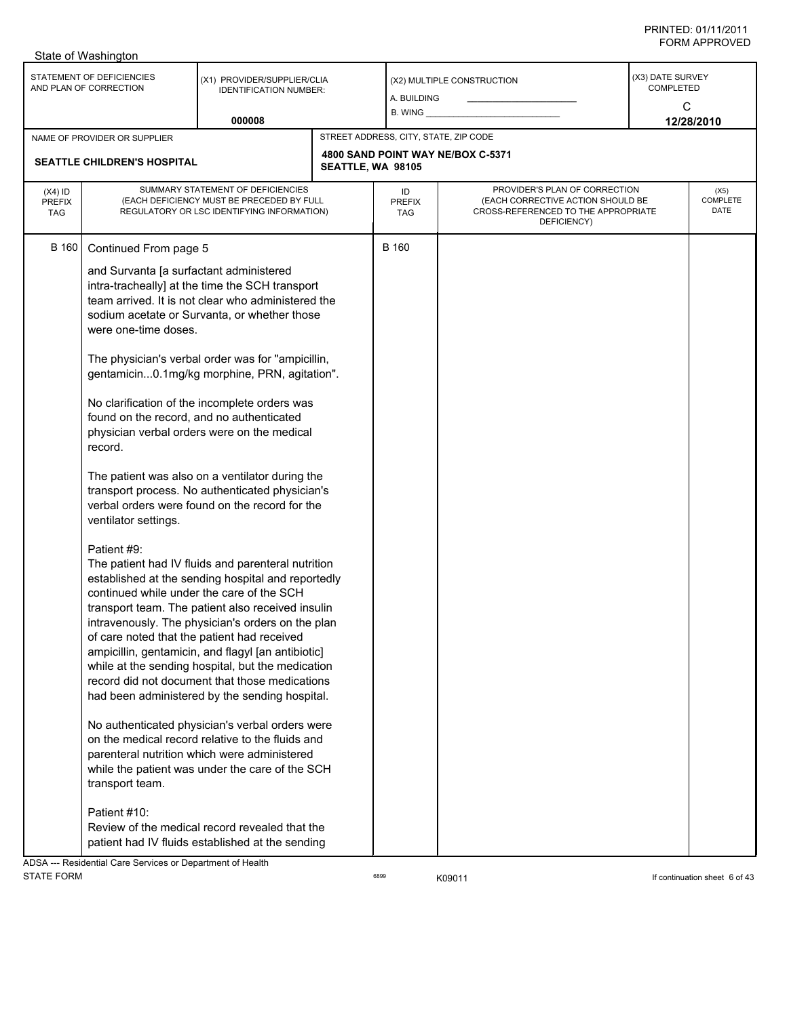|                                          | State of Washington                                                                                                                                                                                                                                                                                                    |                                                                                                                                                                                                                                                                                                                                                                                                                                                                                                                                                                                                                                                                                                                                                                                                                                                                                                                                                                                                                                                                                                                                                                                                                                                                          |                   |                                       |                                                                                                                          |                                    |                          |
|------------------------------------------|------------------------------------------------------------------------------------------------------------------------------------------------------------------------------------------------------------------------------------------------------------------------------------------------------------------------|--------------------------------------------------------------------------------------------------------------------------------------------------------------------------------------------------------------------------------------------------------------------------------------------------------------------------------------------------------------------------------------------------------------------------------------------------------------------------------------------------------------------------------------------------------------------------------------------------------------------------------------------------------------------------------------------------------------------------------------------------------------------------------------------------------------------------------------------------------------------------------------------------------------------------------------------------------------------------------------------------------------------------------------------------------------------------------------------------------------------------------------------------------------------------------------------------------------------------------------------------------------------------|-------------------|---------------------------------------|--------------------------------------------------------------------------------------------------------------------------|------------------------------------|--------------------------|
|                                          | STATEMENT OF DEFICIENCIES<br>AND PLAN OF CORRECTION                                                                                                                                                                                                                                                                    | (X1) PROVIDER/SUPPLIER/CLIA<br><b>IDENTIFICATION NUMBER:</b><br>000008                                                                                                                                                                                                                                                                                                                                                                                                                                                                                                                                                                                                                                                                                                                                                                                                                                                                                                                                                                                                                                                                                                                                                                                                   |                   | A. BUILDING<br>B. WING                | (X2) MULTIPLE CONSTRUCTION                                                                                               | (X3) DATE SURVEY<br>COMPLETED<br>C | 12/28/2010               |
|                                          |                                                                                                                                                                                                                                                                                                                        |                                                                                                                                                                                                                                                                                                                                                                                                                                                                                                                                                                                                                                                                                                                                                                                                                                                                                                                                                                                                                                                                                                                                                                                                                                                                          |                   | STREET ADDRESS, CITY, STATE, ZIP CODE |                                                                                                                          |                                    |                          |
|                                          | NAME OF PROVIDER OR SUPPLIER<br><b>SEATTLE CHILDREN'S HOSPITAL</b>                                                                                                                                                                                                                                                     |                                                                                                                                                                                                                                                                                                                                                                                                                                                                                                                                                                                                                                                                                                                                                                                                                                                                                                                                                                                                                                                                                                                                                                                                                                                                          | SEATTLE, WA 98105 |                                       | 4800 SAND POINT WAY NE/BOX C-5371                                                                                        |                                    |                          |
| $(X4)$ ID<br><b>PREFIX</b><br><b>TAG</b> | SUMMARY STATEMENT OF DEFICIENCIES<br>(EACH DEFICIENCY MUST BE PRECEDED BY FULL<br>REGULATORY OR LSC IDENTIFYING INFORMATION)                                                                                                                                                                                           |                                                                                                                                                                                                                                                                                                                                                                                                                                                                                                                                                                                                                                                                                                                                                                                                                                                                                                                                                                                                                                                                                                                                                                                                                                                                          |                   | ID<br><b>PREFIX</b><br>TAG            | PROVIDER'S PLAN OF CORRECTION<br>(EACH CORRECTIVE ACTION SHOULD BE<br>CROSS-REFERENCED TO THE APPROPRIATE<br>DEFICIENCY) |                                    | (X5)<br>COMPLETE<br>DATE |
| B 160                                    | Continued From page 5<br>and Survanta [a surfactant administered<br>were one-time doses.<br>found on the record, and no authenticated<br>record.<br>ventilator settings.<br>Patient #9:<br>continued while under the care of the SCH<br>of care noted that the patient had received<br>transport team.<br>Patient #10: | intra-tracheally] at the time the SCH transport<br>team arrived. It is not clear who administered the<br>sodium acetate or Survanta, or whether those<br>The physician's verbal order was for "ampicillin,<br>gentamicin0.1mg/kg morphine, PRN, agitation".<br>No clarification of the incomplete orders was<br>physician verbal orders were on the medical<br>The patient was also on a ventilator during the<br>transport process. No authenticated physician's<br>verbal orders were found on the record for the<br>The patient had IV fluids and parenteral nutrition<br>established at the sending hospital and reportedly<br>transport team. The patient also received insulin<br>intravenously. The physician's orders on the plan<br>ampicillin, gentamicin, and flagyl [an antibiotic]<br>while at the sending hospital, but the medication<br>record did not document that those medications<br>had been administered by the sending hospital.<br>No authenticated physician's verbal orders were<br>on the medical record relative to the fluids and<br>parenteral nutrition which were administered<br>while the patient was under the care of the SCH<br>Review of the medical record revealed that the<br>patient had IV fluids established at the sending |                   | <b>B</b> 160                          |                                                                                                                          |                                    |                          |
| <b>DCA</b>                               | Pecidential Care Senvices or Department of Health                                                                                                                                                                                                                                                                      |                                                                                                                                                                                                                                                                                                                                                                                                                                                                                                                                                                                                                                                                                                                                                                                                                                                                                                                                                                                                                                                                                                                                                                                                                                                                          |                   |                                       |                                                                                                                          |                                    |                          |

ADSA --- Residential Care Services or Department of Health STATE FORM **EXAMPLE 19** CONTROLLER STATE FORM **If continuation sheet 6 of 43**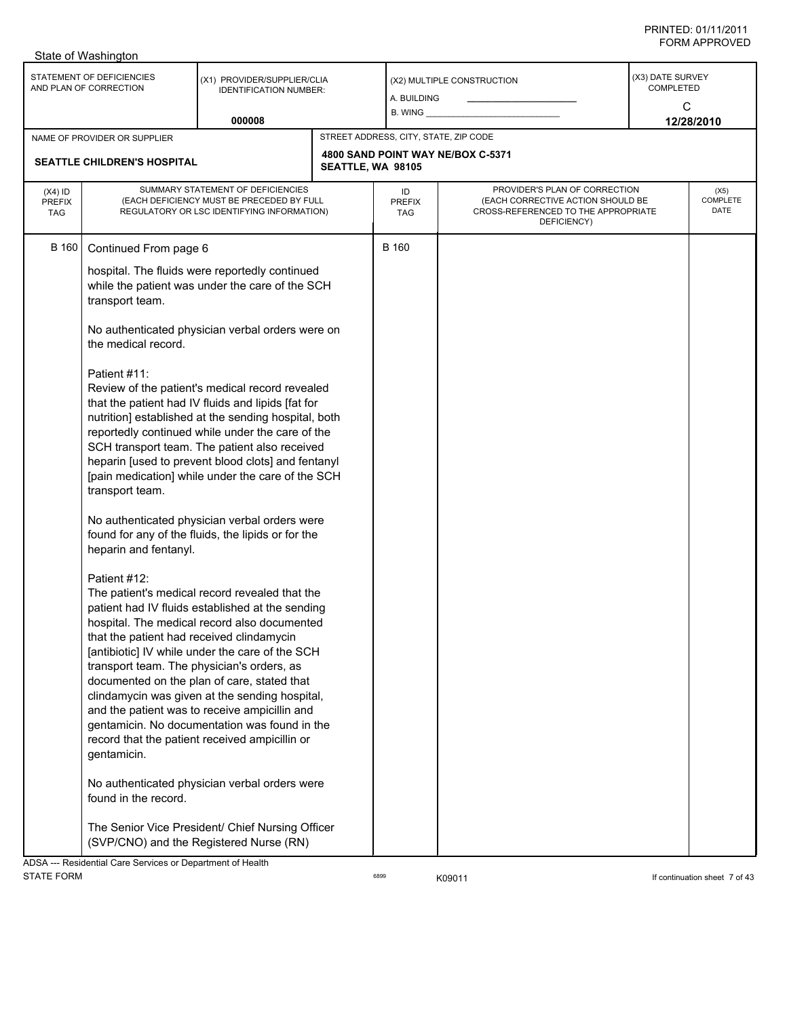|                                          | State of Washington                                                                                                                                                                                                                                                           |                                                                                                                                                                                                                                                                                                                                                                                                                                                                                                                                                                                                                                                                                                                                                                                                                                                                                                                                                                                                                                                                                                                                                              |                   |                                       |                                                                                                                          |                                      |                          |
|------------------------------------------|-------------------------------------------------------------------------------------------------------------------------------------------------------------------------------------------------------------------------------------------------------------------------------|--------------------------------------------------------------------------------------------------------------------------------------------------------------------------------------------------------------------------------------------------------------------------------------------------------------------------------------------------------------------------------------------------------------------------------------------------------------------------------------------------------------------------------------------------------------------------------------------------------------------------------------------------------------------------------------------------------------------------------------------------------------------------------------------------------------------------------------------------------------------------------------------------------------------------------------------------------------------------------------------------------------------------------------------------------------------------------------------------------------------------------------------------------------|-------------------|---------------------------------------|--------------------------------------------------------------------------------------------------------------------------|--------------------------------------|--------------------------|
|                                          | STATEMENT OF DEFICIENCIES<br>AND PLAN OF CORRECTION                                                                                                                                                                                                                           | (X1) PROVIDER/SUPPLIER/CLIA<br><b>IDENTIFICATION NUMBER:</b>                                                                                                                                                                                                                                                                                                                                                                                                                                                                                                                                                                                                                                                                                                                                                                                                                                                                                                                                                                                                                                                                                                 |                   | A. BUILDING<br>B. WING _              | (X2) MULTIPLE CONSTRUCTION                                                                                               | (X3) DATE SURVEY<br><b>COMPLETED</b> | C                        |
|                                          |                                                                                                                                                                                                                                                                               | 000008                                                                                                                                                                                                                                                                                                                                                                                                                                                                                                                                                                                                                                                                                                                                                                                                                                                                                                                                                                                                                                                                                                                                                       |                   |                                       |                                                                                                                          |                                      | 12/28/2010               |
|                                          | NAME OF PROVIDER OR SUPPLIER                                                                                                                                                                                                                                                  |                                                                                                                                                                                                                                                                                                                                                                                                                                                                                                                                                                                                                                                                                                                                                                                                                                                                                                                                                                                                                                                                                                                                                              |                   | STREET ADDRESS, CITY, STATE, ZIP CODE |                                                                                                                          |                                      |                          |
|                                          | SEATTLE CHILDREN'S HOSPITAL                                                                                                                                                                                                                                                   |                                                                                                                                                                                                                                                                                                                                                                                                                                                                                                                                                                                                                                                                                                                                                                                                                                                                                                                                                                                                                                                                                                                                                              | SEATTLE, WA 98105 |                                       | 4800 SAND POINT WAY NE/BOX C-5371                                                                                        |                                      |                          |
| $(X4)$ ID<br><b>PREFIX</b><br><b>TAG</b> | SUMMARY STATEMENT OF DEFICIENCIES<br>(EACH DEFICIENCY MUST BE PRECEDED BY FULL<br>REGULATORY OR LSC IDENTIFYING INFORMATION)                                                                                                                                                  |                                                                                                                                                                                                                                                                                                                                                                                                                                                                                                                                                                                                                                                                                                                                                                                                                                                                                                                                                                                                                                                                                                                                                              |                   | ID<br><b>PREFIX</b><br>TAG            | PROVIDER'S PLAN OF CORRECTION<br>(EACH CORRECTIVE ACTION SHOULD BE<br>CROSS-REFERENCED TO THE APPROPRIATE<br>DEFICIENCY) |                                      | (X5)<br>COMPLETE<br>DATE |
| <b>B</b> 160                             | Continued From page 6<br>transport team.<br>the medical record.<br>Patient #11:<br>transport team.<br>heparin and fentanyl.<br>Patient #12:<br>that the patient had received clindamycin<br>transport team. The physician's orders, as<br>gentamicin.<br>found in the record. | hospital. The fluids were reportedly continued<br>while the patient was under the care of the SCH<br>No authenticated physician verbal orders were on<br>Review of the patient's medical record revealed<br>that the patient had IV fluids and lipids [fat for<br>nutrition] established at the sending hospital, both<br>reportedly continued while under the care of the<br>SCH transport team. The patient also received<br>heparin [used to prevent blood clots] and fentanyl<br>[pain medication] while under the care of the SCH<br>No authenticated physician verbal orders were<br>found for any of the fluids, the lipids or for the<br>The patient's medical record revealed that the<br>patient had IV fluids established at the sending<br>hospital. The medical record also documented<br>[antibiotic] IV while under the care of the SCH<br>documented on the plan of care, stated that<br>clindamycin was given at the sending hospital,<br>and the patient was to receive ampicillin and<br>gentamicin. No documentation was found in the<br>record that the patient received ampicillin or<br>No authenticated physician verbal orders were |                   | B 160                                 |                                                                                                                          |                                      |                          |
|                                          | ADSA --- Residential Care Services or Department of Health                                                                                                                                                                                                                    | The Senior Vice President/ Chief Nursing Officer<br>(SVP/CNO) and the Registered Nurse (RN)                                                                                                                                                                                                                                                                                                                                                                                                                                                                                                                                                                                                                                                                                                                                                                                                                                                                                                                                                                                                                                                                  |                   |                                       |                                                                                                                          |                                      |                          |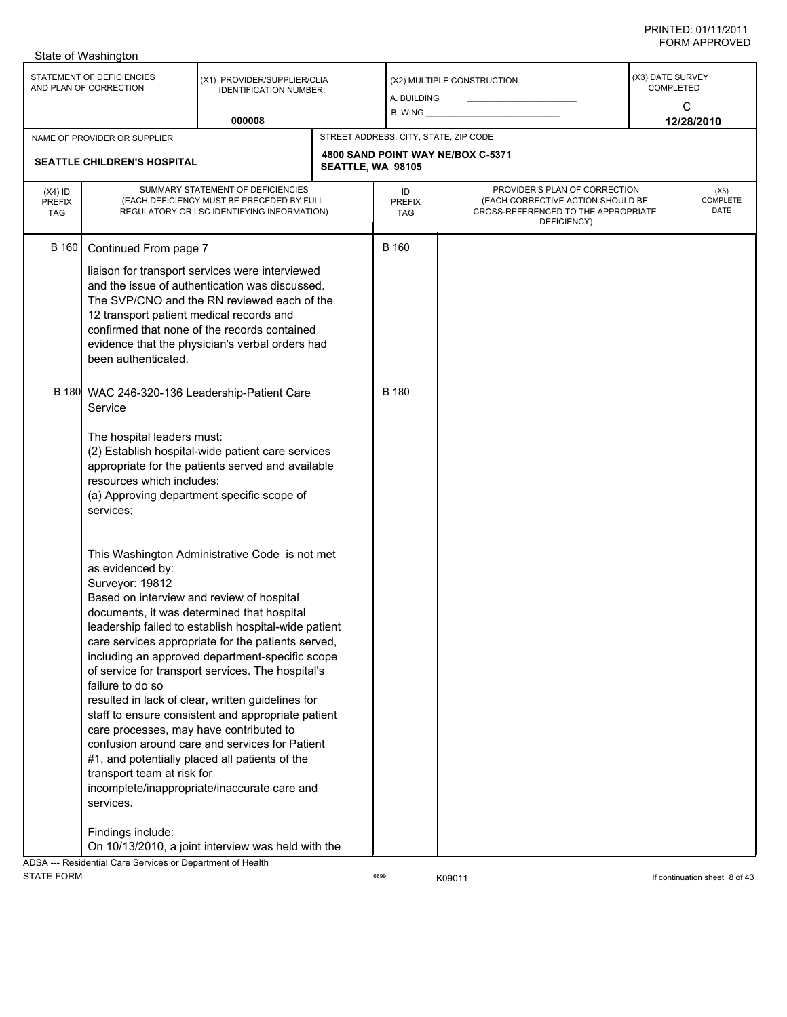| STATEMENT OF DEFICIENCIES<br>(X3) DATE SURVEY<br>(X1) PROVIDER/SUPPLIER/CLIA<br>(X2) MULTIPLE CONSTRUCTION<br>AND PLAN OF CORRECTION<br><b>COMPLETED</b><br><b>IDENTIFICATION NUMBER:</b><br>A. BUILDING<br>C<br>$B.$ WING $\_\_$<br>000008<br>12/28/2010<br>STREET ADDRESS, CITY, STATE, ZIP CODE<br>NAME OF PROVIDER OR SUPPLIER<br>4800 SAND POINT WAY NE/BOX C-5371<br><b>SEATTLE CHILDREN'S HOSPITAL</b><br>SEATTLE, WA 98105<br>SUMMARY STATEMENT OF DEFICIENCIES<br>PROVIDER'S PLAN OF CORRECTION<br>$(X4)$ ID<br>ID<br>(X5)<br>COMPLETE<br>(EACH DEFICIENCY MUST BE PRECEDED BY FULL<br>(EACH CORRECTIVE ACTION SHOULD BE<br><b>PREFIX</b><br><b>PREFIX</b><br>DATE<br>CROSS-REFERENCED TO THE APPROPRIATE<br>REGULATORY OR LSC IDENTIFYING INFORMATION)<br><b>TAG</b><br>TAG<br>DEFICIENCY)<br><b>B</b> 160<br><b>B</b> 160<br>Continued From page 7<br>liaison for transport services were interviewed<br>and the issue of authentication was discussed.<br>The SVP/CNO and the RN reviewed each of the<br>12 transport patient medical records and<br>confirmed that none of the records contained<br>evidence that the physician's verbal orders had<br>been authenticated.<br>B 180 WAC 246-320-136 Leadership-Patient Care<br><b>B</b> 180<br>Service<br>The hospital leaders must:<br>(2) Establish hospital-wide patient care services<br>appropriate for the patients served and available<br>resources which includes:<br>(a) Approving department specific scope of<br>services;<br>This Washington Administrative Code is not met<br>as evidenced by:<br>Surveyor: 19812<br>Based on interview and review of hospital<br>documents, it was determined that hospital<br>leadership failed to establish hospital-wide patient<br>care services appropriate for the patients served,<br>including an approved department-specific scope<br>of service for transport services. The hospital's<br>failure to do so<br>resulted in lack of clear, written guidelines for<br>staff to ensure consistent and appropriate patient<br>care processes, may have contributed to<br>confusion around care and services for Patient<br>#1, and potentially placed all patients of the<br>transport team at risk for<br>incomplete/inappropriate/inaccurate care and<br>services.<br>Findings include:<br>On 10/13/2010, a joint interview was held with the | State of Washington                                        |  |  |  |  |
|-------------------------------------------------------------------------------------------------------------------------------------------------------------------------------------------------------------------------------------------------------------------------------------------------------------------------------------------------------------------------------------------------------------------------------------------------------------------------------------------------------------------------------------------------------------------------------------------------------------------------------------------------------------------------------------------------------------------------------------------------------------------------------------------------------------------------------------------------------------------------------------------------------------------------------------------------------------------------------------------------------------------------------------------------------------------------------------------------------------------------------------------------------------------------------------------------------------------------------------------------------------------------------------------------------------------------------------------------------------------------------------------------------------------------------------------------------------------------------------------------------------------------------------------------------------------------------------------------------------------------------------------------------------------------------------------------------------------------------------------------------------------------------------------------------------------------------------------------------------------------------------------------------------------------------------------------------------------------------------------------------------------------------------------------------------------------------------------------------------------------------------------------------------------------------------------------------------------------------------------------------------------------------------------------------------------------------------------------------------------|------------------------------------------------------------|--|--|--|--|
|                                                                                                                                                                                                                                                                                                                                                                                                                                                                                                                                                                                                                                                                                                                                                                                                                                                                                                                                                                                                                                                                                                                                                                                                                                                                                                                                                                                                                                                                                                                                                                                                                                                                                                                                                                                                                                                                                                                                                                                                                                                                                                                                                                                                                                                                                                                                                                   |                                                            |  |  |  |  |
|                                                                                                                                                                                                                                                                                                                                                                                                                                                                                                                                                                                                                                                                                                                                                                                                                                                                                                                                                                                                                                                                                                                                                                                                                                                                                                                                                                                                                                                                                                                                                                                                                                                                                                                                                                                                                                                                                                                                                                                                                                                                                                                                                                                                                                                                                                                                                                   |                                                            |  |  |  |  |
|                                                                                                                                                                                                                                                                                                                                                                                                                                                                                                                                                                                                                                                                                                                                                                                                                                                                                                                                                                                                                                                                                                                                                                                                                                                                                                                                                                                                                                                                                                                                                                                                                                                                                                                                                                                                                                                                                                                                                                                                                                                                                                                                                                                                                                                                                                                                                                   |                                                            |  |  |  |  |
|                                                                                                                                                                                                                                                                                                                                                                                                                                                                                                                                                                                                                                                                                                                                                                                                                                                                                                                                                                                                                                                                                                                                                                                                                                                                                                                                                                                                                                                                                                                                                                                                                                                                                                                                                                                                                                                                                                                                                                                                                                                                                                                                                                                                                                                                                                                                                                   |                                                            |  |  |  |  |
|                                                                                                                                                                                                                                                                                                                                                                                                                                                                                                                                                                                                                                                                                                                                                                                                                                                                                                                                                                                                                                                                                                                                                                                                                                                                                                                                                                                                                                                                                                                                                                                                                                                                                                                                                                                                                                                                                                                                                                                                                                                                                                                                                                                                                                                                                                                                                                   |                                                            |  |  |  |  |
|                                                                                                                                                                                                                                                                                                                                                                                                                                                                                                                                                                                                                                                                                                                                                                                                                                                                                                                                                                                                                                                                                                                                                                                                                                                                                                                                                                                                                                                                                                                                                                                                                                                                                                                                                                                                                                                                                                                                                                                                                                                                                                                                                                                                                                                                                                                                                                   |                                                            |  |  |  |  |
|                                                                                                                                                                                                                                                                                                                                                                                                                                                                                                                                                                                                                                                                                                                                                                                                                                                                                                                                                                                                                                                                                                                                                                                                                                                                                                                                                                                                                                                                                                                                                                                                                                                                                                                                                                                                                                                                                                                                                                                                                                                                                                                                                                                                                                                                                                                                                                   | ADSA --- Residential Care Services or Department of Health |  |  |  |  |

STATE FORM **EXAMPLE 19** CONTROLLER STATE FORM **If continuation sheet 8 of 43**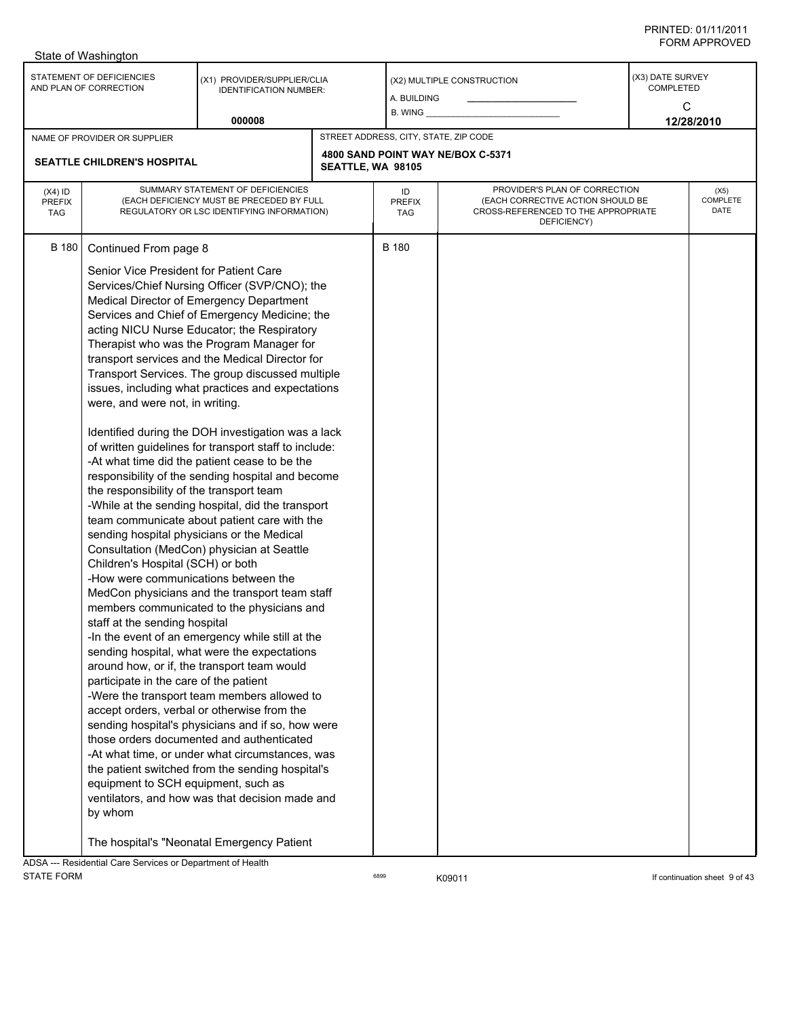|                                          | State of Washington                                                                                                                                                                                                                                                                                                                                                                                    |                                                                                                                                                                                                                                                                                                                                                                                                                                                                                                                                                                                                                                                                                                                                                                                                                                                                                                                                                                                                                                                                                                                                                                                                                                                                                                                                                                                         |                   |                                       |                                                                                                                          |                                           |                          |
|------------------------------------------|--------------------------------------------------------------------------------------------------------------------------------------------------------------------------------------------------------------------------------------------------------------------------------------------------------------------------------------------------------------------------------------------------------|-----------------------------------------------------------------------------------------------------------------------------------------------------------------------------------------------------------------------------------------------------------------------------------------------------------------------------------------------------------------------------------------------------------------------------------------------------------------------------------------------------------------------------------------------------------------------------------------------------------------------------------------------------------------------------------------------------------------------------------------------------------------------------------------------------------------------------------------------------------------------------------------------------------------------------------------------------------------------------------------------------------------------------------------------------------------------------------------------------------------------------------------------------------------------------------------------------------------------------------------------------------------------------------------------------------------------------------------------------------------------------------------|-------------------|---------------------------------------|--------------------------------------------------------------------------------------------------------------------------|-------------------------------------------|--------------------------|
|                                          | STATEMENT OF DEFICIENCIES<br>AND PLAN OF CORRECTION                                                                                                                                                                                                                                                                                                                                                    | (X1) PROVIDER/SUPPLIER/CLIA<br><b>IDENTIFICATION NUMBER:</b>                                                                                                                                                                                                                                                                                                                                                                                                                                                                                                                                                                                                                                                                                                                                                                                                                                                                                                                                                                                                                                                                                                                                                                                                                                                                                                                            |                   | A. BUILDING<br>B. WING                | (X2) MULTIPLE CONSTRUCTION                                                                                               | (X3) DATE SURVEY<br><b>COMPLETED</b><br>C |                          |
|                                          |                                                                                                                                                                                                                                                                                                                                                                                                        | 000008                                                                                                                                                                                                                                                                                                                                                                                                                                                                                                                                                                                                                                                                                                                                                                                                                                                                                                                                                                                                                                                                                                                                                                                                                                                                                                                                                                                  |                   |                                       |                                                                                                                          |                                           | 12/28/2010               |
|                                          | NAME OF PROVIDER OR SUPPLIER                                                                                                                                                                                                                                                                                                                                                                           |                                                                                                                                                                                                                                                                                                                                                                                                                                                                                                                                                                                                                                                                                                                                                                                                                                                                                                                                                                                                                                                                                                                                                                                                                                                                                                                                                                                         |                   | STREET ADDRESS, CITY, STATE, ZIP CODE |                                                                                                                          |                                           |                          |
|                                          | SEATTLE CHILDREN'S HOSPITAL                                                                                                                                                                                                                                                                                                                                                                            |                                                                                                                                                                                                                                                                                                                                                                                                                                                                                                                                                                                                                                                                                                                                                                                                                                                                                                                                                                                                                                                                                                                                                                                                                                                                                                                                                                                         | SEATTLE, WA 98105 |                                       | 4800 SAND POINT WAY NE/BOX C-5371                                                                                        |                                           |                          |
| $(X4)$ ID<br><b>PREFIX</b><br><b>TAG</b> | SUMMARY STATEMENT OF DEFICIENCIES<br>(EACH DEFICIENCY MUST BE PRECEDED BY FULL<br>REGULATORY OR LSC IDENTIFYING INFORMATION)                                                                                                                                                                                                                                                                           |                                                                                                                                                                                                                                                                                                                                                                                                                                                                                                                                                                                                                                                                                                                                                                                                                                                                                                                                                                                                                                                                                                                                                                                                                                                                                                                                                                                         |                   | ID<br><b>PREFIX</b><br>TAG            | PROVIDER'S PLAN OF CORRECTION<br>(EACH CORRECTIVE ACTION SHOULD BE<br>CROSS-REFERENCED TO THE APPROPRIATE<br>DEFICIENCY) |                                           | (X5)<br>COMPLETE<br>DATE |
| <b>B</b> 180                             | Continued From page 8<br>Senior Vice President for Patient Care<br>were, and were not, in writing.<br>the responsibility of the transport team<br>sending hospital physicians or the Medical<br>Children's Hospital (SCH) or both<br>-How were communications between the<br>staff at the sending hospital<br>participate in the care of the patient<br>equipment to SCH equipment, such as<br>by whom | Services/Chief Nursing Officer (SVP/CNO); the<br>Medical Director of Emergency Department<br>Services and Chief of Emergency Medicine; the<br>acting NICU Nurse Educator; the Respiratory<br>Therapist who was the Program Manager for<br>transport services and the Medical Director for<br>Transport Services. The group discussed multiple<br>issues, including what practices and expectations<br>Identified during the DOH investigation was a lack<br>of written guidelines for transport staff to include:<br>-At what time did the patient cease to be the<br>responsibility of the sending hospital and become<br>-While at the sending hospital, did the transport<br>team communicate about patient care with the<br>Consultation (MedCon) physician at Seattle<br>MedCon physicians and the transport team staff<br>members communicated to the physicians and<br>-In the event of an emergency while still at the<br>sending hospital, what were the expectations<br>around how, or if, the transport team would<br>-Were the transport team members allowed to<br>accept orders, verbal or otherwise from the<br>sending hospital's physicians and if so, how were<br>those orders documented and authenticated<br>-At what time, or under what circumstances, was<br>the patient switched from the sending hospital's<br>ventilators, and how was that decision made and |                   | <b>B</b> 180                          |                                                                                                                          |                                           |                          |
|                                          | ADSA  Residential Care Services or Department of Health                                                                                                                                                                                                                                                                                                                                                | The hospital's "Neonatal Emergency Patient                                                                                                                                                                                                                                                                                                                                                                                                                                                                                                                                                                                                                                                                                                                                                                                                                                                                                                                                                                                                                                                                                                                                                                                                                                                                                                                                              |                   |                                       |                                                                                                                          |                                           |                          |

ADSA --- Residential Care Services or Department of Health STATE FORM **EXAMPLE 19 CONSUMER** CONSUMING THE STATE FORM **If continuation sheet 9 of 43**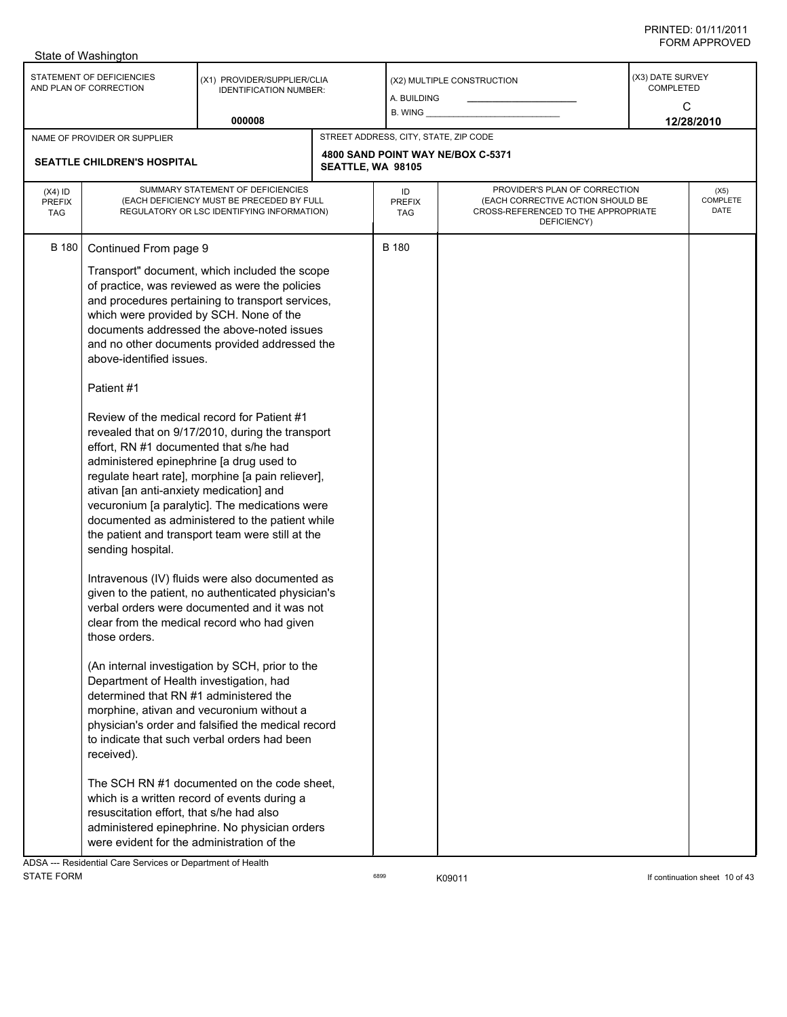|                                          | State of Washington                                                                                                                                                                                                                                                                                                                                                                                                                                                            |                                                                                                                                                                                                                                                                                                                                                                                                                                                                                                                                                                                                                                                                                                                                                                                                                                                                                                                                                                                                                                                                                                                                   |                   |                                       |                                                                                                                          |                                           |                          |
|------------------------------------------|--------------------------------------------------------------------------------------------------------------------------------------------------------------------------------------------------------------------------------------------------------------------------------------------------------------------------------------------------------------------------------------------------------------------------------------------------------------------------------|-----------------------------------------------------------------------------------------------------------------------------------------------------------------------------------------------------------------------------------------------------------------------------------------------------------------------------------------------------------------------------------------------------------------------------------------------------------------------------------------------------------------------------------------------------------------------------------------------------------------------------------------------------------------------------------------------------------------------------------------------------------------------------------------------------------------------------------------------------------------------------------------------------------------------------------------------------------------------------------------------------------------------------------------------------------------------------------------------------------------------------------|-------------------|---------------------------------------|--------------------------------------------------------------------------------------------------------------------------|-------------------------------------------|--------------------------|
|                                          | STATEMENT OF DEFICIENCIES<br>AND PLAN OF CORRECTION                                                                                                                                                                                                                                                                                                                                                                                                                            | (X1) PROVIDER/SUPPLIER/CLIA<br><b>IDENTIFICATION NUMBER:</b>                                                                                                                                                                                                                                                                                                                                                                                                                                                                                                                                                                                                                                                                                                                                                                                                                                                                                                                                                                                                                                                                      |                   | A. BUILDING<br>$B.$ WING $\_$         | (X2) MULTIPLE CONSTRUCTION                                                                                               | (X3) DATE SURVEY<br><b>COMPLETED</b><br>C |                          |
|                                          |                                                                                                                                                                                                                                                                                                                                                                                                                                                                                | 000008                                                                                                                                                                                                                                                                                                                                                                                                                                                                                                                                                                                                                                                                                                                                                                                                                                                                                                                                                                                                                                                                                                                            |                   |                                       |                                                                                                                          |                                           | 12/28/2010               |
|                                          | NAME OF PROVIDER OR SUPPLIER<br><b>SEATTLE CHILDREN'S HOSPITAL</b>                                                                                                                                                                                                                                                                                                                                                                                                             |                                                                                                                                                                                                                                                                                                                                                                                                                                                                                                                                                                                                                                                                                                                                                                                                                                                                                                                                                                                                                                                                                                                                   | SEATTLE, WA 98105 | STREET ADDRESS, CITY, STATE, ZIP CODE | 4800 SAND POINT WAY NE/BOX C-5371                                                                                        |                                           |                          |
| $(X4)$ ID<br><b>PREFIX</b><br><b>TAG</b> |                                                                                                                                                                                                                                                                                                                                                                                                                                                                                | SUMMARY STATEMENT OF DEFICIENCIES<br>(EACH DEFICIENCY MUST BE PRECEDED BY FULL<br>REGULATORY OR LSC IDENTIFYING INFORMATION)                                                                                                                                                                                                                                                                                                                                                                                                                                                                                                                                                                                                                                                                                                                                                                                                                                                                                                                                                                                                      |                   | ID<br><b>PREFIX</b><br>TAG            | PROVIDER'S PLAN OF CORRECTION<br>(EACH CORRECTIVE ACTION SHOULD BE<br>CROSS-REFERENCED TO THE APPROPRIATE<br>DEFICIENCY) |                                           | (X5)<br>COMPLETE<br>DATE |
| <b>B</b> 180                             | Continued From page 9<br>which were provided by SCH. None of the<br>above-identified issues.<br>Patient #1<br>effort, RN #1 documented that s/he had<br>administered epinephrine [a drug used to<br>ativan [an anti-anxiety medication] and<br>sending hospital.<br>those orders.<br>Department of Health investigation, had<br>determined that RN #1 administered the<br>received).<br>resuscitation effort, that s/he had also<br>were evident for the administration of the | Transport" document, which included the scope<br>of practice, was reviewed as were the policies<br>and procedures pertaining to transport services,<br>documents addressed the above-noted issues<br>and no other documents provided addressed the<br>Review of the medical record for Patient #1<br>revealed that on 9/17/2010, during the transport<br>regulate heart rate], morphine [a pain reliever],<br>vecuronium [a paralytic]. The medications were<br>documented as administered to the patient while<br>the patient and transport team were still at the<br>Intravenous (IV) fluids were also documented as<br>given to the patient, no authenticated physician's<br>verbal orders were documented and it was not<br>clear from the medical record who had given<br>(An internal investigation by SCH, prior to the<br>morphine, ativan and vecuronium without a<br>physician's order and falsified the medical record<br>to indicate that such verbal orders had been<br>The SCH RN #1 documented on the code sheet.<br>which is a written record of events during a<br>administered epinephrine. No physician orders |                   | B 180                                 |                                                                                                                          |                                           |                          |
|                                          | ADSA --- Residential Care Services or Department of Health                                                                                                                                                                                                                                                                                                                                                                                                                     |                                                                                                                                                                                                                                                                                                                                                                                                                                                                                                                                                                                                                                                                                                                                                                                                                                                                                                                                                                                                                                                                                                                                   |                   |                                       |                                                                                                                          |                                           |                          |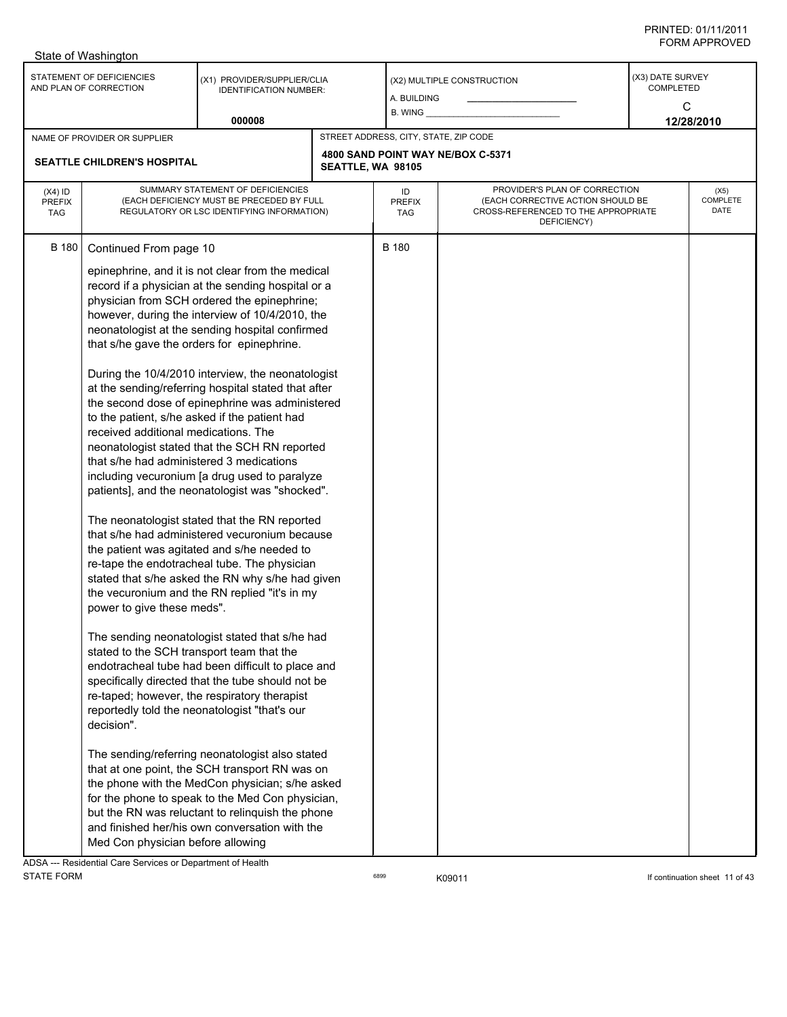|                                          | State of Washington                                                                                                                                                                                                                                                                                |                                                                                                                                                                                                                                                                                                                                                                                                                                                                                                                                                                                                                                                                                                                                                                                                                                                                                                                                                                                                                                                                                                                                                                                                                                                                                                                                                                                                                                                                       |                   |                                       |                                                                                                                          |                                    |                          |
|------------------------------------------|----------------------------------------------------------------------------------------------------------------------------------------------------------------------------------------------------------------------------------------------------------------------------------------------------|-----------------------------------------------------------------------------------------------------------------------------------------------------------------------------------------------------------------------------------------------------------------------------------------------------------------------------------------------------------------------------------------------------------------------------------------------------------------------------------------------------------------------------------------------------------------------------------------------------------------------------------------------------------------------------------------------------------------------------------------------------------------------------------------------------------------------------------------------------------------------------------------------------------------------------------------------------------------------------------------------------------------------------------------------------------------------------------------------------------------------------------------------------------------------------------------------------------------------------------------------------------------------------------------------------------------------------------------------------------------------------------------------------------------------------------------------------------------------|-------------------|---------------------------------------|--------------------------------------------------------------------------------------------------------------------------|------------------------------------|--------------------------|
|                                          | STATEMENT OF DEFICIENCIES<br>AND PLAN OF CORRECTION                                                                                                                                                                                                                                                | (X1) PROVIDER/SUPPLIER/CLIA<br><b>IDENTIFICATION NUMBER:</b>                                                                                                                                                                                                                                                                                                                                                                                                                                                                                                                                                                                                                                                                                                                                                                                                                                                                                                                                                                                                                                                                                                                                                                                                                                                                                                                                                                                                          |                   | A. BUILDING<br>$B.$ WING $\_\_$       | (X2) MULTIPLE CONSTRUCTION                                                                                               | (X3) DATE SURVEY<br>COMPLETED<br>C |                          |
|                                          |                                                                                                                                                                                                                                                                                                    | 000008                                                                                                                                                                                                                                                                                                                                                                                                                                                                                                                                                                                                                                                                                                                                                                                                                                                                                                                                                                                                                                                                                                                                                                                                                                                                                                                                                                                                                                                                |                   |                                       |                                                                                                                          |                                    | 12/28/2010               |
|                                          | NAME OF PROVIDER OR SUPPLIER                                                                                                                                                                                                                                                                       |                                                                                                                                                                                                                                                                                                                                                                                                                                                                                                                                                                                                                                                                                                                                                                                                                                                                                                                                                                                                                                                                                                                                                                                                                                                                                                                                                                                                                                                                       |                   | STREET ADDRESS, CITY, STATE, ZIP CODE |                                                                                                                          |                                    |                          |
|                                          | SEATTLE CHILDREN'S HOSPITAL                                                                                                                                                                                                                                                                        |                                                                                                                                                                                                                                                                                                                                                                                                                                                                                                                                                                                                                                                                                                                                                                                                                                                                                                                                                                                                                                                                                                                                                                                                                                                                                                                                                                                                                                                                       | SEATTLE, WA 98105 |                                       | 4800 SAND POINT WAY NE/BOX C-5371                                                                                        |                                    |                          |
| $(X4)$ ID<br><b>PREFIX</b><br><b>TAG</b> | SUMMARY STATEMENT OF DEFICIENCIES<br>(EACH DEFICIENCY MUST BE PRECEDED BY FULL<br>REGULATORY OR LSC IDENTIFYING INFORMATION)                                                                                                                                                                       |                                                                                                                                                                                                                                                                                                                                                                                                                                                                                                                                                                                                                                                                                                                                                                                                                                                                                                                                                                                                                                                                                                                                                                                                                                                                                                                                                                                                                                                                       |                   | ID<br><b>PREFIX</b><br>TAG            | PROVIDER'S PLAN OF CORRECTION<br>(EACH CORRECTIVE ACTION SHOULD BE<br>CROSS-REFERENCED TO THE APPROPRIATE<br>DEFICIENCY) |                                    | (X5)<br>COMPLETE<br>DATE |
| <b>B</b> 180                             | Continued From page 10<br>that s/he gave the orders for epinephrine.<br>to the patient, s/he asked if the patient had<br>received additional medications. The<br>that s/he had administered 3 medications<br>power to give these meds".<br>stated to the SCH transport team that the<br>decision". | epinephrine, and it is not clear from the medical<br>record if a physician at the sending hospital or a<br>physician from SCH ordered the epinephrine;<br>however, during the interview of 10/4/2010, the<br>neonatologist at the sending hospital confirmed<br>During the 10/4/2010 interview, the neonatologist<br>at the sending/referring hospital stated that after<br>the second dose of epinephrine was administered<br>neonatologist stated that the SCH RN reported<br>including vecuronium [a drug used to paralyze<br>patients], and the neonatologist was "shocked".<br>The neonatologist stated that the RN reported<br>that s/he had administered vecuronium because<br>the patient was agitated and s/he needed to<br>re-tape the endotracheal tube. The physician<br>stated that s/he asked the RN why s/he had given<br>the vecuronium and the RN replied "it's in my<br>The sending neonatologist stated that s/he had<br>endotracheal tube had been difficult to place and<br>specifically directed that the tube should not be<br>re-taped; however, the respiratory therapist<br>reportedly told the neonatologist "that's our<br>The sending/referring neonatologist also stated<br>that at one point, the SCH transport RN was on<br>the phone with the MedCon physician; s/he asked<br>for the phone to speak to the Med Con physician,<br>but the RN was reluctant to relinquish the phone<br>and finished her/his own conversation with the |                   | <b>B</b> 180                          |                                                                                                                          |                                    |                          |
| <b>IDCA</b>                              | Med Con physician before allowing<br>Begidential Care Sensiege or Department of Health                                                                                                                                                                                                             |                                                                                                                                                                                                                                                                                                                                                                                                                                                                                                                                                                                                                                                                                                                                                                                                                                                                                                                                                                                                                                                                                                                                                                                                                                                                                                                                                                                                                                                                       |                   |                                       |                                                                                                                          |                                    |                          |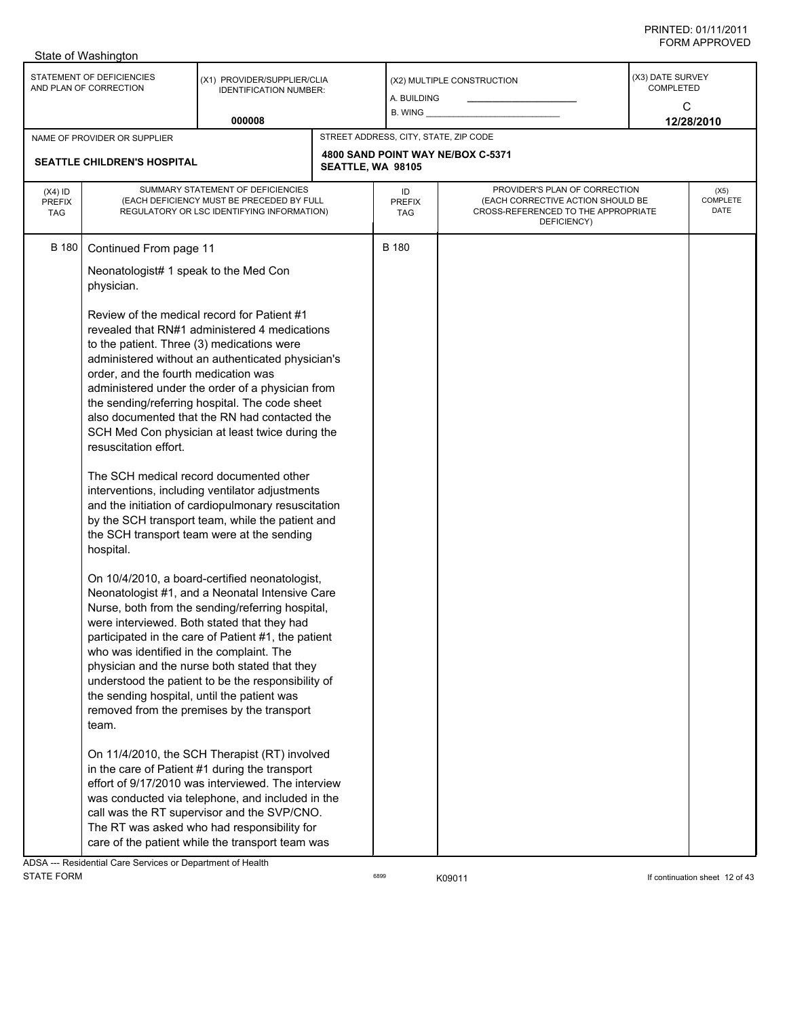|                                          | State of Washington                                                                                                                                                                                                                                                                                                                                          |                                                                                                                                                                                                                                                                                                                                                                                                                                                                                                                                                                                                                                                                                                                                                                                                                                                                                                                                                                                                                                                                                                                                                                                                                                                                                                                                                        |                   |                                       |                                                                                                                          |                                    |                          |
|------------------------------------------|--------------------------------------------------------------------------------------------------------------------------------------------------------------------------------------------------------------------------------------------------------------------------------------------------------------------------------------------------------------|--------------------------------------------------------------------------------------------------------------------------------------------------------------------------------------------------------------------------------------------------------------------------------------------------------------------------------------------------------------------------------------------------------------------------------------------------------------------------------------------------------------------------------------------------------------------------------------------------------------------------------------------------------------------------------------------------------------------------------------------------------------------------------------------------------------------------------------------------------------------------------------------------------------------------------------------------------------------------------------------------------------------------------------------------------------------------------------------------------------------------------------------------------------------------------------------------------------------------------------------------------------------------------------------------------------------------------------------------------|-------------------|---------------------------------------|--------------------------------------------------------------------------------------------------------------------------|------------------------------------|--------------------------|
|                                          | STATEMENT OF DEFICIENCIES<br>AND PLAN OF CORRECTION                                                                                                                                                                                                                                                                                                          | (X1) PROVIDER/SUPPLIER/CLIA<br><b>IDENTIFICATION NUMBER:</b><br>000008                                                                                                                                                                                                                                                                                                                                                                                                                                                                                                                                                                                                                                                                                                                                                                                                                                                                                                                                                                                                                                                                                                                                                                                                                                                                                 |                   | A. BUILDING<br>$B.$ WING $\_\_$       | (X2) MULTIPLE CONSTRUCTION                                                                                               | (X3) DATE SURVEY<br>COMPLETED<br>C | 12/28/2010               |
|                                          | NAME OF PROVIDER OR SUPPLIER                                                                                                                                                                                                                                                                                                                                 |                                                                                                                                                                                                                                                                                                                                                                                                                                                                                                                                                                                                                                                                                                                                                                                                                                                                                                                                                                                                                                                                                                                                                                                                                                                                                                                                                        |                   | STREET ADDRESS, CITY, STATE, ZIP CODE |                                                                                                                          |                                    |                          |
|                                          | SEATTLE CHILDREN'S HOSPITAL                                                                                                                                                                                                                                                                                                                                  |                                                                                                                                                                                                                                                                                                                                                                                                                                                                                                                                                                                                                                                                                                                                                                                                                                                                                                                                                                                                                                                                                                                                                                                                                                                                                                                                                        | SEATTLE, WA 98105 |                                       | 4800 SAND POINT WAY NE/BOX C-5371                                                                                        |                                    |                          |
| $(X4)$ ID<br><b>PREFIX</b><br><b>TAG</b> | SUMMARY STATEMENT OF DEFICIENCIES<br>(EACH DEFICIENCY MUST BE PRECEDED BY FULL<br>REGULATORY OR LSC IDENTIFYING INFORMATION)                                                                                                                                                                                                                                 |                                                                                                                                                                                                                                                                                                                                                                                                                                                                                                                                                                                                                                                                                                                                                                                                                                                                                                                                                                                                                                                                                                                                                                                                                                                                                                                                                        |                   | ID<br><b>PREFIX</b><br>TAG            | PROVIDER'S PLAN OF CORRECTION<br>(EACH CORRECTIVE ACTION SHOULD BE<br>CROSS-REFERENCED TO THE APPROPRIATE<br>DEFICIENCY) |                                    | (X5)<br>COMPLETE<br>DATE |
| <b>B</b> 180                             | Continued From page 11<br>Neonatologist# 1 speak to the Med Con<br>physician.<br>Review of the medical record for Patient #1<br>to the patient. Three (3) medications were<br>order, and the fourth medication was<br>resuscitation effort.<br>hospital.<br>who was identified in the complaint. The<br>the sending hospital, until the patient was<br>team. | revealed that RN#1 administered 4 medications<br>administered without an authenticated physician's<br>administered under the order of a physician from<br>the sending/referring hospital. The code sheet<br>also documented that the RN had contacted the<br>SCH Med Con physician at least twice during the<br>The SCH medical record documented other<br>interventions, including ventilator adjustments<br>and the initiation of cardiopulmonary resuscitation<br>by the SCH transport team, while the patient and<br>the SCH transport team were at the sending<br>On 10/4/2010, a board-certified neonatologist,<br>Neonatologist #1, and a Neonatal Intensive Care<br>Nurse, both from the sending/referring hospital,<br>were interviewed. Both stated that they had<br>participated in the care of Patient #1, the patient<br>physician and the nurse both stated that they<br>understood the patient to be the responsibility of<br>removed from the premises by the transport<br>On 11/4/2010, the SCH Therapist (RT) involved<br>in the care of Patient #1 during the transport<br>effort of 9/17/2010 was interviewed. The interview<br>was conducted via telephone, and included in the<br>call was the RT supervisor and the SVP/CNO.<br>The RT was asked who had responsibility for<br>care of the patient while the transport team was |                   | <b>B</b> 180                          |                                                                                                                          |                                    |                          |
|                                          |                                                                                                                                                                                                                                                                                                                                                              |                                                                                                                                                                                                                                                                                                                                                                                                                                                                                                                                                                                                                                                                                                                                                                                                                                                                                                                                                                                                                                                                                                                                                                                                                                                                                                                                                        |                   |                                       |                                                                                                                          |                                    |                          |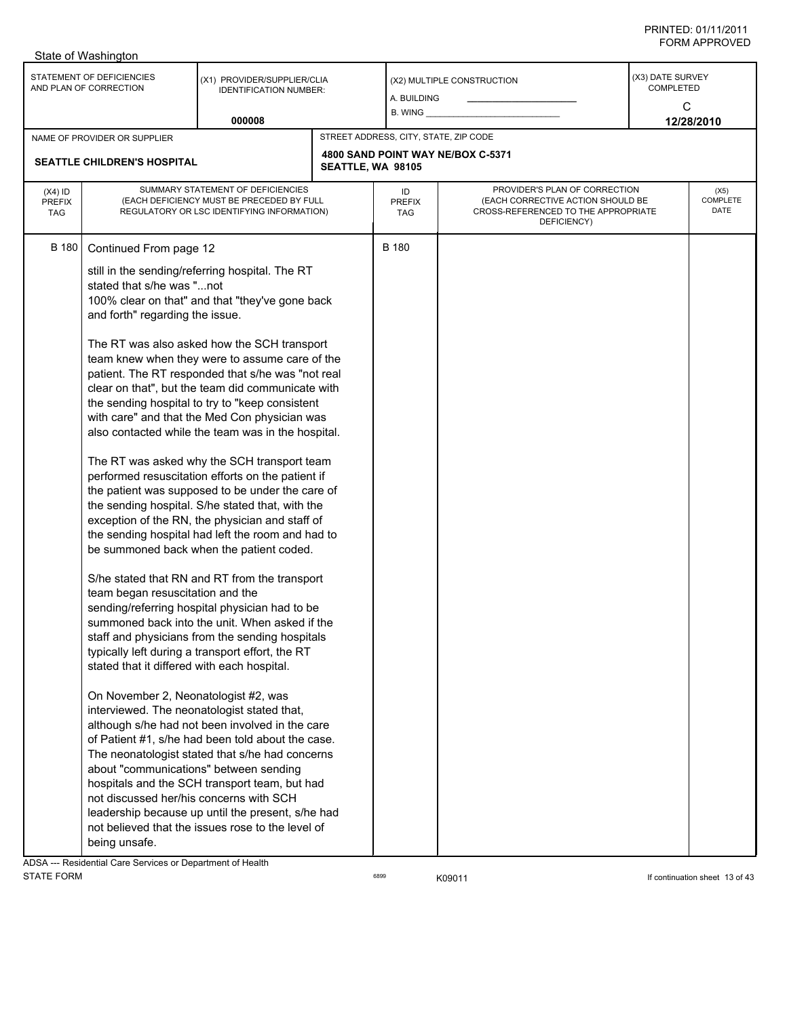|                                   | State of Washington                                                                                                                                                                                                                                                                                                                                   |                                                                                                                                                                                                                                                                                                                                                                                                                                                                                                                                                                                                                                                                                                                                                                                                                                                                                                                                                                                                                                                                                                                                                                                                                                                                                                                                                                                                                           |                   |                                       |                                                                                                                          |                                    |                          |
|-----------------------------------|-------------------------------------------------------------------------------------------------------------------------------------------------------------------------------------------------------------------------------------------------------------------------------------------------------------------------------------------------------|---------------------------------------------------------------------------------------------------------------------------------------------------------------------------------------------------------------------------------------------------------------------------------------------------------------------------------------------------------------------------------------------------------------------------------------------------------------------------------------------------------------------------------------------------------------------------------------------------------------------------------------------------------------------------------------------------------------------------------------------------------------------------------------------------------------------------------------------------------------------------------------------------------------------------------------------------------------------------------------------------------------------------------------------------------------------------------------------------------------------------------------------------------------------------------------------------------------------------------------------------------------------------------------------------------------------------------------------------------------------------------------------------------------------------|-------------------|---------------------------------------|--------------------------------------------------------------------------------------------------------------------------|------------------------------------|--------------------------|
|                                   | STATEMENT OF DEFICIENCIES<br>AND PLAN OF CORRECTION                                                                                                                                                                                                                                                                                                   | (X1) PROVIDER/SUPPLIER/CLIA<br><b>IDENTIFICATION NUMBER:</b>                                                                                                                                                                                                                                                                                                                                                                                                                                                                                                                                                                                                                                                                                                                                                                                                                                                                                                                                                                                                                                                                                                                                                                                                                                                                                                                                                              |                   | A. BUILDING<br>B. WING                | (X2) MULTIPLE CONSTRUCTION                                                                                               | (X3) DATE SURVEY<br>COMPLETED<br>C |                          |
|                                   |                                                                                                                                                                                                                                                                                                                                                       | 000008                                                                                                                                                                                                                                                                                                                                                                                                                                                                                                                                                                                                                                                                                                                                                                                                                                                                                                                                                                                                                                                                                                                                                                                                                                                                                                                                                                                                                    |                   |                                       |                                                                                                                          |                                    | 12/28/2010               |
|                                   | NAME OF PROVIDER OR SUPPLIER                                                                                                                                                                                                                                                                                                                          |                                                                                                                                                                                                                                                                                                                                                                                                                                                                                                                                                                                                                                                                                                                                                                                                                                                                                                                                                                                                                                                                                                                                                                                                                                                                                                                                                                                                                           |                   | STREET ADDRESS, CITY, STATE, ZIP CODE |                                                                                                                          |                                    |                          |
|                                   | SEATTLE CHILDREN'S HOSPITAL                                                                                                                                                                                                                                                                                                                           |                                                                                                                                                                                                                                                                                                                                                                                                                                                                                                                                                                                                                                                                                                                                                                                                                                                                                                                                                                                                                                                                                                                                                                                                                                                                                                                                                                                                                           | SEATTLE, WA 98105 |                                       | 4800 SAND POINT WAY NE/BOX C-5371                                                                                        |                                    |                          |
| $(X4)$ ID<br>PREFIX<br><b>TAG</b> |                                                                                                                                                                                                                                                                                                                                                       | SUMMARY STATEMENT OF DEFICIENCIES<br>(EACH DEFICIENCY MUST BE PRECEDED BY FULL<br>REGULATORY OR LSC IDENTIFYING INFORMATION)                                                                                                                                                                                                                                                                                                                                                                                                                                                                                                                                                                                                                                                                                                                                                                                                                                                                                                                                                                                                                                                                                                                                                                                                                                                                                              |                   | ID<br><b>PREFIX</b><br>TAG            | PROVIDER'S PLAN OF CORRECTION<br>(EACH CORRECTIVE ACTION SHOULD BE<br>CROSS-REFERENCED TO THE APPROPRIATE<br>DEFICIENCY) |                                    | (X5)<br>COMPLETE<br>DATE |
| B 180                             | Continued From page 12<br>stated that s/he was "not<br>and forth" regarding the issue.<br>team began resuscitation and the<br>stated that it differed with each hospital.<br>On November 2, Neonatologist #2, was<br>interviewed. The neonatologist stated that,<br>about "communications" between sending<br>not discussed her/his concerns with SCH | still in the sending/referring hospital. The RT<br>100% clear on that" and that "they've gone back<br>The RT was also asked how the SCH transport<br>team knew when they were to assume care of the<br>patient. The RT responded that s/he was "not real<br>clear on that", but the team did communicate with<br>the sending hospital to try to "keep consistent<br>with care" and that the Med Con physician was<br>also contacted while the team was in the hospital.<br>The RT was asked why the SCH transport team<br>performed resuscitation efforts on the patient if<br>the patient was supposed to be under the care of<br>the sending hospital. S/he stated that, with the<br>exception of the RN, the physician and staff of<br>the sending hospital had left the room and had to<br>be summoned back when the patient coded.<br>S/he stated that RN and RT from the transport<br>sending/referring hospital physician had to be<br>summoned back into the unit. When asked if the<br>staff and physicians from the sending hospitals<br>typically left during a transport effort, the RT<br>although s/he had not been involved in the care<br>of Patient #1, s/he had been told about the case.<br>The neonatologist stated that s/he had concerns<br>hospitals and the SCH transport team, but had<br>leadership because up until the present, s/he had<br>not believed that the issues rose to the level of |                   | <b>B</b> 180                          |                                                                                                                          |                                    |                          |
|                                   | being unsafe.                                                                                                                                                                                                                                                                                                                                         |                                                                                                                                                                                                                                                                                                                                                                                                                                                                                                                                                                                                                                                                                                                                                                                                                                                                                                                                                                                                                                                                                                                                                                                                                                                                                                                                                                                                                           |                   |                                       |                                                                                                                          |                                    |                          |

ADSA --- Residential Care Services or Department of Health<br>STATE FORM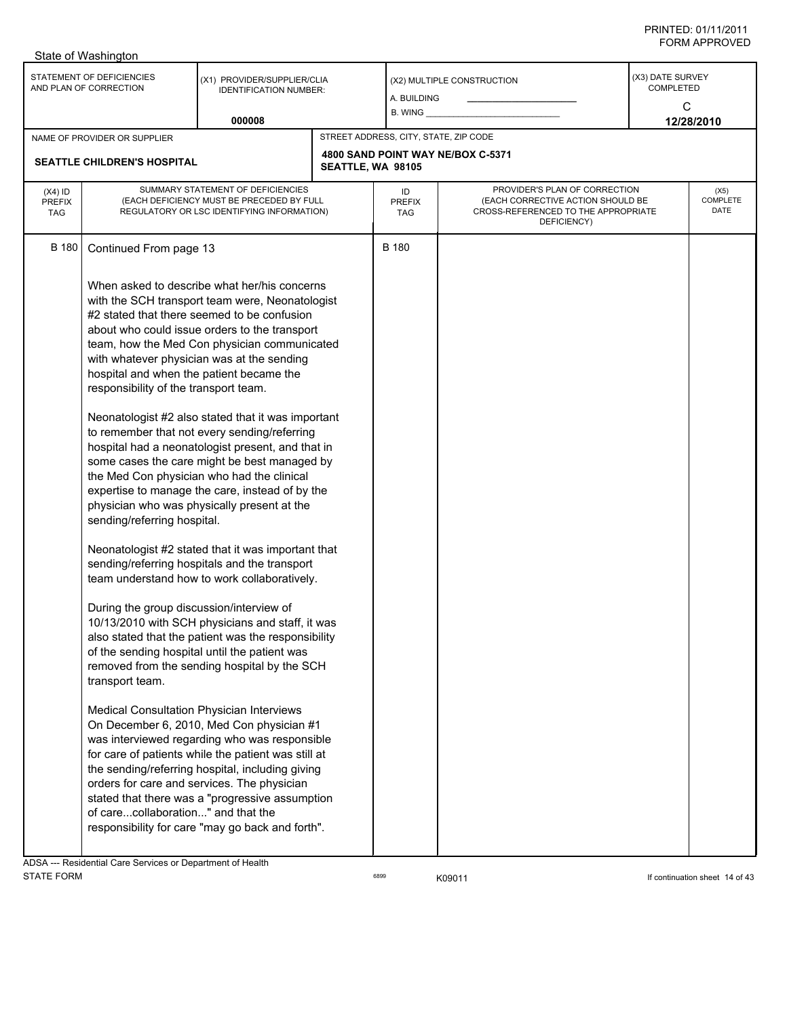| STATEMENT OF DEFICIENCIES<br>(X3) DATE SURVEY<br>(X1) PROVIDER/SUPPLIER/CLIA<br>(X2) MULTIPLE CONSTRUCTION<br><b>COMPLETED</b><br>AND PLAN OF CORRECTION<br><b>IDENTIFICATION NUMBER:</b><br>A. BUILDING<br>C<br>$B.$ WING $\_\_$<br>000008<br>12/28/2010<br>STREET ADDRESS, CITY, STATE, ZIP CODE<br>NAME OF PROVIDER OR SUPPLIER<br>4800 SAND POINT WAY NE/BOX C-5371<br>SEATTLE CHILDREN'S HOSPITAL<br>SEATTLE, WA 98105<br>PROVIDER'S PLAN OF CORRECTION<br>SUMMARY STATEMENT OF DEFICIENCIES<br>$(X4)$ ID<br>ID<br>(X5)<br>COMPLETE<br>(EACH DEFICIENCY MUST BE PRECEDED BY FULL<br>(EACH CORRECTIVE ACTION SHOULD BE<br><b>PREFIX</b><br><b>PREFIX</b><br>DATE<br>CROSS-REFERENCED TO THE APPROPRIATE<br>REGULATORY OR LSC IDENTIFYING INFORMATION)<br><b>TAG</b><br>TAG<br>DEFICIENCY)<br><b>B</b> 180<br><b>B</b> 180<br>Continued From page 13<br>When asked to describe what her/his concerns<br>with the SCH transport team were, Neonatologist<br>#2 stated that there seemed to be confusion<br>about who could issue orders to the transport<br>team, how the Med Con physician communicated<br>with whatever physician was at the sending<br>hospital and when the patient became the<br>responsibility of the transport team.<br>Neonatologist #2 also stated that it was important<br>to remember that not every sending/referring<br>hospital had a neonatologist present, and that in<br>some cases the care might be best managed by<br>the Med Con physician who had the clinical<br>expertise to manage the care, instead of by the<br>physician who was physically present at the<br>sending/referring hospital.<br>Neonatologist #2 stated that it was important that<br>sending/referring hospitals and the transport<br>team understand how to work collaboratively.<br>During the group discussion/interview of<br>10/13/2010 with SCH physicians and staff, it was | State of Washington |  |  |  |
|------------------------------------------------------------------------------------------------------------------------------------------------------------------------------------------------------------------------------------------------------------------------------------------------------------------------------------------------------------------------------------------------------------------------------------------------------------------------------------------------------------------------------------------------------------------------------------------------------------------------------------------------------------------------------------------------------------------------------------------------------------------------------------------------------------------------------------------------------------------------------------------------------------------------------------------------------------------------------------------------------------------------------------------------------------------------------------------------------------------------------------------------------------------------------------------------------------------------------------------------------------------------------------------------------------------------------------------------------------------------------------------------------------------------------------------------------------------------------------------------------------------------------------------------------------------------------------------------------------------------------------------------------------------------------------------------------------------------------------------------------------------------------------------------------------------------------------------------------------------------------------------------|---------------------|--|--|--|
|                                                                                                                                                                                                                                                                                                                                                                                                                                                                                                                                                                                                                                                                                                                                                                                                                                                                                                                                                                                                                                                                                                                                                                                                                                                                                                                                                                                                                                                                                                                                                                                                                                                                                                                                                                                                                                                                                                |                     |  |  |  |
|                                                                                                                                                                                                                                                                                                                                                                                                                                                                                                                                                                                                                                                                                                                                                                                                                                                                                                                                                                                                                                                                                                                                                                                                                                                                                                                                                                                                                                                                                                                                                                                                                                                                                                                                                                                                                                                                                                |                     |  |  |  |
|                                                                                                                                                                                                                                                                                                                                                                                                                                                                                                                                                                                                                                                                                                                                                                                                                                                                                                                                                                                                                                                                                                                                                                                                                                                                                                                                                                                                                                                                                                                                                                                                                                                                                                                                                                                                                                                                                                |                     |  |  |  |
|                                                                                                                                                                                                                                                                                                                                                                                                                                                                                                                                                                                                                                                                                                                                                                                                                                                                                                                                                                                                                                                                                                                                                                                                                                                                                                                                                                                                                                                                                                                                                                                                                                                                                                                                                                                                                                                                                                |                     |  |  |  |
| also stated that the patient was the responsibility<br>of the sending hospital until the patient was<br>removed from the sending hospital by the SCH<br>transport team.<br>Medical Consultation Physician Interviews<br>On December 6, 2010, Med Con physician #1<br>was interviewed regarding who was responsible<br>for care of patients while the patient was still at<br>the sending/referring hospital, including giving<br>orders for care and services. The physician<br>stated that there was a "progressive assumption<br>of carecollaboration" and that the<br>responsibility for care "may go back and forth".                                                                                                                                                                                                                                                                                                                                                                                                                                                                                                                                                                                                                                                                                                                                                                                                                                                                                                                                                                                                                                                                                                                                                                                                                                                                      |                     |  |  |  |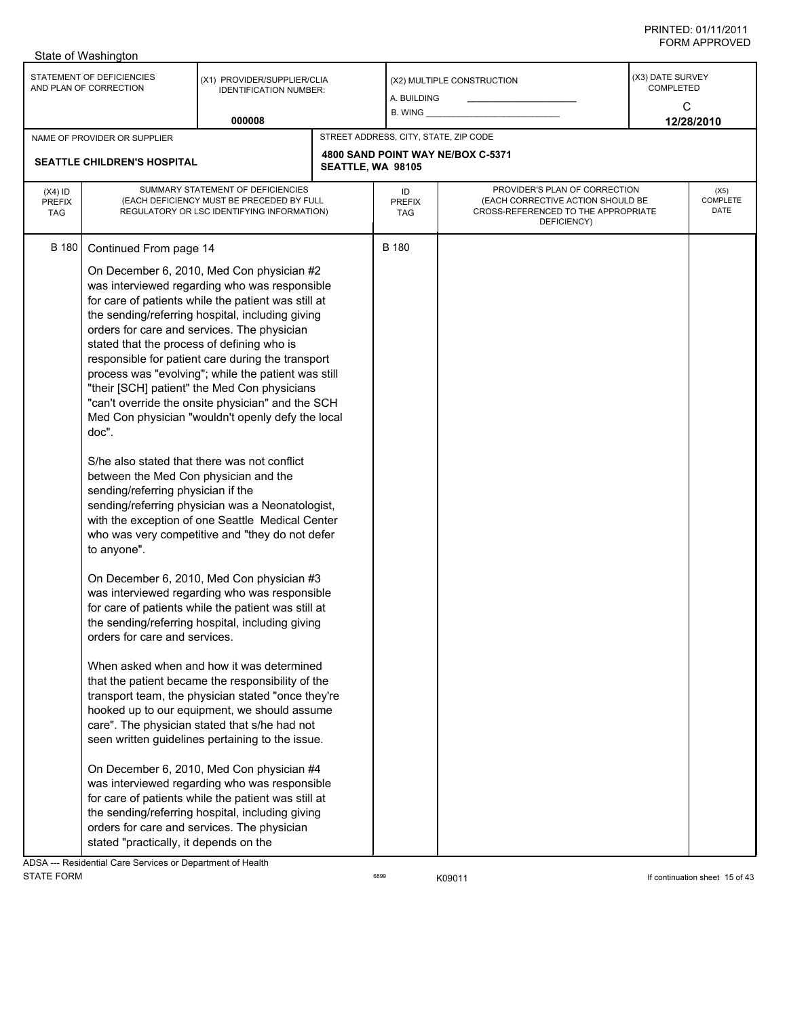| STATEMENT OF DEFICIENCIES<br>(X3) DATE SURVEY<br>(X1) PROVIDER/SUPPLIER/CLIA<br>(X2) MULTIPLE CONSTRUCTION<br><b>COMPLETED</b><br>AND PLAN OF CORRECTION<br><b>IDENTIFICATION NUMBER:</b><br>A. BUILDING<br>C<br>B. WING _<br>000008<br>12/28/2010<br>STREET ADDRESS, CITY, STATE, ZIP CODE<br>NAME OF PROVIDER OR SUPPLIER<br>4800 SAND POINT WAY NE/BOX C-5371<br><b>SEATTLE CHILDREN'S HOSPITAL</b><br>SEATTLE, WA 98105<br>PROVIDER'S PLAN OF CORRECTION<br>SUMMARY STATEMENT OF DEFICIENCIES<br>$(X4)$ ID<br>ID<br>(X5)<br>(EACH DEFICIENCY MUST BE PRECEDED BY FULL<br>(EACH CORRECTIVE ACTION SHOULD BE<br><b>PREFIX</b><br><b>PREFIX</b><br>DATE<br>CROSS-REFERENCED TO THE APPROPRIATE<br>REGULATORY OR LSC IDENTIFYING INFORMATION)<br><b>TAG</b><br>TAG<br>DEFICIENCY)<br><b>B</b> 180<br><b>B</b> 180<br>Continued From page 14                                                                                                                                                                                                                                                                                                                                                                                                                                                                                                                                                                                                                                                                                                                                                                                                                                                                                                         | State of Washington |  |  |                 |
|-----------------------------------------------------------------------------------------------------------------------------------------------------------------------------------------------------------------------------------------------------------------------------------------------------------------------------------------------------------------------------------------------------------------------------------------------------------------------------------------------------------------------------------------------------------------------------------------------------------------------------------------------------------------------------------------------------------------------------------------------------------------------------------------------------------------------------------------------------------------------------------------------------------------------------------------------------------------------------------------------------------------------------------------------------------------------------------------------------------------------------------------------------------------------------------------------------------------------------------------------------------------------------------------------------------------------------------------------------------------------------------------------------------------------------------------------------------------------------------------------------------------------------------------------------------------------------------------------------------------------------------------------------------------------------------------------------------------------------------------------------|---------------------|--|--|-----------------|
|                                                                                                                                                                                                                                                                                                                                                                                                                                                                                                                                                                                                                                                                                                                                                                                                                                                                                                                                                                                                                                                                                                                                                                                                                                                                                                                                                                                                                                                                                                                                                                                                                                                                                                                                                     |                     |  |  |                 |
|                                                                                                                                                                                                                                                                                                                                                                                                                                                                                                                                                                                                                                                                                                                                                                                                                                                                                                                                                                                                                                                                                                                                                                                                                                                                                                                                                                                                                                                                                                                                                                                                                                                                                                                                                     |                     |  |  |                 |
|                                                                                                                                                                                                                                                                                                                                                                                                                                                                                                                                                                                                                                                                                                                                                                                                                                                                                                                                                                                                                                                                                                                                                                                                                                                                                                                                                                                                                                                                                                                                                                                                                                                                                                                                                     |                     |  |  |                 |
|                                                                                                                                                                                                                                                                                                                                                                                                                                                                                                                                                                                                                                                                                                                                                                                                                                                                                                                                                                                                                                                                                                                                                                                                                                                                                                                                                                                                                                                                                                                                                                                                                                                                                                                                                     |                     |  |  | <b>COMPLETE</b> |
| On December 6, 2010, Med Con physician #2<br>was interviewed regarding who was responsible<br>for care of patients while the patient was still at<br>the sending/referring hospital, including giving<br>orders for care and services. The physician<br>stated that the process of defining who is<br>responsible for patient care during the transport<br>process was "evolving"; while the patient was still<br>"their [SCH] patient" the Med Con physicians<br>"can't override the onsite physician" and the SCH<br>Med Con physician "wouldn't openly defy the local<br>doc".<br>S/he also stated that there was not conflict<br>between the Med Con physician and the<br>sending/referring physician if the<br>sending/referring physician was a Neonatologist,<br>with the exception of one Seattle Medical Center<br>who was very competitive and "they do not defer<br>to anyone".<br>On December 6, 2010, Med Con physician #3<br>was interviewed regarding who was responsible<br>for care of patients while the patient was still at<br>the sending/referring hospital, including giving<br>orders for care and services.<br>When asked when and how it was determined<br>that the patient became the responsibility of the<br>transport team, the physician stated "once they're<br>hooked up to our equipment, we should assume<br>care". The physician stated that s/he had not<br>seen written guidelines pertaining to the issue.<br>On December 6, 2010, Med Con physician #4<br>was interviewed regarding who was responsible<br>for care of patients while the patient was still at<br>the sending/referring hospital, including giving<br>orders for care and services. The physician<br>stated "practically, it depends on the |                     |  |  |                 |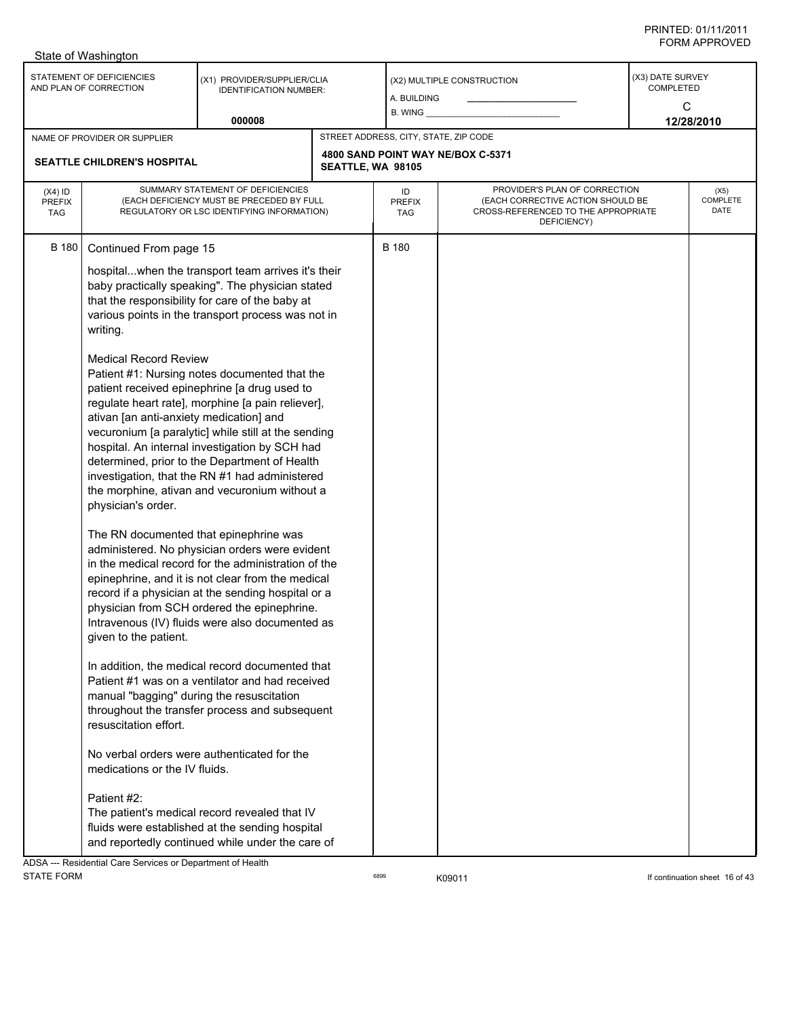|                                   | State of Washington                                                                                                                                                                                                                                                                                                                                                                                                                                                                                              |                                                                                                                                                                                                                                                                                                                    |                   |                                       |                                                                                                                          |                                           |                                 |
|-----------------------------------|------------------------------------------------------------------------------------------------------------------------------------------------------------------------------------------------------------------------------------------------------------------------------------------------------------------------------------------------------------------------------------------------------------------------------------------------------------------------------------------------------------------|--------------------------------------------------------------------------------------------------------------------------------------------------------------------------------------------------------------------------------------------------------------------------------------------------------------------|-------------------|---------------------------------------|--------------------------------------------------------------------------------------------------------------------------|-------------------------------------------|---------------------------------|
|                                   | STATEMENT OF DEFICIENCIES<br>AND PLAN OF CORRECTION                                                                                                                                                                                                                                                                                                                                                                                                                                                              | (X1) PROVIDER/SUPPLIER/CLIA<br><b>IDENTIFICATION NUMBER:</b>                                                                                                                                                                                                                                                       |                   | A. BUILDING<br>B. WING                | (X2) MULTIPLE CONSTRUCTION                                                                                               | (X3) DATE SURVEY<br><b>COMPLETED</b><br>C |                                 |
|                                   |                                                                                                                                                                                                                                                                                                                                                                                                                                                                                                                  | 000008                                                                                                                                                                                                                                                                                                             |                   |                                       |                                                                                                                          |                                           | 12/28/2010                      |
|                                   | NAME OF PROVIDER OR SUPPLIER                                                                                                                                                                                                                                                                                                                                                                                                                                                                                     |                                                                                                                                                                                                                                                                                                                    |                   | STREET ADDRESS, CITY, STATE, ZIP CODE |                                                                                                                          |                                           |                                 |
|                                   | SEATTLE CHILDREN'S HOSPITAL                                                                                                                                                                                                                                                                                                                                                                                                                                                                                      |                                                                                                                                                                                                                                                                                                                    | SEATTLE, WA 98105 |                                       | 4800 SAND POINT WAY NE/BOX C-5371                                                                                        |                                           |                                 |
| $(X4)$ ID<br>PREFIX<br><b>TAG</b> |                                                                                                                                                                                                                                                                                                                                                                                                                                                                                                                  | SUMMARY STATEMENT OF DEFICIENCIES<br>(EACH DEFICIENCY MUST BE PRECEDED BY FULL<br>REGULATORY OR LSC IDENTIFYING INFORMATION)                                                                                                                                                                                       |                   | ID<br><b>PREFIX</b><br>TAG            | PROVIDER'S PLAN OF CORRECTION<br>(EACH CORRECTIVE ACTION SHOULD BE<br>CROSS-REFERENCED TO THE APPROPRIATE<br>DEFICIENCY) |                                           | (X5)<br><b>COMPLETE</b><br>DATE |
| <b>B</b> 180                      | Continued From page 15                                                                                                                                                                                                                                                                                                                                                                                                                                                                                           |                                                                                                                                                                                                                                                                                                                    |                   | <b>B</b> 180                          |                                                                                                                          |                                           |                                 |
|                                   | writing.                                                                                                                                                                                                                                                                                                                                                                                                                                                                                                         | hospitalwhen the transport team arrives it's their<br>baby practically speaking". The physician stated<br>that the responsibility for care of the baby at<br>various points in the transport process was not in                                                                                                    |                   |                                       |                                                                                                                          |                                           |                                 |
|                                   | <b>Medical Record Review</b><br>Patient #1: Nursing notes documented that the<br>patient received epinephrine [a drug used to<br>regulate heart rate], morphine [a pain reliever],<br>ativan [an anti-anxiety medication] and<br>vecuronium [a paralytic] while still at the sending<br>hospital. An internal investigation by SCH had<br>determined, prior to the Department of Health<br>investigation, that the RN #1 had administered<br>the morphine, ativan and vecuronium without a<br>physician's order. |                                                                                                                                                                                                                                                                                                                    |                   |                                       |                                                                                                                          |                                           |                                 |
|                                   | The RN documented that epinephrine was<br>given to the patient.                                                                                                                                                                                                                                                                                                                                                                                                                                                  | administered. No physician orders were evident<br>in the medical record for the administration of the<br>epinephrine, and it is not clear from the medical<br>record if a physician at the sending hospital or a<br>physician from SCH ordered the epinephrine.<br>Intravenous (IV) fluids were also documented as |                   |                                       |                                                                                                                          |                                           |                                 |
|                                   | manual "bagging" during the resuscitation<br>resuscitation effort.                                                                                                                                                                                                                                                                                                                                                                                                                                               | In addition, the medical record documented that<br>Patient #1 was on a ventilator and had received<br>throughout the transfer process and subsequent                                                                                                                                                               |                   |                                       |                                                                                                                          |                                           |                                 |
|                                   |                                                                                                                                                                                                                                                                                                                                                                                                                                                                                                                  | No verbal orders were authenticated for the                                                                                                                                                                                                                                                                        |                   |                                       |                                                                                                                          |                                           |                                 |
|                                   | medications or the IV fluids.<br>Patient #2:<br>The patient's medical record revealed that IV<br>fluids were established at the sending hospital<br>and reportedly continued while under the care of                                                                                                                                                                                                                                                                                                             |                                                                                                                                                                                                                                                                                                                    |                   |                                       |                                                                                                                          |                                           |                                 |

ADSA --- Residential Care Services or Department of Health STATE FORM **EXAMPLE 16 OF A STATE FORM EXAMPLE 2018 ROSES K09011 EXAMPLE 16 OF A STATE FORM If continuation sheet 16 of 43**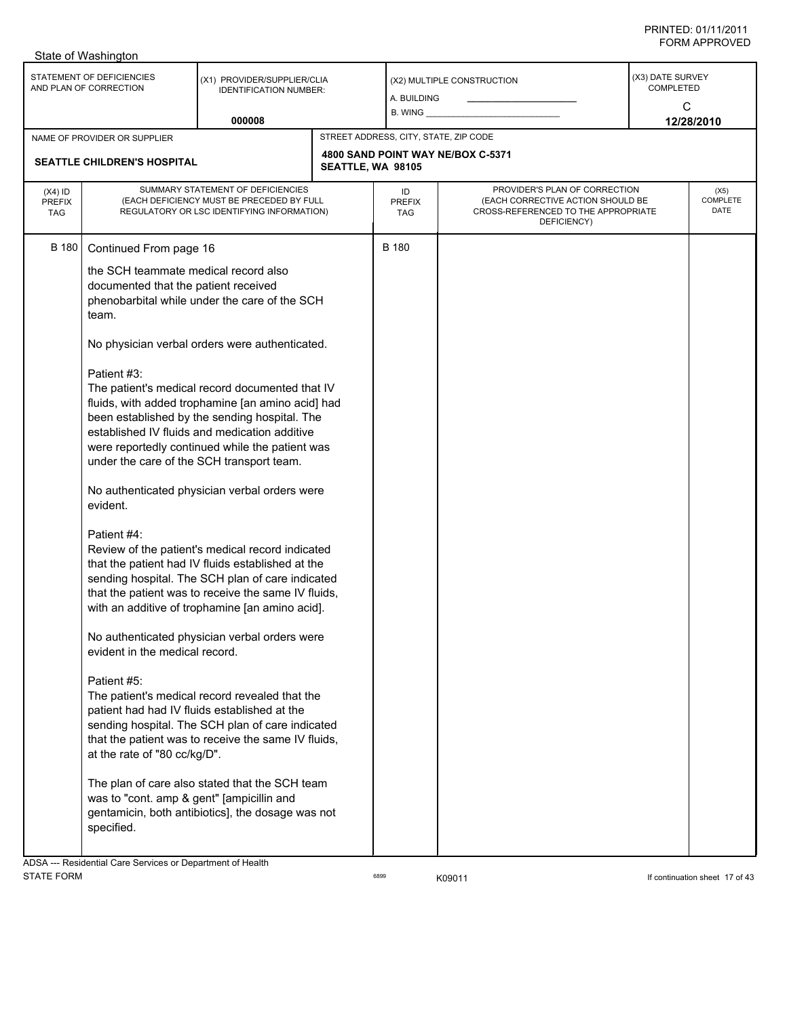|                                          | State of Washington                                                                                                                                                                                                                                                                                   |                                                                                                                                                                                                                                                                                                                                                                                                                                                                                                                                                                                                                                                                                                                                                                                                                                                                                                                                                                                                                                                                                                        |                                       |                                                                                                                          |                                      |                          |
|------------------------------------------|-------------------------------------------------------------------------------------------------------------------------------------------------------------------------------------------------------------------------------------------------------------------------------------------------------|--------------------------------------------------------------------------------------------------------------------------------------------------------------------------------------------------------------------------------------------------------------------------------------------------------------------------------------------------------------------------------------------------------------------------------------------------------------------------------------------------------------------------------------------------------------------------------------------------------------------------------------------------------------------------------------------------------------------------------------------------------------------------------------------------------------------------------------------------------------------------------------------------------------------------------------------------------------------------------------------------------------------------------------------------------------------------------------------------------|---------------------------------------|--------------------------------------------------------------------------------------------------------------------------|--------------------------------------|--------------------------|
|                                          | STATEMENT OF DEFICIENCIES<br>AND PLAN OF CORRECTION                                                                                                                                                                                                                                                   | (X1) PROVIDER/SUPPLIER/CLIA<br><b>IDENTIFICATION NUMBER:</b><br>000008                                                                                                                                                                                                                                                                                                                                                                                                                                                                                                                                                                                                                                                                                                                                                                                                                                                                                                                                                                                                                                 | A. BUILDING<br>$B.$ WING $\_\_$       | (X2) MULTIPLE CONSTRUCTION                                                                                               | (X3) DATE SURVEY<br><b>COMPLETED</b> | C<br>12/28/2010          |
|                                          | NAME OF PROVIDER OR SUPPLIER                                                                                                                                                                                                                                                                          |                                                                                                                                                                                                                                                                                                                                                                                                                                                                                                                                                                                                                                                                                                                                                                                                                                                                                                                                                                                                                                                                                                        | STREET ADDRESS, CITY, STATE, ZIP CODE |                                                                                                                          |                                      |                          |
|                                          | <b>SEATTLE CHILDREN'S HOSPITAL</b>                                                                                                                                                                                                                                                                    |                                                                                                                                                                                                                                                                                                                                                                                                                                                                                                                                                                                                                                                                                                                                                                                                                                                                                                                                                                                                                                                                                                        | SEATTLE, WA 98105                     | 4800 SAND POINT WAY NE/BOX C-5371                                                                                        |                                      |                          |
| $(X4)$ ID<br><b>PREFIX</b><br><b>TAG</b> |                                                                                                                                                                                                                                                                                                       | SUMMARY STATEMENT OF DEFICIENCIES<br>(EACH DEFICIENCY MUST BE PRECEDED BY FULL<br>REGULATORY OR LSC IDENTIFYING INFORMATION)                                                                                                                                                                                                                                                                                                                                                                                                                                                                                                                                                                                                                                                                                                                                                                                                                                                                                                                                                                           | ID<br><b>PREFIX</b><br>TAG            | PROVIDER'S PLAN OF CORRECTION<br>(EACH CORRECTIVE ACTION SHOULD BE<br>CROSS-REFERENCED TO THE APPROPRIATE<br>DEFICIENCY) |                                      | (X5)<br>COMPLETE<br>DATE |
| <b>B</b> 180                             | Continued From page 16<br>the SCH teammate medical record also<br>documented that the patient received<br>team.<br>Patient #3:<br>evident.<br>Patient #4:<br>evident in the medical record.<br>Patient #5:<br>at the rate of "80 cc/kg/D".<br>was to "cont. amp & gent" [ampicillin and<br>specified. | phenobarbital while under the care of the SCH<br>No physician verbal orders were authenticated.<br>The patient's medical record documented that IV<br>fluids, with added trophamine [an amino acid] had<br>been established by the sending hospital. The<br>established IV fluids and medication additive<br>were reportedly continued while the patient was<br>under the care of the SCH transport team.<br>No authenticated physician verbal orders were<br>Review of the patient's medical record indicated<br>that the patient had IV fluids established at the<br>sending hospital. The SCH plan of care indicated<br>that the patient was to receive the same IV fluids,<br>with an additive of trophamine [an amino acid].<br>No authenticated physician verbal orders were<br>The patient's medical record revealed that the<br>patient had had IV fluids established at the<br>sending hospital. The SCH plan of care indicated<br>that the patient was to receive the same IV fluids,<br>The plan of care also stated that the SCH team<br>gentamicin, both antibiotics], the dosage was not | <b>B</b> 180                          |                                                                                                                          |                                      |                          |
|                                          | ADSA --- Residential Care Services or Department of Health                                                                                                                                                                                                                                            |                                                                                                                                                                                                                                                                                                                                                                                                                                                                                                                                                                                                                                                                                                                                                                                                                                                                                                                                                                                                                                                                                                        |                                       |                                                                                                                          |                                      |                          |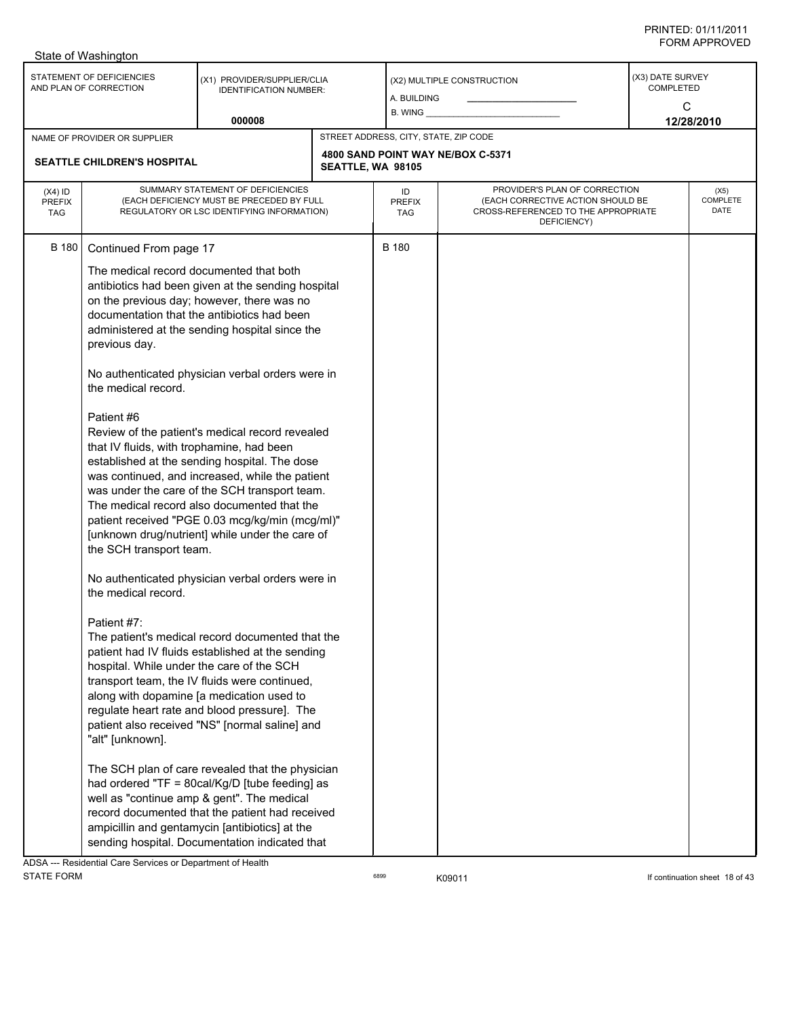| STATEMENT OF DEFICIENCIES<br>(X3) DATE SURVEY<br>(X1) PROVIDER/SUPPLIER/CLIA<br>(X2) MULTIPLE CONSTRUCTION<br>AND PLAN OF CORRECTION<br><b>COMPLETED</b><br><b>IDENTIFICATION NUMBER:</b><br>A. BUILDING<br>C<br><b>B. WING</b>                                                                                                                                                                                                                                                                                                                                                                                                                                                                                                                                                                                                                                                                                                                                                                                                                                                                                                                                                                                                                                                                                                                                                                                                                                                                                                                                                                                              |  |  |  |                          |
|------------------------------------------------------------------------------------------------------------------------------------------------------------------------------------------------------------------------------------------------------------------------------------------------------------------------------------------------------------------------------------------------------------------------------------------------------------------------------------------------------------------------------------------------------------------------------------------------------------------------------------------------------------------------------------------------------------------------------------------------------------------------------------------------------------------------------------------------------------------------------------------------------------------------------------------------------------------------------------------------------------------------------------------------------------------------------------------------------------------------------------------------------------------------------------------------------------------------------------------------------------------------------------------------------------------------------------------------------------------------------------------------------------------------------------------------------------------------------------------------------------------------------------------------------------------------------------------------------------------------------|--|--|--|--------------------------|
|                                                                                                                                                                                                                                                                                                                                                                                                                                                                                                                                                                                                                                                                                                                                                                                                                                                                                                                                                                                                                                                                                                                                                                                                                                                                                                                                                                                                                                                                                                                                                                                                                              |  |  |  |                          |
| 000008<br>12/28/2010                                                                                                                                                                                                                                                                                                                                                                                                                                                                                                                                                                                                                                                                                                                                                                                                                                                                                                                                                                                                                                                                                                                                                                                                                                                                                                                                                                                                                                                                                                                                                                                                         |  |  |  |                          |
| STREET ADDRESS, CITY, STATE, ZIP CODE<br>NAME OF PROVIDER OR SUPPLIER<br>4800 SAND POINT WAY NE/BOX C-5371<br><b>SEATTLE CHILDREN'S HOSPITAL</b><br>SEATTLE, WA 98105                                                                                                                                                                                                                                                                                                                                                                                                                                                                                                                                                                                                                                                                                                                                                                                                                                                                                                                                                                                                                                                                                                                                                                                                                                                                                                                                                                                                                                                        |  |  |  |                          |
| SUMMARY STATEMENT OF DEFICIENCIES<br>PROVIDER'S PLAN OF CORRECTION<br>$(X4)$ ID<br>ID<br>(EACH DEFICIENCY MUST BE PRECEDED BY FULL<br>(EACH CORRECTIVE ACTION SHOULD BE<br><b>PREFIX</b><br><b>PREFIX</b><br>CROSS-REFERENCED TO THE APPROPRIATE<br>REGULATORY OR LSC IDENTIFYING INFORMATION)<br><b>TAG</b><br>TAG<br>DEFICIENCY)                                                                                                                                                                                                                                                                                                                                                                                                                                                                                                                                                                                                                                                                                                                                                                                                                                                                                                                                                                                                                                                                                                                                                                                                                                                                                           |  |  |  | (X5)<br>COMPLETE<br>DATE |
| <b>B</b> 180<br>B 180<br>Continued From page 17<br>The medical record documented that both<br>antibiotics had been given at the sending hospital<br>on the previous day; however, there was no<br>documentation that the antibiotics had been<br>administered at the sending hospital since the<br>previous day.<br>No authenticated physician verbal orders were in<br>the medical record.<br>Patient #6<br>Review of the patient's medical record revealed<br>that IV fluids, with trophamine, had been<br>established at the sending hospital. The dose<br>was continued, and increased, while the patient<br>was under the care of the SCH transport team.<br>The medical record also documented that the<br>patient received "PGE 0.03 mcg/kg/min (mcg/ml)"<br>[unknown drug/nutrient] while under the care of<br>the SCH transport team.<br>No authenticated physician verbal orders were in<br>the medical record.<br>Patient #7:<br>The patient's medical record documented that the<br>patient had IV fluids established at the sending<br>hospital. While under the care of the SCH<br>transport team, the IV fluids were continued,<br>along with dopamine [a medication used to<br>regulate heart rate and blood pressure]. The<br>patient also received "NS" [normal saline] and<br>"alt" [unknown].<br>The SCH plan of care revealed that the physician<br>had ordered "TF = 80cal/Kg/D [tube feeding] as<br>well as "continue amp & gent". The medical<br>record documented that the patient had received<br>ampicillin and gentamycin [antibiotics] at the<br>sending hospital. Documentation indicated that |  |  |  |                          |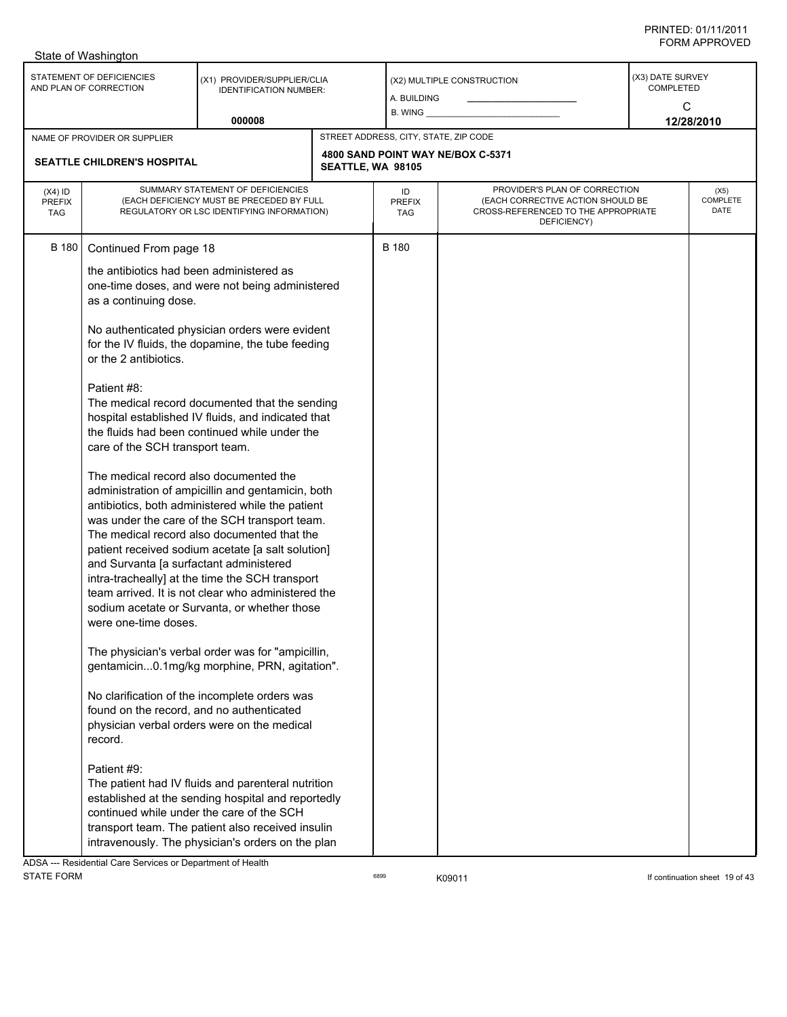|                                          | State of Washington                                                                                                                                                                                                                               |                                                                                                                                                                                                                                                                                                                                                                                                                     |                   |                                       |                                                                                                                          |                                           |                                 |
|------------------------------------------|---------------------------------------------------------------------------------------------------------------------------------------------------------------------------------------------------------------------------------------------------|---------------------------------------------------------------------------------------------------------------------------------------------------------------------------------------------------------------------------------------------------------------------------------------------------------------------------------------------------------------------------------------------------------------------|-------------------|---------------------------------------|--------------------------------------------------------------------------------------------------------------------------|-------------------------------------------|---------------------------------|
|                                          | STATEMENT OF DEFICIENCIES<br>AND PLAN OF CORRECTION                                                                                                                                                                                               | (X1) PROVIDER/SUPPLIER/CLIA<br><b>IDENTIFICATION NUMBER:</b>                                                                                                                                                                                                                                                                                                                                                        |                   | A. BUILDING                           | (X2) MULTIPLE CONSTRUCTION                                                                                               | (X3) DATE SURVEY<br><b>COMPLETED</b><br>C |                                 |
|                                          |                                                                                                                                                                                                                                                   | 000008                                                                                                                                                                                                                                                                                                                                                                                                              |                   | $B.$ WING $\_\_$                      |                                                                                                                          |                                           | 12/28/2010                      |
|                                          | NAME OF PROVIDER OR SUPPLIER                                                                                                                                                                                                                      |                                                                                                                                                                                                                                                                                                                                                                                                                     |                   | STREET ADDRESS, CITY, STATE, ZIP CODE |                                                                                                                          |                                           |                                 |
|                                          | SEATTLE CHILDREN'S HOSPITAL                                                                                                                                                                                                                       |                                                                                                                                                                                                                                                                                                                                                                                                                     | SEATTLE, WA 98105 |                                       | 4800 SAND POINT WAY NE/BOX C-5371                                                                                        |                                           |                                 |
| $(X4)$ ID<br><b>PREFIX</b><br><b>TAG</b> |                                                                                                                                                                                                                                                   | SUMMARY STATEMENT OF DEFICIENCIES<br>(EACH DEFICIENCY MUST BE PRECEDED BY FULL<br>REGULATORY OR LSC IDENTIFYING INFORMATION)                                                                                                                                                                                                                                                                                        |                   | ID<br><b>PREFIX</b><br><b>TAG</b>     | PROVIDER'S PLAN OF CORRECTION<br>(EACH CORRECTIVE ACTION SHOULD BE<br>CROSS-REFERENCED TO THE APPROPRIATE<br>DEFICIENCY) |                                           | (X5)<br><b>COMPLETE</b><br>DATE |
| <b>B</b> 180                             | Continued From page 18                                                                                                                                                                                                                            |                                                                                                                                                                                                                                                                                                                                                                                                                     |                   | <b>B</b> 180                          |                                                                                                                          |                                           |                                 |
|                                          | the antibiotics had been administered as<br>as a continuing dose.                                                                                                                                                                                 | one-time doses, and were not being administered                                                                                                                                                                                                                                                                                                                                                                     |                   |                                       |                                                                                                                          |                                           |                                 |
|                                          | or the 2 antibiotics.                                                                                                                                                                                                                             | No authenticated physician orders were evident<br>for the IV fluids, the dopamine, the tube feeding                                                                                                                                                                                                                                                                                                                 |                   |                                       |                                                                                                                          |                                           |                                 |
|                                          | Patient #8:<br>The medical record documented that the sending<br>hospital established IV fluids, and indicated that<br>the fluids had been continued while under the<br>care of the SCH transport team.<br>The medical record also documented the |                                                                                                                                                                                                                                                                                                                                                                                                                     |                   |                                       |                                                                                                                          |                                           |                                 |
|                                          | and Survanta [a surfactant administered<br>were one-time doses.                                                                                                                                                                                   | administration of ampicillin and gentamicin, both<br>antibiotics, both administered while the patient<br>was under the care of the SCH transport team.<br>The medical record also documented that the<br>patient received sodium acetate [a salt solution]<br>intra-tracheally] at the time the SCH transport<br>team arrived. It is not clear who administered the<br>sodium acetate or Survanta, or whether those |                   |                                       |                                                                                                                          |                                           |                                 |
|                                          | found on the record, and no authenticated<br>record.                                                                                                                                                                                              | The physician's verbal order was for "ampicillin,<br>gentamicin0.1mg/kg morphine, PRN, agitation".<br>No clarification of the incomplete orders was<br>physician verbal orders were on the medical                                                                                                                                                                                                                  |                   |                                       |                                                                                                                          |                                           |                                 |
|                                          | Patient #9:<br>continued while under the care of the SCH                                                                                                                                                                                          | The patient had IV fluids and parenteral nutrition<br>established at the sending hospital and reportedly<br>transport team. The patient also received insulin<br>intravenously. The physician's orders on the plan                                                                                                                                                                                                  |                   |                                       |                                                                                                                          |                                           |                                 |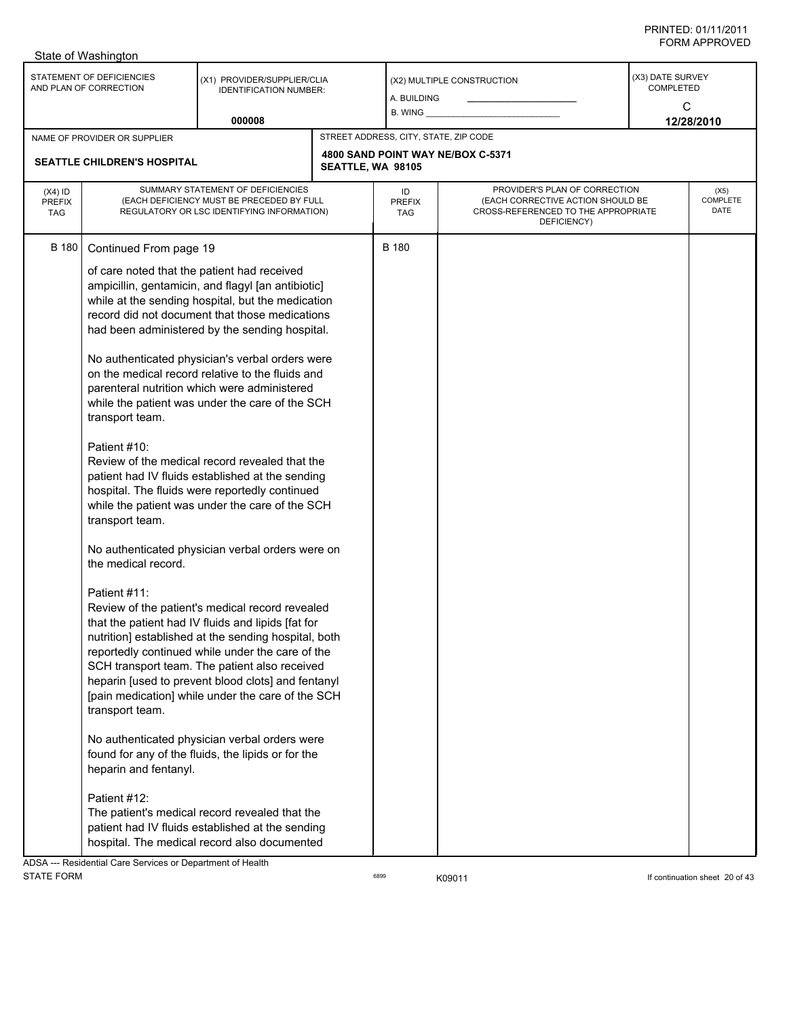|                                          | State of Washington                                                                                                                                                                                                            |                                                                                                                                                                                                                                                                                                                                                                                                                                                                                                                                                                                                                                                                                                                                                                                                                                                                                                                                                                                                                                                                                                                                                                                                                                |                   |                                       |                                                                                                                          |                                           |                          |
|------------------------------------------|--------------------------------------------------------------------------------------------------------------------------------------------------------------------------------------------------------------------------------|--------------------------------------------------------------------------------------------------------------------------------------------------------------------------------------------------------------------------------------------------------------------------------------------------------------------------------------------------------------------------------------------------------------------------------------------------------------------------------------------------------------------------------------------------------------------------------------------------------------------------------------------------------------------------------------------------------------------------------------------------------------------------------------------------------------------------------------------------------------------------------------------------------------------------------------------------------------------------------------------------------------------------------------------------------------------------------------------------------------------------------------------------------------------------------------------------------------------------------|-------------------|---------------------------------------|--------------------------------------------------------------------------------------------------------------------------|-------------------------------------------|--------------------------|
|                                          | STATEMENT OF DEFICIENCIES<br>AND PLAN OF CORRECTION                                                                                                                                                                            | (X1) PROVIDER/SUPPLIER/CLIA<br><b>IDENTIFICATION NUMBER:</b>                                                                                                                                                                                                                                                                                                                                                                                                                                                                                                                                                                                                                                                                                                                                                                                                                                                                                                                                                                                                                                                                                                                                                                   |                   | A. BUILDING<br>$B.$ WING $\_\_$       | (X2) MULTIPLE CONSTRUCTION                                                                                               | (X3) DATE SURVEY<br><b>COMPLETED</b><br>C |                          |
|                                          |                                                                                                                                                                                                                                | 000008                                                                                                                                                                                                                                                                                                                                                                                                                                                                                                                                                                                                                                                                                                                                                                                                                                                                                                                                                                                                                                                                                                                                                                                                                         |                   |                                       |                                                                                                                          |                                           | 12/28/2010               |
|                                          | NAME OF PROVIDER OR SUPPLIER                                                                                                                                                                                                   |                                                                                                                                                                                                                                                                                                                                                                                                                                                                                                                                                                                                                                                                                                                                                                                                                                                                                                                                                                                                                                                                                                                                                                                                                                |                   | STREET ADDRESS, CITY, STATE, ZIP CODE |                                                                                                                          |                                           |                          |
|                                          | <b>SEATTLE CHILDREN'S HOSPITAL</b>                                                                                                                                                                                             |                                                                                                                                                                                                                                                                                                                                                                                                                                                                                                                                                                                                                                                                                                                                                                                                                                                                                                                                                                                                                                                                                                                                                                                                                                | SEATTLE, WA 98105 |                                       | 4800 SAND POINT WAY NE/BOX C-5371                                                                                        |                                           |                          |
| $(X4)$ ID<br><b>PREFIX</b><br><b>TAG</b> |                                                                                                                                                                                                                                | SUMMARY STATEMENT OF DEFICIENCIES<br>(EACH DEFICIENCY MUST BE PRECEDED BY FULL<br>REGULATORY OR LSC IDENTIFYING INFORMATION)                                                                                                                                                                                                                                                                                                                                                                                                                                                                                                                                                                                                                                                                                                                                                                                                                                                                                                                                                                                                                                                                                                   |                   | ID<br><b>PREFIX</b><br>TAG            | PROVIDER'S PLAN OF CORRECTION<br>(EACH CORRECTIVE ACTION SHOULD BE<br>CROSS-REFERENCED TO THE APPROPRIATE<br>DEFICIENCY) |                                           | (X5)<br>COMPLETE<br>DATE |
| B 180                                    | Continued From page 19<br>of care noted that the patient had received<br>transport team.<br>Patient #10:<br>transport team.<br>the medical record.<br>Patient #11:<br>transport team.<br>heparin and fentanyl.<br>Patient #12: | ampicillin, gentamicin, and flagyl [an antibiotic]<br>while at the sending hospital, but the medication<br>record did not document that those medications<br>had been administered by the sending hospital.<br>No authenticated physician's verbal orders were<br>on the medical record relative to the fluids and<br>parenteral nutrition which were administered<br>while the patient was under the care of the SCH<br>Review of the medical record revealed that the<br>patient had IV fluids established at the sending<br>hospital. The fluids were reportedly continued<br>while the patient was under the care of the SCH<br>No authenticated physician verbal orders were on<br>Review of the patient's medical record revealed<br>that the patient had IV fluids and lipids [fat for<br>nutrition] established at the sending hospital, both<br>reportedly continued while under the care of the<br>SCH transport team. The patient also received<br>heparin [used to prevent blood clots] and fentanyl<br>[pain medication] while under the care of the SCH<br>No authenticated physician verbal orders were<br>found for any of the fluids, the lipids or for the<br>The patient's medical record revealed that the |                   | <b>B</b> 180                          |                                                                                                                          |                                           |                          |
|                                          |                                                                                                                                                                                                                                | patient had IV fluids established at the sending<br>hospital. The medical record also documented                                                                                                                                                                                                                                                                                                                                                                                                                                                                                                                                                                                                                                                                                                                                                                                                                                                                                                                                                                                                                                                                                                                               |                   |                                       |                                                                                                                          |                                           |                          |

ADSA --- Residential Care Services or Department of Health STATE FORM **EXAMPLE 10** 6899 **KOSE** 6899 **KOSE KOSE KOSE EXAMPLE 11 If continuation sheet 20 of 43**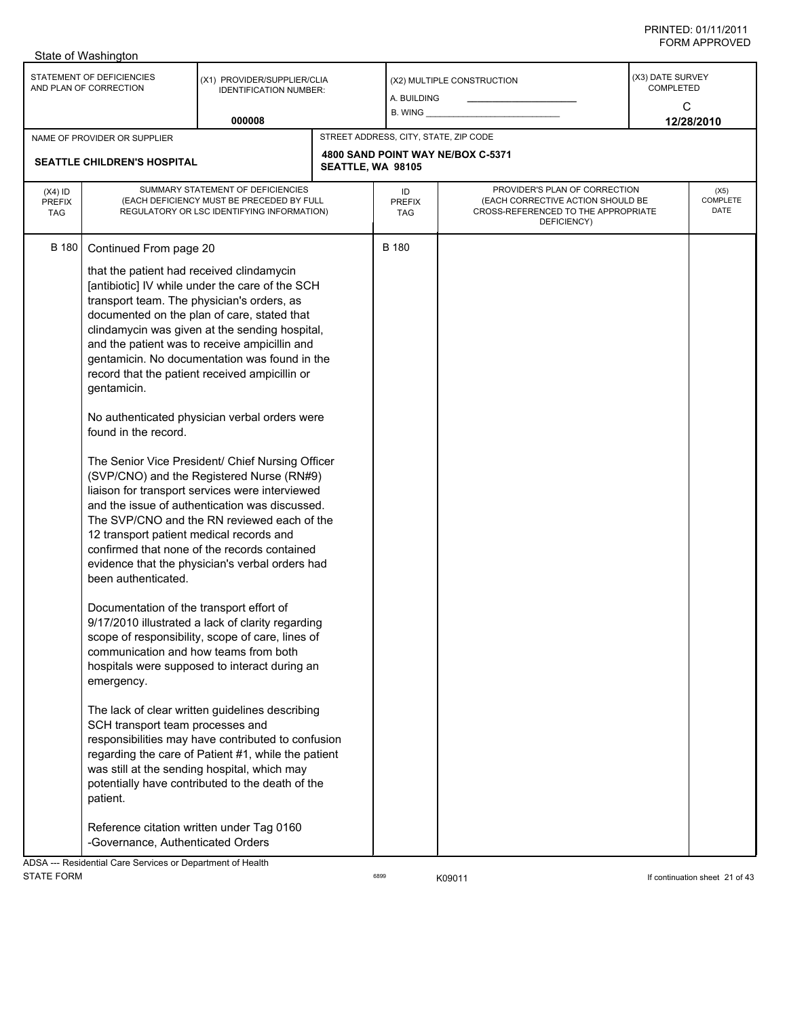|                                          | State of Washington                                                                                                                                                                                                                                                                                                                                                                                                                                              |                                                                                                                                                                                                                                                                                                                                                                                                                                                                                                                                                                                                                                                                                                                                                                                                                                                                                                                                                                                                                                                                                                                                             |                   |                                       |                                                                                                                          |                                           |                          |
|------------------------------------------|------------------------------------------------------------------------------------------------------------------------------------------------------------------------------------------------------------------------------------------------------------------------------------------------------------------------------------------------------------------------------------------------------------------------------------------------------------------|---------------------------------------------------------------------------------------------------------------------------------------------------------------------------------------------------------------------------------------------------------------------------------------------------------------------------------------------------------------------------------------------------------------------------------------------------------------------------------------------------------------------------------------------------------------------------------------------------------------------------------------------------------------------------------------------------------------------------------------------------------------------------------------------------------------------------------------------------------------------------------------------------------------------------------------------------------------------------------------------------------------------------------------------------------------------------------------------------------------------------------------------|-------------------|---------------------------------------|--------------------------------------------------------------------------------------------------------------------------|-------------------------------------------|--------------------------|
|                                          | STATEMENT OF DEFICIENCIES<br>AND PLAN OF CORRECTION                                                                                                                                                                                                                                                                                                                                                                                                              | (X1) PROVIDER/SUPPLIER/CLIA<br><b>IDENTIFICATION NUMBER:</b>                                                                                                                                                                                                                                                                                                                                                                                                                                                                                                                                                                                                                                                                                                                                                                                                                                                                                                                                                                                                                                                                                |                   | A. BUILDING<br>$B.$ WING $\_\_$       | (X2) MULTIPLE CONSTRUCTION                                                                                               | (X3) DATE SURVEY<br><b>COMPLETED</b><br>C |                          |
|                                          |                                                                                                                                                                                                                                                                                                                                                                                                                                                                  | 000008                                                                                                                                                                                                                                                                                                                                                                                                                                                                                                                                                                                                                                                                                                                                                                                                                                                                                                                                                                                                                                                                                                                                      |                   |                                       |                                                                                                                          |                                           | 12/28/2010               |
|                                          | NAME OF PROVIDER OR SUPPLIER<br><b>SEATTLE CHILDREN'S HOSPITAL</b>                                                                                                                                                                                                                                                                                                                                                                                               |                                                                                                                                                                                                                                                                                                                                                                                                                                                                                                                                                                                                                                                                                                                                                                                                                                                                                                                                                                                                                                                                                                                                             | SEATTLE, WA 98105 | STREET ADDRESS, CITY, STATE, ZIP CODE | 4800 SAND POINT WAY NE/BOX C-5371                                                                                        |                                           |                          |
| $(X4)$ ID<br><b>PREFIX</b><br><b>TAG</b> |                                                                                                                                                                                                                                                                                                                                                                                                                                                                  | SUMMARY STATEMENT OF DEFICIENCIES<br>(EACH DEFICIENCY MUST BE PRECEDED BY FULL<br>REGULATORY OR LSC IDENTIFYING INFORMATION)                                                                                                                                                                                                                                                                                                                                                                                                                                                                                                                                                                                                                                                                                                                                                                                                                                                                                                                                                                                                                |                   | ID<br><b>PREFIX</b><br>TAG            | PROVIDER'S PLAN OF CORRECTION<br>(EACH CORRECTIVE ACTION SHOULD BE<br>CROSS-REFERENCED TO THE APPROPRIATE<br>DEFICIENCY) |                                           | (X5)<br>COMPLETE<br>DATE |
| <b>B</b> 180                             | Continued From page 20<br>that the patient had received clindamycin<br>transport team. The physician's orders, as<br>gentamicin.<br>found in the record.<br>12 transport patient medical records and<br>been authenticated.<br>Documentation of the transport effort of<br>communication and how teams from both<br>emergency.<br>SCH transport team processes and<br>patient.<br>Reference citation written under Tag 0160<br>-Governance, Authenticated Orders | [antibiotic] IV while under the care of the SCH<br>documented on the plan of care, stated that<br>clindamycin was given at the sending hospital,<br>and the patient was to receive ampicillin and<br>gentamicin. No documentation was found in the<br>record that the patient received ampicillin or<br>No authenticated physician verbal orders were<br>The Senior Vice President/ Chief Nursing Officer<br>(SVP/CNO) and the Registered Nurse (RN#9)<br>liaison for transport services were interviewed<br>and the issue of authentication was discussed.<br>The SVP/CNO and the RN reviewed each of the<br>confirmed that none of the records contained<br>evidence that the physician's verbal orders had<br>9/17/2010 illustrated a lack of clarity regarding<br>scope of responsibility, scope of care, lines of<br>hospitals were supposed to interact during an<br>The lack of clear written guidelines describing<br>responsibilities may have contributed to confusion<br>regarding the care of Patient #1, while the patient<br>was still at the sending hospital, which may<br>potentially have contributed to the death of the |                   | B 180                                 |                                                                                                                          |                                           |                          |
|                                          | ADSA --- Residential Care Services or Department of Health                                                                                                                                                                                                                                                                                                                                                                                                       |                                                                                                                                                                                                                                                                                                                                                                                                                                                                                                                                                                                                                                                                                                                                                                                                                                                                                                                                                                                                                                                                                                                                             |                   |                                       |                                                                                                                          |                                           |                          |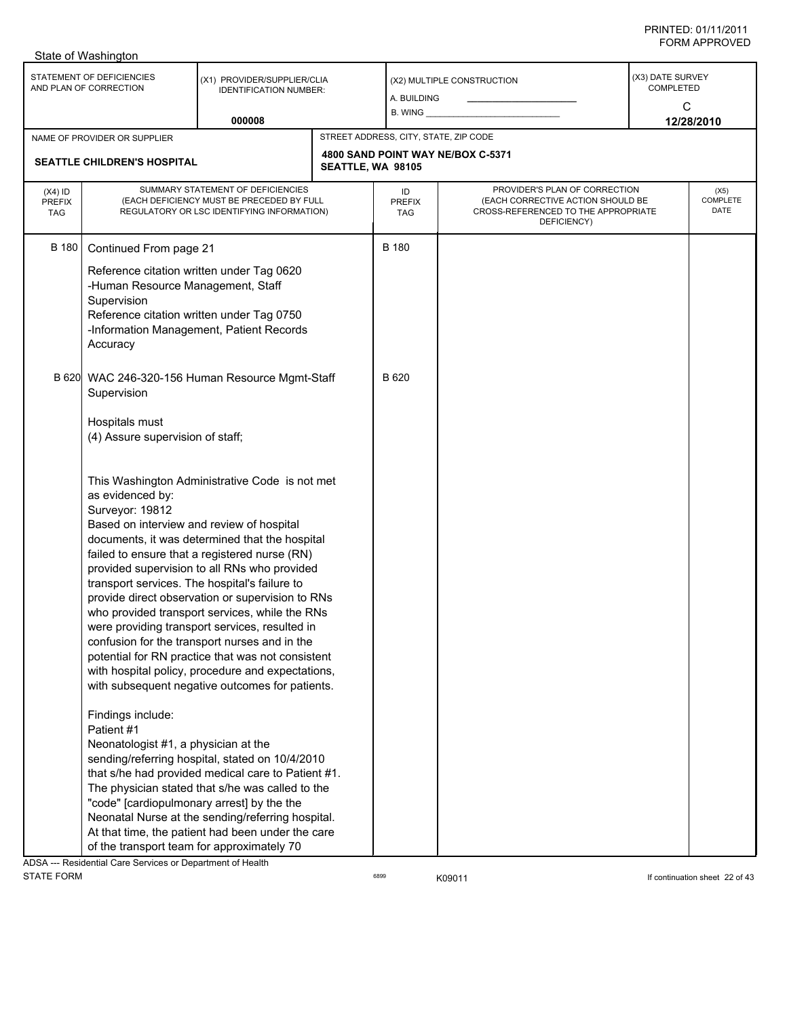|                                          | State of Washington                                                                                                                                         |                                                                                                                                                                                                                                                                                                                                                                                                                                                                                                                                                                                                                          |                                       |                                                                                                                          |                                      |                          |
|------------------------------------------|-------------------------------------------------------------------------------------------------------------------------------------------------------------|--------------------------------------------------------------------------------------------------------------------------------------------------------------------------------------------------------------------------------------------------------------------------------------------------------------------------------------------------------------------------------------------------------------------------------------------------------------------------------------------------------------------------------------------------------------------------------------------------------------------------|---------------------------------------|--------------------------------------------------------------------------------------------------------------------------|--------------------------------------|--------------------------|
|                                          | STATEMENT OF DEFICIENCIES<br>AND PLAN OF CORRECTION                                                                                                         | (X1) PROVIDER/SUPPLIER/CLIA<br><b>IDENTIFICATION NUMBER:</b><br>000008                                                                                                                                                                                                                                                                                                                                                                                                                                                                                                                                                   | a. Building                           | (X2) MULTIPLE CONSTRUCTION                                                                                               | (X3) DATE SURVEY<br><b>COMPLETED</b> | C<br>12/28/2010          |
|                                          | NAME OF PROVIDER OR SUPPLIER                                                                                                                                |                                                                                                                                                                                                                                                                                                                                                                                                                                                                                                                                                                                                                          | STREET ADDRESS, CITY, STATE, ZIP CODE |                                                                                                                          |                                      |                          |
|                                          | SEATTLE CHILDREN'S HOSPITAL                                                                                                                                 |                                                                                                                                                                                                                                                                                                                                                                                                                                                                                                                                                                                                                          | SEATTLE, WA 98105                     | 4800 SAND POINT WAY NE/BOX C-5371                                                                                        |                                      |                          |
| $(X4)$ ID<br><b>PREFIX</b><br><b>TAG</b> |                                                                                                                                                             | SUMMARY STATEMENT OF DEFICIENCIES<br>(EACH DEFICIENCY MUST BE PRECEDED BY FULL<br>REGULATORY OR LSC IDENTIFYING INFORMATION)                                                                                                                                                                                                                                                                                                                                                                                                                                                                                             | ID<br><b>PREFIX</b><br><b>TAG</b>     | PROVIDER'S PLAN OF CORRECTION<br>(EACH CORRECTIVE ACTION SHOULD BE<br>CROSS-REFERENCED TO THE APPROPRIATE<br>DEFICIENCY) |                                      | (X5)<br>COMPLETE<br>DATE |
| <b>B</b> 180                             | Continued From page 21<br>-Human Resource Management, Staff<br>Supervision<br>Accuracy                                                                      | Reference citation written under Tag 0620<br>Reference citation written under Tag 0750<br>-Information Management, Patient Records                                                                                                                                                                                                                                                                                                                                                                                                                                                                                       | <b>B</b> 180                          |                                                                                                                          |                                      |                          |
|                                          | Supervision<br>Hospitals must<br>(4) Assure supervision of staff;                                                                                           | B 620 WAC 246-320-156 Human Resource Mgmt-Staff                                                                                                                                                                                                                                                                                                                                                                                                                                                                                                                                                                          | B 620                                 |                                                                                                                          |                                      |                          |
|                                          | as evidenced by:<br>Surveyor: 19812<br>Based on interview and review of hospital<br>Findings include:<br>Patient #1<br>Neonatologist #1, a physician at the | This Washington Administrative Code is not met<br>documents, it was determined that the hospital<br>failed to ensure that a registered nurse (RN)<br>provided supervision to all RNs who provided<br>transport services. The hospital's failure to<br>provide direct observation or supervision to RNs<br>who provided transport services, while the RNs<br>were providing transport services, resulted in<br>confusion for the transport nurses and in the<br>potential for RN practice that was not consistent<br>with hospital policy, procedure and expectations,<br>with subsequent negative outcomes for patients. |                                       |                                                                                                                          |                                      |                          |
|                                          | ADSA --- Residential Care Services or Department of Health                                                                                                  | sending/referring hospital, stated on 10/4/2010<br>that s/he had provided medical care to Patient #1.<br>The physician stated that s/he was called to the<br>"code" [cardiopulmonary arrest] by the the<br>Neonatal Nurse at the sending/referring hospital.<br>At that time, the patient had been under the care<br>of the transport team for approximately 70                                                                                                                                                                                                                                                          |                                       |                                                                                                                          |                                      |                          |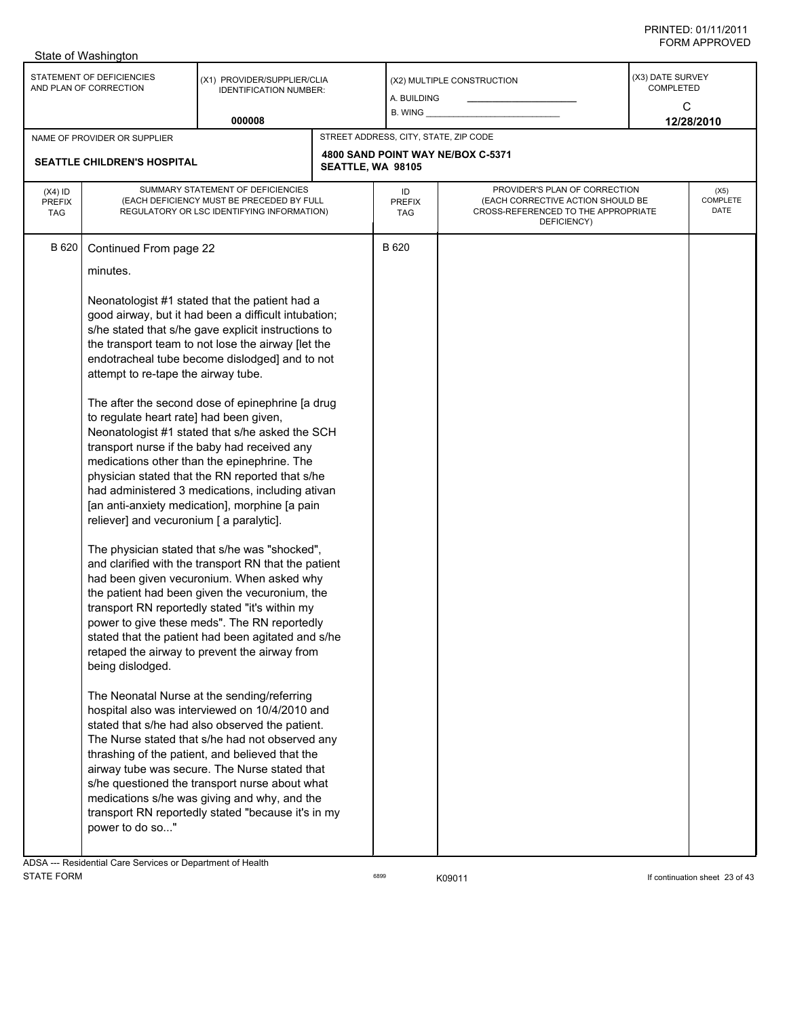| STATEMENT OF DEFICIENCIES<br>(X3) DATE SURVEY<br>(X1) PROVIDER/SUPPLIER/CLIA<br>(X2) MULTIPLE CONSTRUCTION<br>COMPLETED<br>AND PLAN OF CORRECTION<br><b>IDENTIFICATION NUMBER:</b><br>A. BUILDING<br>C<br>$B.$ WING $\_\_$<br>000008<br>12/28/2010<br>STREET ADDRESS, CITY, STATE, ZIP CODE<br>NAME OF PROVIDER OR SUPPLIER<br>4800 SAND POINT WAY NE/BOX C-5371<br>SEATTLE CHILDREN'S HOSPITAL<br>SEATTLE, WA 98105<br>PROVIDER'S PLAN OF CORRECTION<br>SUMMARY STATEMENT OF DEFICIENCIES<br>$(X4)$ ID<br>ID<br>(X5)<br>(EACH DEFICIENCY MUST BE PRECEDED BY FULL<br>(EACH CORRECTIVE ACTION SHOULD BE<br>COMPLETE<br><b>PREFIX</b><br><b>PREFIX</b><br>DATE<br>CROSS-REFERENCED TO THE APPROPRIATE<br>REGULATORY OR LSC IDENTIFYING INFORMATION)<br>TAG<br>TAG<br>DEFICIENCY)<br>B 620<br>B 620<br>Continued From page 22<br>minutes.<br>Neonatologist #1 stated that the patient had a<br>good airway, but it had been a difficult intubation;<br>s/he stated that s/he gave explicit instructions to<br>the transport team to not lose the airway [let the<br>endotracheal tube become dislodged] and to not<br>attempt to re-tape the airway tube.<br>The after the second dose of epinephrine [a drug<br>to regulate heart rate] had been given,<br>Neonatologist #1 stated that s/he asked the SCH<br>transport nurse if the baby had received any<br>medications other than the epinephrine. The<br>physician stated that the RN reported that s/he<br>had administered 3 medications, including ativan<br>[an anti-anxiety medication], morphine [a pain<br>reliever] and vecuronium [ a paralytic].<br>The physician stated that s/he was "shocked",<br>and clarified with the transport RN that the patient<br>had been given vecuronium. When asked why<br>the patient had been given the vecuronium, the<br>transport RN reportedly stated "it's within my<br>power to give these meds". The RN reportedly<br>stated that the patient had been agitated and s/he<br>retaped the airway to prevent the airway from<br>being dislodged.<br>The Neonatal Nurse at the sending/referring<br>hospital also was interviewed on 10/4/2010 and<br>stated that s/he had also observed the patient.<br>The Nurse stated that s/he had not observed any<br>thrashing of the patient, and believed that the<br>airway tube was secure. The Nurse stated that<br>s/he questioned the transport nurse about what<br>medications s/he was giving and why, and the<br>transport RN reportedly stated "because it's in my<br>power to do so" | State of Washington |  |  |  |  |
|------------------------------------------------------------------------------------------------------------------------------------------------------------------------------------------------------------------------------------------------------------------------------------------------------------------------------------------------------------------------------------------------------------------------------------------------------------------------------------------------------------------------------------------------------------------------------------------------------------------------------------------------------------------------------------------------------------------------------------------------------------------------------------------------------------------------------------------------------------------------------------------------------------------------------------------------------------------------------------------------------------------------------------------------------------------------------------------------------------------------------------------------------------------------------------------------------------------------------------------------------------------------------------------------------------------------------------------------------------------------------------------------------------------------------------------------------------------------------------------------------------------------------------------------------------------------------------------------------------------------------------------------------------------------------------------------------------------------------------------------------------------------------------------------------------------------------------------------------------------------------------------------------------------------------------------------------------------------------------------------------------------------------------------------------------------------------------------------------------------------------------------------------------------------------------------------------------------------------------------------------------------------------------------------------------------------------------------------------------------------------------------------------------------------------------------------------------------------------------------------------------------------------------------|---------------------|--|--|--|--|
|                                                                                                                                                                                                                                                                                                                                                                                                                                                                                                                                                                                                                                                                                                                                                                                                                                                                                                                                                                                                                                                                                                                                                                                                                                                                                                                                                                                                                                                                                                                                                                                                                                                                                                                                                                                                                                                                                                                                                                                                                                                                                                                                                                                                                                                                                                                                                                                                                                                                                                                                          |                     |  |  |  |  |
|                                                                                                                                                                                                                                                                                                                                                                                                                                                                                                                                                                                                                                                                                                                                                                                                                                                                                                                                                                                                                                                                                                                                                                                                                                                                                                                                                                                                                                                                                                                                                                                                                                                                                                                                                                                                                                                                                                                                                                                                                                                                                                                                                                                                                                                                                                                                                                                                                                                                                                                                          |                     |  |  |  |  |
|                                                                                                                                                                                                                                                                                                                                                                                                                                                                                                                                                                                                                                                                                                                                                                                                                                                                                                                                                                                                                                                                                                                                                                                                                                                                                                                                                                                                                                                                                                                                                                                                                                                                                                                                                                                                                                                                                                                                                                                                                                                                                                                                                                                                                                                                                                                                                                                                                                                                                                                                          |                     |  |  |  |  |
|                                                                                                                                                                                                                                                                                                                                                                                                                                                                                                                                                                                                                                                                                                                                                                                                                                                                                                                                                                                                                                                                                                                                                                                                                                                                                                                                                                                                                                                                                                                                                                                                                                                                                                                                                                                                                                                                                                                                                                                                                                                                                                                                                                                                                                                                                                                                                                                                                                                                                                                                          |                     |  |  |  |  |
|                                                                                                                                                                                                                                                                                                                                                                                                                                                                                                                                                                                                                                                                                                                                                                                                                                                                                                                                                                                                                                                                                                                                                                                                                                                                                                                                                                                                                                                                                                                                                                                                                                                                                                                                                                                                                                                                                                                                                                                                                                                                                                                                                                                                                                                                                                                                                                                                                                                                                                                                          |                     |  |  |  |  |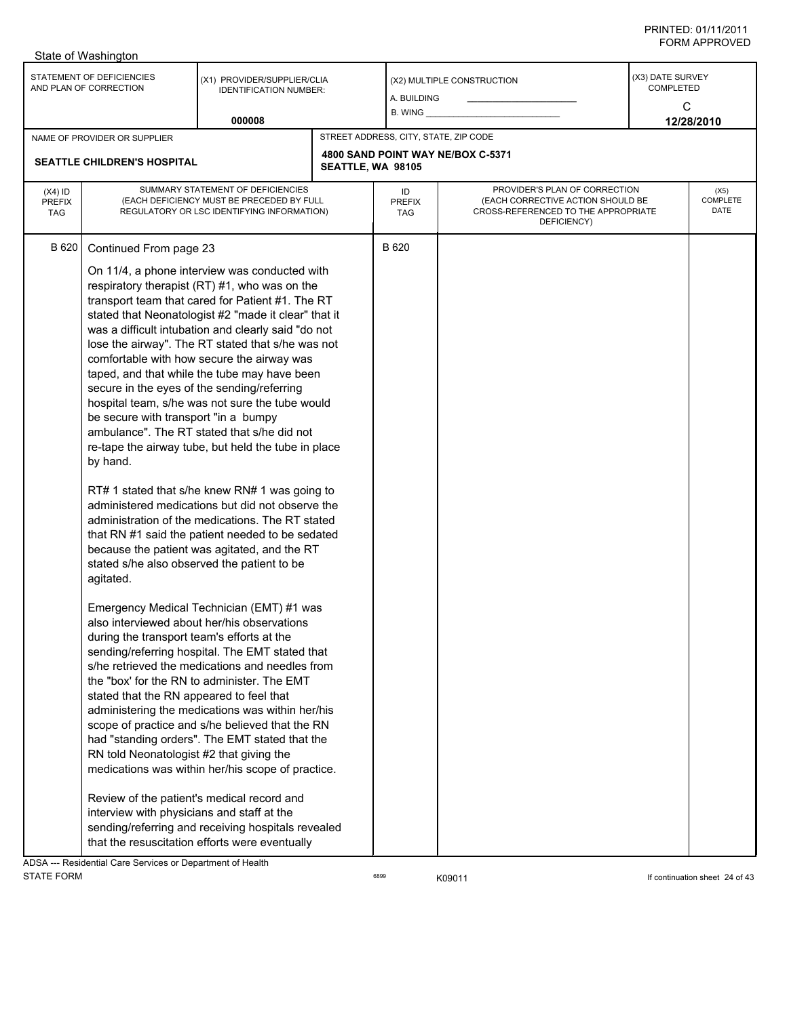| STATEMENT OF DEFICIENCIES<br>(X3) DATE SURVEY<br>(X1) PROVIDER/SUPPLIER/CLIA<br>(X2) MULTIPLE CONSTRUCTION<br>AND PLAN OF CORRECTION<br><b>COMPLETED</b><br><b>IDENTIFICATION NUMBER:</b><br>a. Building<br>C<br>$B.$ WING $\_\_$<br>000008<br>12/28/2010<br>STREET ADDRESS, CITY, STATE, ZIP CODE<br>NAME OF PROVIDER OR SUPPLIER<br>4800 SAND POINT WAY NE/BOX C-5371<br>SEATTLE CHILDREN'S HOSPITAL<br>SEATTLE, WA 98105<br>SUMMARY STATEMENT OF DEFICIENCIES<br>PROVIDER'S PLAN OF CORRECTION<br>$(X4)$ ID<br>(X5)<br>ID<br>(EACH DEFICIENCY MUST BE PRECEDED BY FULL<br>(EACH CORRECTIVE ACTION SHOULD BE<br>COMPLETE<br><b>PREFIX</b><br><b>PREFIX</b><br>DATE<br>CROSS-REFERENCED TO THE APPROPRIATE<br>REGULATORY OR LSC IDENTIFYING INFORMATION)<br><b>TAG</b><br><b>TAG</b><br>DEFICIENCY)<br>B 620<br>B 620<br>Continued From page 23<br>On 11/4, a phone interview was conducted with<br>respiratory therapist (RT) #1, who was on the<br>transport team that cared for Patient #1. The RT<br>stated that Neonatologist #2 "made it clear" that it<br>was a difficult intubation and clearly said "do not<br>lose the airway". The RT stated that s/he was not<br>comfortable with how secure the airway was<br>taped, and that while the tube may have been<br>secure in the eyes of the sending/referring<br>hospital team, s/he was not sure the tube would<br>be secure with transport "in a bumpy<br>ambulance". The RT stated that s/he did not<br>re-tape the airway tube, but held the tube in place<br>by hand.<br>RT# 1 stated that s/he knew RN# 1 was going to<br>administered medications but did not observe the<br>administration of the medications. The RT stated<br>that RN #1 said the patient needed to be sedated<br>because the patient was agitated, and the RT<br>stated s/he also observed the patient to be<br>agitated.<br>Emergency Medical Technician (EMT) #1 was<br>also interviewed about her/his observations<br>during the transport team's efforts at the<br>sending/referring hospital. The EMT stated that<br>s/he retrieved the medications and needles from<br>the "box' for the RN to administer. The EMT | State of Washington |  |  |  |  |  |
|---------------------------------------------------------------------------------------------------------------------------------------------------------------------------------------------------------------------------------------------------------------------------------------------------------------------------------------------------------------------------------------------------------------------------------------------------------------------------------------------------------------------------------------------------------------------------------------------------------------------------------------------------------------------------------------------------------------------------------------------------------------------------------------------------------------------------------------------------------------------------------------------------------------------------------------------------------------------------------------------------------------------------------------------------------------------------------------------------------------------------------------------------------------------------------------------------------------------------------------------------------------------------------------------------------------------------------------------------------------------------------------------------------------------------------------------------------------------------------------------------------------------------------------------------------------------------------------------------------------------------------------------------------------------------------------------------------------------------------------------------------------------------------------------------------------------------------------------------------------------------------------------------------------------------------------------------------------------------------------------------------------------------------------------------------------------------------------------------------------------------------------------------------------|---------------------|--|--|--|--|--|
|                                                                                                                                                                                                                                                                                                                                                                                                                                                                                                                                                                                                                                                                                                                                                                                                                                                                                                                                                                                                                                                                                                                                                                                                                                                                                                                                                                                                                                                                                                                                                                                                                                                                                                                                                                                                                                                                                                                                                                                                                                                                                                                                                               |                     |  |  |  |  |  |
|                                                                                                                                                                                                                                                                                                                                                                                                                                                                                                                                                                                                                                                                                                                                                                                                                                                                                                                                                                                                                                                                                                                                                                                                                                                                                                                                                                                                                                                                                                                                                                                                                                                                                                                                                                                                                                                                                                                                                                                                                                                                                                                                                               |                     |  |  |  |  |  |
|                                                                                                                                                                                                                                                                                                                                                                                                                                                                                                                                                                                                                                                                                                                                                                                                                                                                                                                                                                                                                                                                                                                                                                                                                                                                                                                                                                                                                                                                                                                                                                                                                                                                                                                                                                                                                                                                                                                                                                                                                                                                                                                                                               |                     |  |  |  |  |  |
|                                                                                                                                                                                                                                                                                                                                                                                                                                                                                                                                                                                                                                                                                                                                                                                                                                                                                                                                                                                                                                                                                                                                                                                                                                                                                                                                                                                                                                                                                                                                                                                                                                                                                                                                                                                                                                                                                                                                                                                                                                                                                                                                                               |                     |  |  |  |  |  |
| stated that the RN appeared to feel that<br>administering the medications was within her/his<br>scope of practice and s/he believed that the RN<br>had "standing orders". The EMT stated that the<br>RN told Neonatologist #2 that giving the<br>medications was within her/his scope of practice.<br>Review of the patient's medical record and<br>interview with physicians and staff at the<br>sending/referring and receiving hospitals revealed<br>that the resuscitation efforts were eventually                                                                                                                                                                                                                                                                                                                                                                                                                                                                                                                                                                                                                                                                                                                                                                                                                                                                                                                                                                                                                                                                                                                                                                                                                                                                                                                                                                                                                                                                                                                                                                                                                                                        |                     |  |  |  |  |  |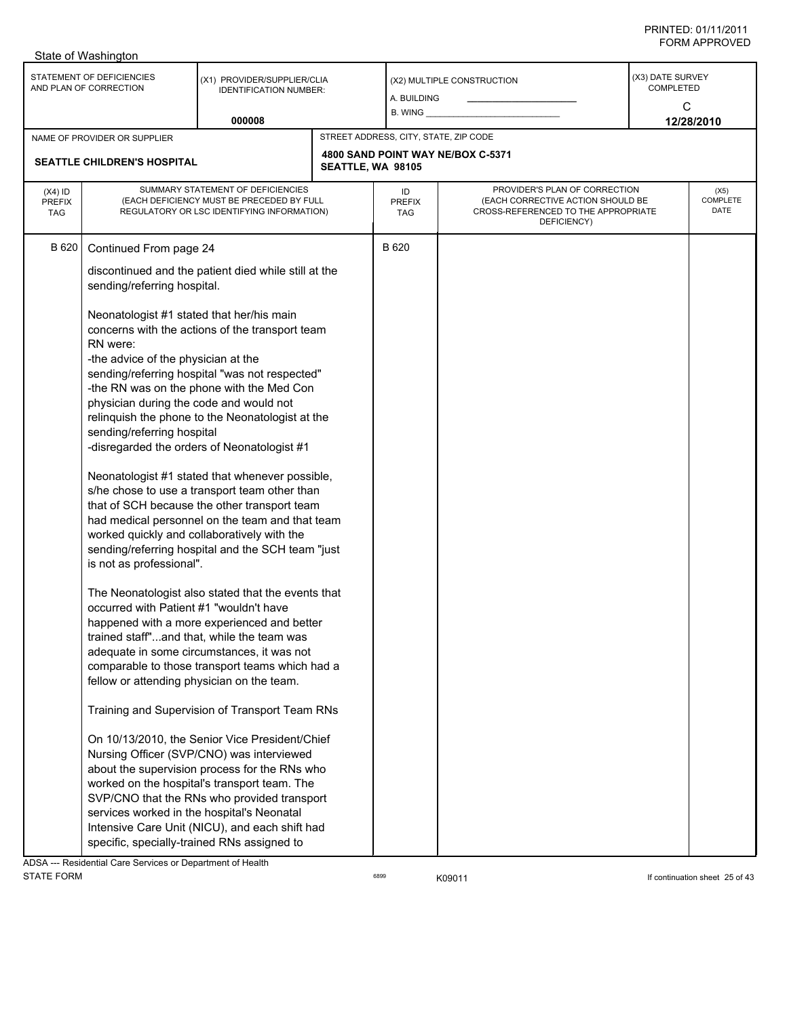|                                          | State of Washington                                                                                                                                                                                                                                                                                                                                                                                                                                                                             |                                                                                                                                                                                                                                                                                                                                                                                                                                                                                                                                                                                                                                                                                                                                                                                                                                                                                                                                                                                                                                                                                                                                                                              |                   |                                       |                                                                                                                          |                                           |                          |
|------------------------------------------|-------------------------------------------------------------------------------------------------------------------------------------------------------------------------------------------------------------------------------------------------------------------------------------------------------------------------------------------------------------------------------------------------------------------------------------------------------------------------------------------------|------------------------------------------------------------------------------------------------------------------------------------------------------------------------------------------------------------------------------------------------------------------------------------------------------------------------------------------------------------------------------------------------------------------------------------------------------------------------------------------------------------------------------------------------------------------------------------------------------------------------------------------------------------------------------------------------------------------------------------------------------------------------------------------------------------------------------------------------------------------------------------------------------------------------------------------------------------------------------------------------------------------------------------------------------------------------------------------------------------------------------------------------------------------------------|-------------------|---------------------------------------|--------------------------------------------------------------------------------------------------------------------------|-------------------------------------------|--------------------------|
|                                          | STATEMENT OF DEFICIENCIES<br>AND PLAN OF CORRECTION                                                                                                                                                                                                                                                                                                                                                                                                                                             | (X1) PROVIDER/SUPPLIER/CLIA<br><b>IDENTIFICATION NUMBER:</b><br>000008                                                                                                                                                                                                                                                                                                                                                                                                                                                                                                                                                                                                                                                                                                                                                                                                                                                                                                                                                                                                                                                                                                       |                   | A. BUILDING<br>$B.$ WING $\_\_$       | (X2) MULTIPLE CONSTRUCTION                                                                                               | (X3) DATE SURVEY<br><b>COMPLETED</b><br>C | 12/28/2010               |
|                                          |                                                                                                                                                                                                                                                                                                                                                                                                                                                                                                 |                                                                                                                                                                                                                                                                                                                                                                                                                                                                                                                                                                                                                                                                                                                                                                                                                                                                                                                                                                                                                                                                                                                                                                              |                   | STREET ADDRESS, CITY, STATE, ZIP CODE |                                                                                                                          |                                           |                          |
|                                          | NAME OF PROVIDER OR SUPPLIER<br><b>SEATTLE CHILDREN'S HOSPITAL</b>                                                                                                                                                                                                                                                                                                                                                                                                                              |                                                                                                                                                                                                                                                                                                                                                                                                                                                                                                                                                                                                                                                                                                                                                                                                                                                                                                                                                                                                                                                                                                                                                                              | SEATTLE, WA 98105 |                                       | 4800 SAND POINT WAY NE/BOX C-5371                                                                                        |                                           |                          |
| $(X4)$ ID<br><b>PREFIX</b><br><b>TAG</b> |                                                                                                                                                                                                                                                                                                                                                                                                                                                                                                 | SUMMARY STATEMENT OF DEFICIENCIES<br>(EACH DEFICIENCY MUST BE PRECEDED BY FULL<br>REGULATORY OR LSC IDENTIFYING INFORMATION)                                                                                                                                                                                                                                                                                                                                                                                                                                                                                                                                                                                                                                                                                                                                                                                                                                                                                                                                                                                                                                                 |                   | ID<br><b>PREFIX</b><br>TAG            | PROVIDER'S PLAN OF CORRECTION<br>(EACH CORRECTIVE ACTION SHOULD BE<br>CROSS-REFERENCED TO THE APPROPRIATE<br>DEFICIENCY) |                                           | (X5)<br>COMPLETE<br>DATE |
| B 620                                    | Continued From page 24<br>sending/referring hospital.<br>Neonatologist #1 stated that her/his main<br>RN were:<br>-the advice of the physician at the<br>physician during the code and would not<br>sending/referring hospital<br>worked quickly and collaboratively with the<br>is not as professional".<br>occurred with Patient #1 "wouldn't have<br>fellow or attending physician on the team.<br>services worked in the hospital's Neonatal<br>specific, specially-trained RNs assigned to | discontinued and the patient died while still at the<br>concerns with the actions of the transport team<br>sending/referring hospital "was not respected"<br>-the RN was on the phone with the Med Con<br>relinquish the phone to the Neonatologist at the<br>-disregarded the orders of Neonatologist #1<br>Neonatologist #1 stated that whenever possible,<br>s/he chose to use a transport team other than<br>that of SCH because the other transport team<br>had medical personnel on the team and that team<br>sending/referring hospital and the SCH team "just<br>The Neonatologist also stated that the events that<br>happened with a more experienced and better<br>trained staff"and that, while the team was<br>adequate in some circumstances, it was not<br>comparable to those transport teams which had a<br>Training and Supervision of Transport Team RNs<br>On 10/13/2010, the Senior Vice President/Chief<br>Nursing Officer (SVP/CNO) was interviewed<br>about the supervision process for the RNs who<br>worked on the hospital's transport team. The<br>SVP/CNO that the RNs who provided transport<br>Intensive Care Unit (NICU), and each shift had |                   | B 620                                 |                                                                                                                          |                                           |                          |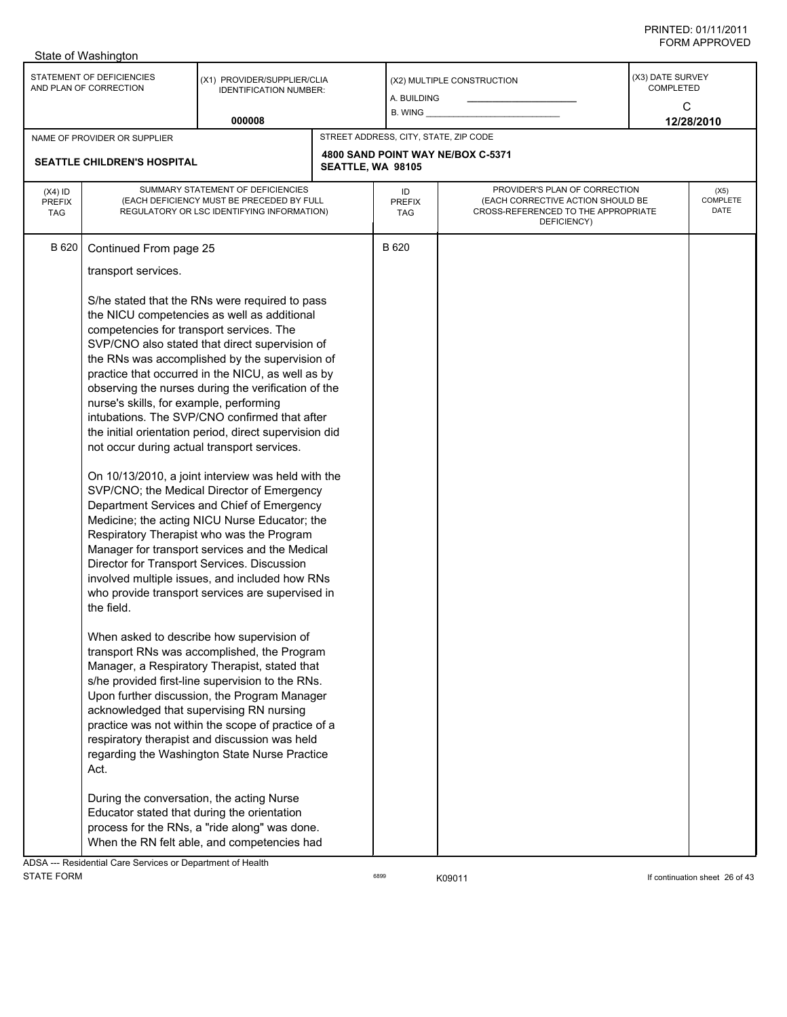|                                          | State of Washington                                                                                                                                                                                                                                                                                   |                                                                                                                                                                                                                                                                                                                                                                                                                                                                                                                                                                                                                                                                                                                                                                                                                                                                                                                                                                                                                                                                                                                                                                                                                                                                                                                                                                                       |                   |                                       |                                                                                                                          |                                           |                          |
|------------------------------------------|-------------------------------------------------------------------------------------------------------------------------------------------------------------------------------------------------------------------------------------------------------------------------------------------------------|---------------------------------------------------------------------------------------------------------------------------------------------------------------------------------------------------------------------------------------------------------------------------------------------------------------------------------------------------------------------------------------------------------------------------------------------------------------------------------------------------------------------------------------------------------------------------------------------------------------------------------------------------------------------------------------------------------------------------------------------------------------------------------------------------------------------------------------------------------------------------------------------------------------------------------------------------------------------------------------------------------------------------------------------------------------------------------------------------------------------------------------------------------------------------------------------------------------------------------------------------------------------------------------------------------------------------------------------------------------------------------------|-------------------|---------------------------------------|--------------------------------------------------------------------------------------------------------------------------|-------------------------------------------|--------------------------|
|                                          | STATEMENT OF DEFICIENCIES<br>AND PLAN OF CORRECTION                                                                                                                                                                                                                                                   | (X1) PROVIDER/SUPPLIER/CLIA<br><b>IDENTIFICATION NUMBER:</b>                                                                                                                                                                                                                                                                                                                                                                                                                                                                                                                                                                                                                                                                                                                                                                                                                                                                                                                                                                                                                                                                                                                                                                                                                                                                                                                          |                   | A. BUILDING                           | (X2) MULTIPLE CONSTRUCTION                                                                                               | (X3) DATE SURVEY<br><b>COMPLETED</b><br>C |                          |
|                                          |                                                                                                                                                                                                                                                                                                       | 000008                                                                                                                                                                                                                                                                                                                                                                                                                                                                                                                                                                                                                                                                                                                                                                                                                                                                                                                                                                                                                                                                                                                                                                                                                                                                                                                                                                                |                   | <b>B. WING</b>                        |                                                                                                                          |                                           | 12/28/2010               |
|                                          | NAME OF PROVIDER OR SUPPLIER                                                                                                                                                                                                                                                                          |                                                                                                                                                                                                                                                                                                                                                                                                                                                                                                                                                                                                                                                                                                                                                                                                                                                                                                                                                                                                                                                                                                                                                                                                                                                                                                                                                                                       |                   | STREET ADDRESS, CITY, STATE, ZIP CODE |                                                                                                                          |                                           |                          |
|                                          | <b>SEATTLE CHILDREN'S HOSPITAL</b>                                                                                                                                                                                                                                                                    |                                                                                                                                                                                                                                                                                                                                                                                                                                                                                                                                                                                                                                                                                                                                                                                                                                                                                                                                                                                                                                                                                                                                                                                                                                                                                                                                                                                       | SEATTLE, WA 98105 |                                       | 4800 SAND POINT WAY NE/BOX C-5371                                                                                        |                                           |                          |
| $(X4)$ ID<br><b>PREFIX</b><br><b>TAG</b> |                                                                                                                                                                                                                                                                                                       | SUMMARY STATEMENT OF DEFICIENCIES<br>(EACH DEFICIENCY MUST BE PRECEDED BY FULL<br>REGULATORY OR LSC IDENTIFYING INFORMATION)                                                                                                                                                                                                                                                                                                                                                                                                                                                                                                                                                                                                                                                                                                                                                                                                                                                                                                                                                                                                                                                                                                                                                                                                                                                          |                   | ID<br><b>PREFIX</b><br>TAG            | PROVIDER'S PLAN OF CORRECTION<br>(EACH CORRECTIVE ACTION SHOULD BE<br>CROSS-REFERENCED TO THE APPROPRIATE<br>DEFICIENCY) |                                           | (X5)<br>COMPLETE<br>DATE |
| B 620                                    | Continued From page 25<br>transport services.<br>competencies for transport services. The<br>nurse's skills, for example, performing<br>not occur during actual transport services.<br>the field.<br>Act.<br>During the conversation, the acting Nurse<br>Educator stated that during the orientation | S/he stated that the RNs were required to pass<br>the NICU competencies as well as additional<br>SVP/CNO also stated that direct supervision of<br>the RNs was accomplished by the supervision of<br>practice that occurred in the NICU, as well as by<br>observing the nurses during the verification of the<br>intubations. The SVP/CNO confirmed that after<br>the initial orientation period, direct supervision did<br>On 10/13/2010, a joint interview was held with the<br>SVP/CNO; the Medical Director of Emergency<br>Department Services and Chief of Emergency<br>Medicine; the acting NICU Nurse Educator; the<br>Respiratory Therapist who was the Program<br>Manager for transport services and the Medical<br>Director for Transport Services. Discussion<br>involved multiple issues, and included how RNs<br>who provide transport services are supervised in<br>When asked to describe how supervision of<br>transport RNs was accomplished, the Program<br>Manager, a Respiratory Therapist, stated that<br>s/he provided first-line supervision to the RNs.<br>Upon further discussion, the Program Manager<br>acknowledged that supervising RN nursing<br>practice was not within the scope of practice of a<br>respiratory therapist and discussion was held<br>regarding the Washington State Nurse Practice<br>process for the RNs, a "ride along" was done. |                   | B 620                                 |                                                                                                                          |                                           |                          |
|                                          | ADSA  Pesidential Care Services or Department of Health                                                                                                                                                                                                                                               | When the RN felt able, and competencies had                                                                                                                                                                                                                                                                                                                                                                                                                                                                                                                                                                                                                                                                                                                                                                                                                                                                                                                                                                                                                                                                                                                                                                                                                                                                                                                                           |                   |                                       |                                                                                                                          |                                           |                          |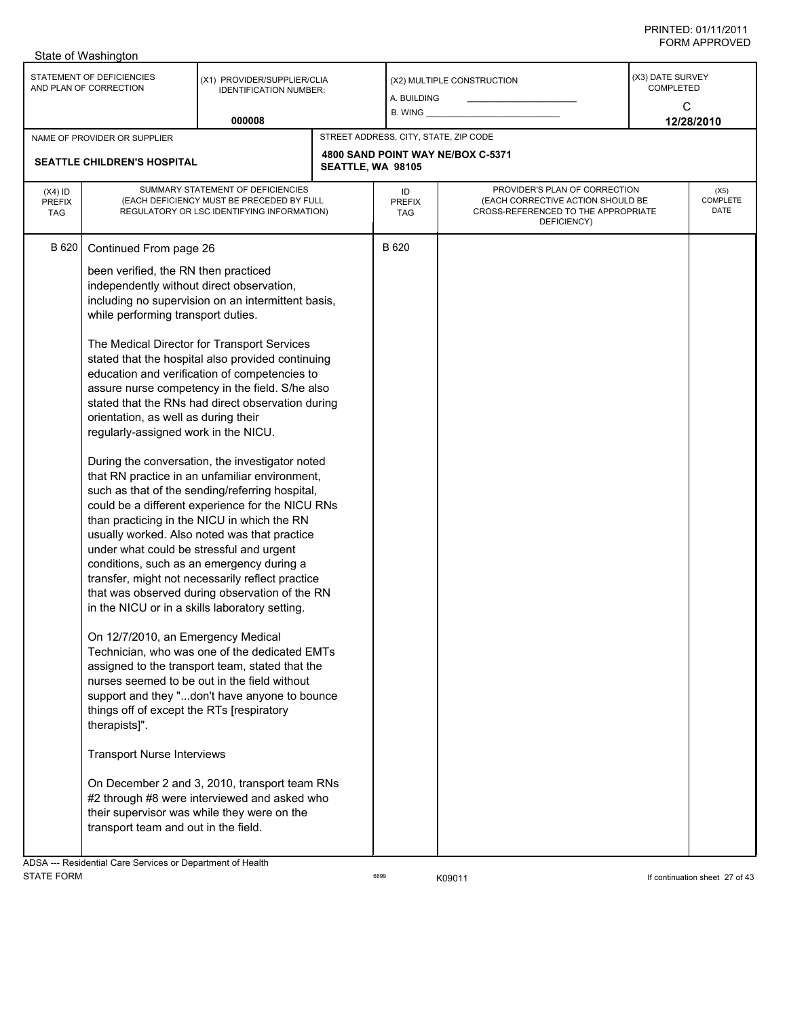| STATEMENT OF DEFICIENCIES<br>(X3) DATE SURVEY<br>(X1) PROVIDER/SUPPLIER/CLIA<br>(X2) MULTIPLE CONSTRUCTION<br>AND PLAN OF CORRECTION<br><b>COMPLETED</b><br><b>IDENTIFICATION NUMBER:</b><br>a. Building<br>C<br>000008<br>12/28/2010<br>STREET ADDRESS, CITY, STATE, ZIP CODE<br>NAME OF PROVIDER OR SUPPLIER<br>4800 SAND POINT WAY NE/BOX C-5371<br>SEATTLE CHILDREN'S HOSPITAL<br>SEATTLE, WA 98105<br>SUMMARY STATEMENT OF DEFICIENCIES<br>PROVIDER'S PLAN OF CORRECTION<br>$(X4)$ ID<br>(X5)<br>ID<br>COMPLETE<br>(EACH DEFICIENCY MUST BE PRECEDED BY FULL<br>(EACH CORRECTIVE ACTION SHOULD BE<br><b>PREFIX</b><br><b>PREFIX</b><br>DATE<br>REGULATORY OR LSC IDENTIFYING INFORMATION)<br>CROSS-REFERENCED TO THE APPROPRIATE<br><b>TAG</b><br><b>TAG</b><br>DEFICIENCY)<br>B 620<br>B 620<br>Continued From page 26<br>been verified, the RN then practiced<br>independently without direct observation,<br>including no supervision on an intermittent basis,<br>while performing transport duties.<br>The Medical Director for Transport Services<br>stated that the hospital also provided continuing<br>education and verification of competencies to<br>assure nurse competency in the field. S/he also<br>stated that the RNs had direct observation during<br>orientation, as well as during their<br>regularly-assigned work in the NICU.<br>During the conversation, the investigator noted<br>that RN practice in an unfamiliar environment,<br>such as that of the sending/referring hospital,<br>could be a different experience for the NICU RNs<br>than practicing in the NICU in which the RN<br>usually worked. Also noted was that practice<br>under what could be stressful and urgent<br>conditions, such as an emergency during a<br>transfer, might not necessarily reflect practice<br>that was observed during observation of the RN<br>in the NICU or in a skills laboratory setting.<br>On 12/7/2010, an Emergency Medical<br>Technician, who was one of the dedicated EMTs<br>assigned to the transport team, stated that the<br>nurses seemed to be out in the field without<br>support and they "don't have anyone to bounce<br>things off of except the RTs [respiratory<br>therapists]".<br><b>Transport Nurse Interviews</b><br>On December 2 and 3, 2010, transport team RNs<br>#2 through #8 were interviewed and asked who<br>their supervisor was while they were on the<br>transport team and out in the field.<br>ADSA --- Residential Care Services or Department of Health | State of Washington |  |  |  |
|----------------------------------------------------------------------------------------------------------------------------------------------------------------------------------------------------------------------------------------------------------------------------------------------------------------------------------------------------------------------------------------------------------------------------------------------------------------------------------------------------------------------------------------------------------------------------------------------------------------------------------------------------------------------------------------------------------------------------------------------------------------------------------------------------------------------------------------------------------------------------------------------------------------------------------------------------------------------------------------------------------------------------------------------------------------------------------------------------------------------------------------------------------------------------------------------------------------------------------------------------------------------------------------------------------------------------------------------------------------------------------------------------------------------------------------------------------------------------------------------------------------------------------------------------------------------------------------------------------------------------------------------------------------------------------------------------------------------------------------------------------------------------------------------------------------------------------------------------------------------------------------------------------------------------------------------------------------------------------------------------------------------------------------------------------------------------------------------------------------------------------------------------------------------------------------------------------------------------------------------------------------------------------------------------------------------------------------------------------------------------------------------------------------------------------------------------------------------------------------------------------------------------|---------------------|--|--|--|
|                                                                                                                                                                                                                                                                                                                                                                                                                                                                                                                                                                                                                                                                                                                                                                                                                                                                                                                                                                                                                                                                                                                                                                                                                                                                                                                                                                                                                                                                                                                                                                                                                                                                                                                                                                                                                                                                                                                                                                                                                                                                                                                                                                                                                                                                                                                                                                                                                                                                                                                            |                     |  |  |  |
|                                                                                                                                                                                                                                                                                                                                                                                                                                                                                                                                                                                                                                                                                                                                                                                                                                                                                                                                                                                                                                                                                                                                                                                                                                                                                                                                                                                                                                                                                                                                                                                                                                                                                                                                                                                                                                                                                                                                                                                                                                                                                                                                                                                                                                                                                                                                                                                                                                                                                                                            |                     |  |  |  |
|                                                                                                                                                                                                                                                                                                                                                                                                                                                                                                                                                                                                                                                                                                                                                                                                                                                                                                                                                                                                                                                                                                                                                                                                                                                                                                                                                                                                                                                                                                                                                                                                                                                                                                                                                                                                                                                                                                                                                                                                                                                                                                                                                                                                                                                                                                                                                                                                                                                                                                                            |                     |  |  |  |
|                                                                                                                                                                                                                                                                                                                                                                                                                                                                                                                                                                                                                                                                                                                                                                                                                                                                                                                                                                                                                                                                                                                                                                                                                                                                                                                                                                                                                                                                                                                                                                                                                                                                                                                                                                                                                                                                                                                                                                                                                                                                                                                                                                                                                                                                                                                                                                                                                                                                                                                            |                     |  |  |  |
|                                                                                                                                                                                                                                                                                                                                                                                                                                                                                                                                                                                                                                                                                                                                                                                                                                                                                                                                                                                                                                                                                                                                                                                                                                                                                                                                                                                                                                                                                                                                                                                                                                                                                                                                                                                                                                                                                                                                                                                                                                                                                                                                                                                                                                                                                                                                                                                                                                                                                                                            |                     |  |  |  |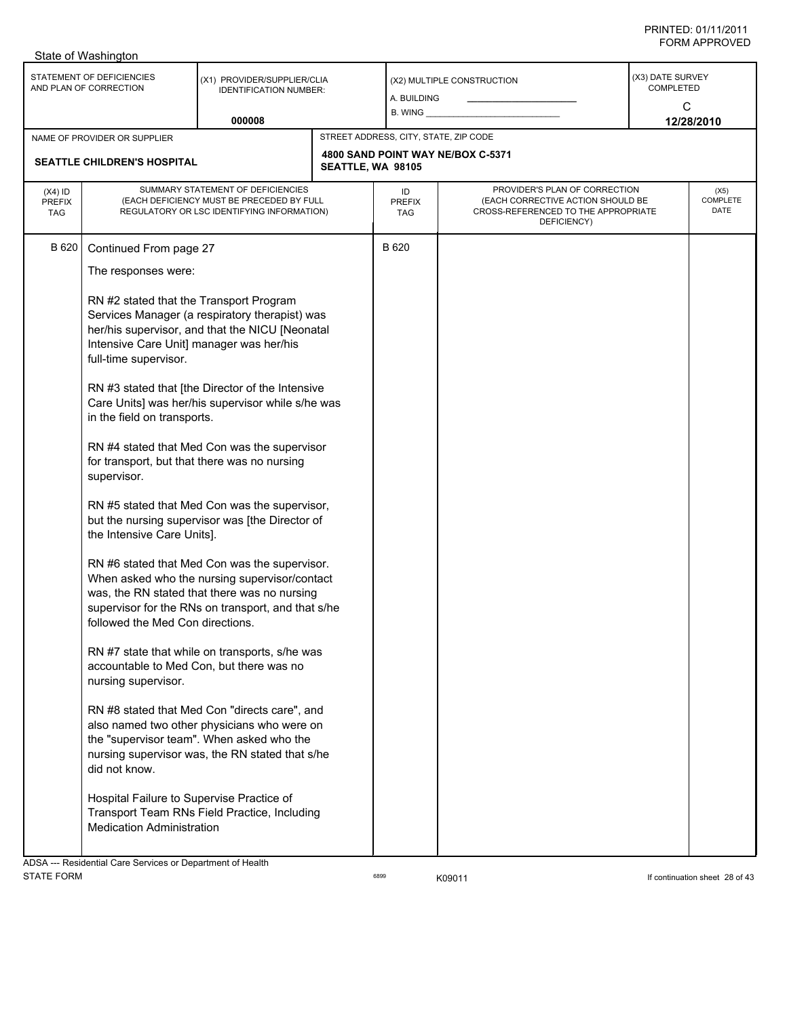|                                          | State of Washington                                                                                                                                                                                                                                                                                                                                                                                                                                |                                                                                                                                                                                                                                                                                                                                                                                                                                                                                                                                                                                                                                                                                                                                                                                                                                                                                                                          |                   |                                       |                                                                                                                          |                                    |                          |
|------------------------------------------|----------------------------------------------------------------------------------------------------------------------------------------------------------------------------------------------------------------------------------------------------------------------------------------------------------------------------------------------------------------------------------------------------------------------------------------------------|--------------------------------------------------------------------------------------------------------------------------------------------------------------------------------------------------------------------------------------------------------------------------------------------------------------------------------------------------------------------------------------------------------------------------------------------------------------------------------------------------------------------------------------------------------------------------------------------------------------------------------------------------------------------------------------------------------------------------------------------------------------------------------------------------------------------------------------------------------------------------------------------------------------------------|-------------------|---------------------------------------|--------------------------------------------------------------------------------------------------------------------------|------------------------------------|--------------------------|
|                                          | STATEMENT OF DEFICIENCIES<br>AND PLAN OF CORRECTION                                                                                                                                                                                                                                                                                                                                                                                                | (X1) PROVIDER/SUPPLIER/CLIA<br><b>IDENTIFICATION NUMBER:</b>                                                                                                                                                                                                                                                                                                                                                                                                                                                                                                                                                                                                                                                                                                                                                                                                                                                             |                   | A. BUILDING<br>B. WING _              | (X2) MULTIPLE CONSTRUCTION                                                                                               | (X3) DATE SURVEY<br>COMPLETED<br>C |                          |
|                                          |                                                                                                                                                                                                                                                                                                                                                                                                                                                    | 000008                                                                                                                                                                                                                                                                                                                                                                                                                                                                                                                                                                                                                                                                                                                                                                                                                                                                                                                   |                   |                                       |                                                                                                                          |                                    | 12/28/2010               |
|                                          | NAME OF PROVIDER OR SUPPLIER                                                                                                                                                                                                                                                                                                                                                                                                                       |                                                                                                                                                                                                                                                                                                                                                                                                                                                                                                                                                                                                                                                                                                                                                                                                                                                                                                                          |                   | STREET ADDRESS, CITY, STATE, ZIP CODE |                                                                                                                          |                                    |                          |
|                                          | SEATTLE CHILDREN'S HOSPITAL                                                                                                                                                                                                                                                                                                                                                                                                                        |                                                                                                                                                                                                                                                                                                                                                                                                                                                                                                                                                                                                                                                                                                                                                                                                                                                                                                                          | SEATTLE, WA 98105 |                                       | 4800 SAND POINT WAY NE/BOX C-5371                                                                                        |                                    |                          |
| $(X4)$ ID<br><b>PREFIX</b><br><b>TAG</b> |                                                                                                                                                                                                                                                                                                                                                                                                                                                    | SUMMARY STATEMENT OF DEFICIENCIES<br>(EACH DEFICIENCY MUST BE PRECEDED BY FULL<br>REGULATORY OR LSC IDENTIFYING INFORMATION)                                                                                                                                                                                                                                                                                                                                                                                                                                                                                                                                                                                                                                                                                                                                                                                             |                   | ID<br><b>PREFIX</b><br>TAG            | PROVIDER'S PLAN OF CORRECTION<br>(EACH CORRECTIVE ACTION SHOULD BE<br>CROSS-REFERENCED TO THE APPROPRIATE<br>DEFICIENCY) |                                    | (X5)<br>COMPLETE<br>DATE |
| B 620                                    | Continued From page 27<br>The responses were:<br>RN #2 stated that the Transport Program<br>Intensive Care Unit] manager was her/his<br>full-time supervisor.<br>in the field on transports.<br>supervisor.<br>the Intensive Care Units].<br>followed the Med Con directions.<br>accountable to Med Con, but there was no<br>nursing supervisor.<br>did not know.<br>Hospital Failure to Supervise Practice of<br><b>Medication Administration</b> | Services Manager (a respiratory therapist) was<br>her/his supervisor, and that the NICU [Neonatal<br>RN #3 stated that [the Director of the Intensive<br>Care Units] was her/his supervisor while s/he was<br>RN #4 stated that Med Con was the supervisor<br>for transport, but that there was no nursing<br>RN #5 stated that Med Con was the supervisor,<br>but the nursing supervisor was [the Director of<br>RN #6 stated that Med Con was the supervisor.<br>When asked who the nursing supervisor/contact<br>was, the RN stated that there was no nursing<br>supervisor for the RNs on transport, and that s/he<br>RN #7 state that while on transports, s/he was<br>RN #8 stated that Med Con "directs care", and<br>also named two other physicians who were on<br>the "supervisor team". When asked who the<br>nursing supervisor was, the RN stated that s/he<br>Transport Team RNs Field Practice, Including |                   | B 620                                 |                                                                                                                          |                                    |                          |
|                                          | ADSA --- Residential Care Services or Department of Health                                                                                                                                                                                                                                                                                                                                                                                         |                                                                                                                                                                                                                                                                                                                                                                                                                                                                                                                                                                                                                                                                                                                                                                                                                                                                                                                          |                   |                                       |                                                                                                                          |                                    |                          |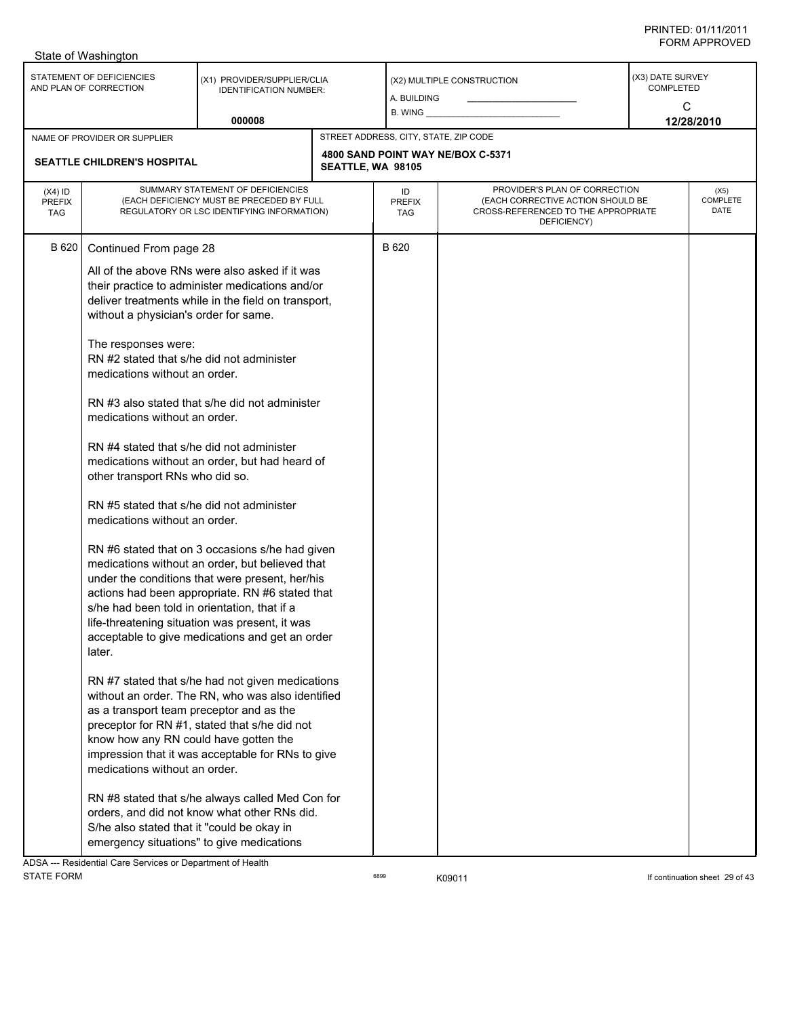|                                          | State of Washington                                                                                                                                                                                                                                                                                                                                                                                                                                                                                                                                                                               |                                                                                                                                                                                                                                                                                                                                                                                                                                                                                                                                                                                                                                                                                                                                                                                                                                                                                                  |                   |                                       |                                                                                                                          |                                           |                          |
|------------------------------------------|---------------------------------------------------------------------------------------------------------------------------------------------------------------------------------------------------------------------------------------------------------------------------------------------------------------------------------------------------------------------------------------------------------------------------------------------------------------------------------------------------------------------------------------------------------------------------------------------------|--------------------------------------------------------------------------------------------------------------------------------------------------------------------------------------------------------------------------------------------------------------------------------------------------------------------------------------------------------------------------------------------------------------------------------------------------------------------------------------------------------------------------------------------------------------------------------------------------------------------------------------------------------------------------------------------------------------------------------------------------------------------------------------------------------------------------------------------------------------------------------------------------|-------------------|---------------------------------------|--------------------------------------------------------------------------------------------------------------------------|-------------------------------------------|--------------------------|
|                                          | STATEMENT OF DEFICIENCIES<br>AND PLAN OF CORRECTION                                                                                                                                                                                                                                                                                                                                                                                                                                                                                                                                               | (X1) PROVIDER/SUPPLIER/CLIA<br><b>IDENTIFICATION NUMBER:</b><br>000008                                                                                                                                                                                                                                                                                                                                                                                                                                                                                                                                                                                                                                                                                                                                                                                                                           |                   | A. BUILDING<br>B. WING                | (X2) MULTIPLE CONSTRUCTION                                                                                               | (X3) DATE SURVEY<br><b>COMPLETED</b><br>C | 12/28/2010               |
|                                          | NAME OF PROVIDER OR SUPPLIER                                                                                                                                                                                                                                                                                                                                                                                                                                                                                                                                                                      |                                                                                                                                                                                                                                                                                                                                                                                                                                                                                                                                                                                                                                                                                                                                                                                                                                                                                                  |                   | STREET ADDRESS, CITY, STATE, ZIP CODE |                                                                                                                          |                                           |                          |
|                                          | <b>SEATTLE CHILDREN'S HOSPITAL</b>                                                                                                                                                                                                                                                                                                                                                                                                                                                                                                                                                                |                                                                                                                                                                                                                                                                                                                                                                                                                                                                                                                                                                                                                                                                                                                                                                                                                                                                                                  | SEATTLE, WA 98105 |                                       | 4800 SAND POINT WAY NE/BOX C-5371                                                                                        |                                           |                          |
| $(X4)$ ID<br><b>PREFIX</b><br><b>TAG</b> | SUMMARY STATEMENT OF DEFICIENCIES<br>(EACH DEFICIENCY MUST BE PRECEDED BY FULL<br>REGULATORY OR LSC IDENTIFYING INFORMATION)                                                                                                                                                                                                                                                                                                                                                                                                                                                                      |                                                                                                                                                                                                                                                                                                                                                                                                                                                                                                                                                                                                                                                                                                                                                                                                                                                                                                  |                   | ID<br><b>PREFIX</b><br><b>TAG</b>     | PROVIDER'S PLAN OF CORRECTION<br>(EACH CORRECTIVE ACTION SHOULD BE<br>CROSS-REFERENCED TO THE APPROPRIATE<br>DEFICIENCY) |                                           | (X5)<br>COMPLETE<br>DATE |
| B 620                                    | Continued From page 28<br>without a physician's order for same.<br>The responses were:<br>RN #2 stated that s/he did not administer<br>medications without an order.<br>medications without an order.<br>RN #4 stated that s/he did not administer<br>other transport RNs who did so.<br>RN #5 stated that s/he did not administer<br>medications without an order.<br>s/he had been told in orientation, that if a<br>later.<br>as a transport team preceptor and as the<br>know how any RN could have gotten the<br>medications without an order.<br>S/he also stated that it "could be okay in | All of the above RNs were also asked if it was<br>their practice to administer medications and/or<br>deliver treatments while in the field on transport,<br>RN #3 also stated that s/he did not administer<br>medications without an order, but had heard of<br>RN #6 stated that on 3 occasions s/he had given<br>medications without an order, but believed that<br>under the conditions that were present, her/his<br>actions had been appropriate. RN #6 stated that<br>life-threatening situation was present, it was<br>acceptable to give medications and get an order<br>RN #7 stated that s/he had not given medications<br>without an order. The RN, who was also identified<br>preceptor for RN #1, stated that s/he did not<br>impression that it was acceptable for RNs to give<br>RN #8 stated that s/he always called Med Con for<br>orders, and did not know what other RNs did. |                   | B 620                                 |                                                                                                                          |                                           |                          |
|                                          | emergency situations" to give medications                                                                                                                                                                                                                                                                                                                                                                                                                                                                                                                                                         |                                                                                                                                                                                                                                                                                                                                                                                                                                                                                                                                                                                                                                                                                                                                                                                                                                                                                                  |                   |                                       |                                                                                                                          |                                           |                          |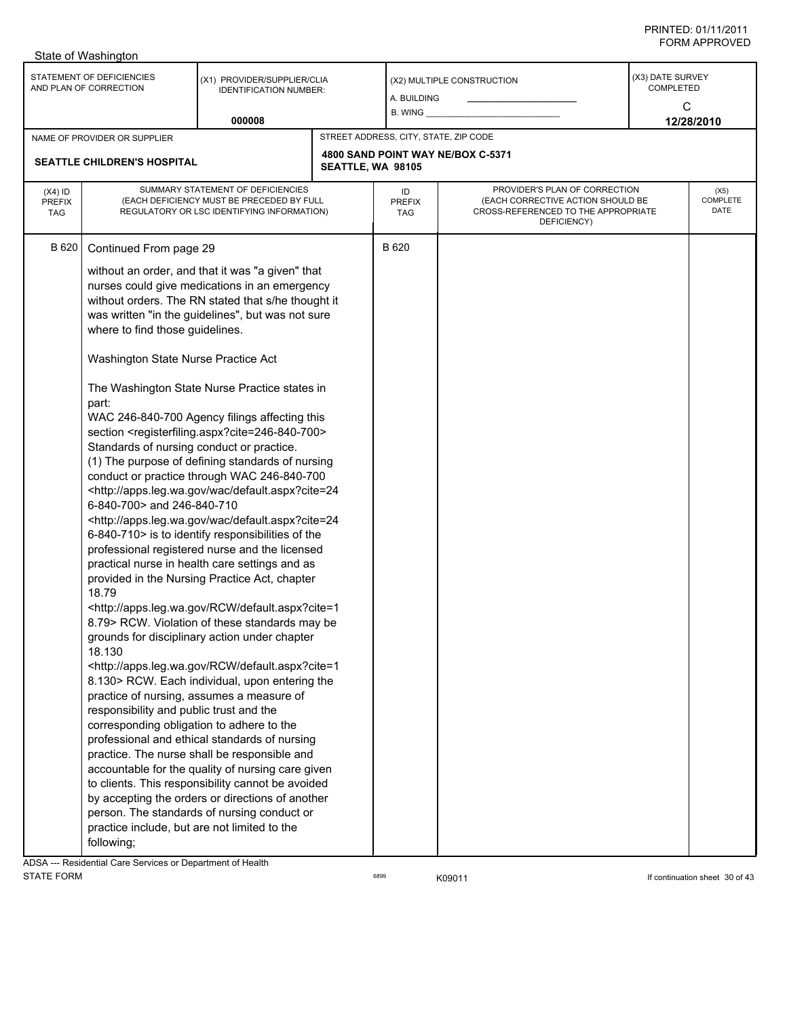|                                          | State of Washington                                                                                                                                                                                                                                                                                                                                                                                                                                                                                                                                                                                                                                                                                                                                                                                                                                                                                                                                                                                                                                                                                                                                                                                                                                                                                                                                                                                                                                                                |                                                                                                                                                                                                                                                               |                   |                                       |                                                                                                                          |                                           |                          |  |
|------------------------------------------|------------------------------------------------------------------------------------------------------------------------------------------------------------------------------------------------------------------------------------------------------------------------------------------------------------------------------------------------------------------------------------------------------------------------------------------------------------------------------------------------------------------------------------------------------------------------------------------------------------------------------------------------------------------------------------------------------------------------------------------------------------------------------------------------------------------------------------------------------------------------------------------------------------------------------------------------------------------------------------------------------------------------------------------------------------------------------------------------------------------------------------------------------------------------------------------------------------------------------------------------------------------------------------------------------------------------------------------------------------------------------------------------------------------------------------------------------------------------------------|---------------------------------------------------------------------------------------------------------------------------------------------------------------------------------------------------------------------------------------------------------------|-------------------|---------------------------------------|--------------------------------------------------------------------------------------------------------------------------|-------------------------------------------|--------------------------|--|
|                                          | STATEMENT OF DEFICIENCIES<br>AND PLAN OF CORRECTION                                                                                                                                                                                                                                                                                                                                                                                                                                                                                                                                                                                                                                                                                                                                                                                                                                                                                                                                                                                                                                                                                                                                                                                                                                                                                                                                                                                                                                | (X1) PROVIDER/SUPPLIER/CLIA<br><b>IDENTIFICATION NUMBER:</b>                                                                                                                                                                                                  |                   | A. BUILDING<br>B. WING                | (X2) MULTIPLE CONSTRUCTION                                                                                               | (X3) DATE SURVEY<br><b>COMPLETED</b><br>C |                          |  |
|                                          |                                                                                                                                                                                                                                                                                                                                                                                                                                                                                                                                                                                                                                                                                                                                                                                                                                                                                                                                                                                                                                                                                                                                                                                                                                                                                                                                                                                                                                                                                    | 000008                                                                                                                                                                                                                                                        |                   |                                       |                                                                                                                          |                                           | 12/28/2010               |  |
|                                          | NAME OF PROVIDER OR SUPPLIER                                                                                                                                                                                                                                                                                                                                                                                                                                                                                                                                                                                                                                                                                                                                                                                                                                                                                                                                                                                                                                                                                                                                                                                                                                                                                                                                                                                                                                                       |                                                                                                                                                                                                                                                               |                   | STREET ADDRESS, CITY, STATE, ZIP CODE |                                                                                                                          |                                           |                          |  |
|                                          | <b>SEATTLE CHILDREN'S HOSPITAL</b>                                                                                                                                                                                                                                                                                                                                                                                                                                                                                                                                                                                                                                                                                                                                                                                                                                                                                                                                                                                                                                                                                                                                                                                                                                                                                                                                                                                                                                                 |                                                                                                                                                                                                                                                               | SEATTLE, WA 98105 |                                       | 4800 SAND POINT WAY NE/BOX C-5371                                                                                        |                                           |                          |  |
| $(X4)$ ID<br><b>PREFIX</b><br><b>TAG</b> | SUMMARY STATEMENT OF DEFICIENCIES<br>(EACH DEFICIENCY MUST BE PRECEDED BY FULL<br>REGULATORY OR LSC IDENTIFYING INFORMATION)<br>B 620<br>Continued From page 29                                                                                                                                                                                                                                                                                                                                                                                                                                                                                                                                                                                                                                                                                                                                                                                                                                                                                                                                                                                                                                                                                                                                                                                                                                                                                                                    |                                                                                                                                                                                                                                                               |                   | ID<br><b>PREFIX</b><br><b>TAG</b>     | PROVIDER'S PLAN OF CORRECTION<br>(EACH CORRECTIVE ACTION SHOULD BE<br>CROSS-REFERENCED TO THE APPROPRIATE<br>DEFICIENCY) |                                           | (X5)<br>COMPLETE<br>DATE |  |
|                                          | where to find those guidelines.<br>Washington State Nurse Practice Act<br>part:                                                                                                                                                                                                                                                                                                                                                                                                                                                                                                                                                                                                                                                                                                                                                                                                                                                                                                                                                                                                                                                                                                                                                                                                                                                                                                                                                                                                    | without an order, and that it was "a given" that<br>nurses could give medications in an emergency<br>without orders. The RN stated that s/he thought it<br>was written "in the guidelines", but was not sure<br>The Washington State Nurse Practice states in |                   |                                       |                                                                                                                          |                                           |                          |  |
|                                          | WAC 246-840-700 Agency filings affecting this<br>section <registerfiling.aspx?cite=246-840-700><br/>Standards of nursing conduct or practice.<br/>(1) The purpose of defining standards of nursing<br/>conduct or practice through WAC 246-840-700<br/><http: apps.leg.wa.gov="" default.aspx?cite="24&lt;br" wac="">6-840-700&gt; and 246-840-710<br/><http: apps.leg.wa.gov="" default.aspx?cite="24&lt;br" wac="">6-840-710&gt; is to identify responsibilities of the<br/>professional registered nurse and the licensed<br/>practical nurse in health care settings and as<br/>provided in the Nursing Practice Act, chapter<br/>18.79<br/><http: apps.leg.wa.gov="" default.aspx?cite="1&lt;br" rcw="">8.79 &gt; RCW. Violation of these standards may be<br/>grounds for disciplinary action under chapter<br/>18.130<br/><http: apps.leg.wa.gov="" default.aspx?cite="1&lt;br" rcw="">8.130&gt; RCW. Each individual, upon entering the<br/>practice of nursing, assumes a measure of<br/>responsibility and public trust and the<br/>corresponding obligation to adhere to the<br/>professional and ethical standards of nursing<br/>practice. The nurse shall be responsible and<br/>accountable for the quality of nursing care given<br/>to clients. This responsibility cannot be avoided<br/>by accepting the orders or directions of another<br/>person. The standards of nursing conduct or</http:></http:></http:></http:></registerfiling.aspx?cite=246-840-700> |                                                                                                                                                                                                                                                               |                   |                                       |                                                                                                                          |                                           |                          |  |
|                                          | practice include, but are not limited to the<br>following;                                                                                                                                                                                                                                                                                                                                                                                                                                                                                                                                                                                                                                                                                                                                                                                                                                                                                                                                                                                                                                                                                                                                                                                                                                                                                                                                                                                                                         |                                                                                                                                                                                                                                                               |                   |                                       |                                                                                                                          |                                           |                          |  |

ADSA --- Residential Care Services or Department of Health<br>STATE FORM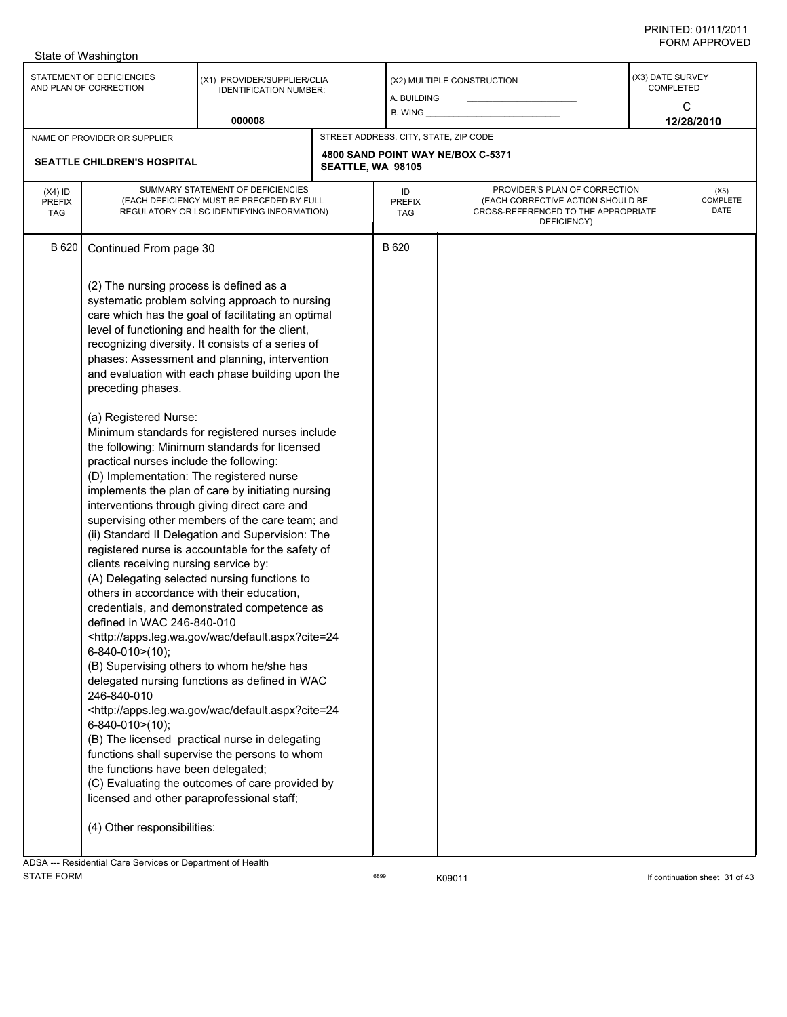|                                          | State of Washington                                                                                                                                                                                                                                                                                                                                                                                                                                                                                         |                                                                                                                                                                                                                                                                                                                                                                                                                                                                                                                                                                                                                                                                                                                                                                                                                                                                                                                                                                                                                                                                                                                                                                                           |                   |                                       |                                                                                                                          |                                    |                                 |
|------------------------------------------|-------------------------------------------------------------------------------------------------------------------------------------------------------------------------------------------------------------------------------------------------------------------------------------------------------------------------------------------------------------------------------------------------------------------------------------------------------------------------------------------------------------|-------------------------------------------------------------------------------------------------------------------------------------------------------------------------------------------------------------------------------------------------------------------------------------------------------------------------------------------------------------------------------------------------------------------------------------------------------------------------------------------------------------------------------------------------------------------------------------------------------------------------------------------------------------------------------------------------------------------------------------------------------------------------------------------------------------------------------------------------------------------------------------------------------------------------------------------------------------------------------------------------------------------------------------------------------------------------------------------------------------------------------------------------------------------------------------------|-------------------|---------------------------------------|--------------------------------------------------------------------------------------------------------------------------|------------------------------------|---------------------------------|
|                                          | STATEMENT OF DEFICIENCIES<br>AND PLAN OF CORRECTION                                                                                                                                                                                                                                                                                                                                                                                                                                                         | (X1) PROVIDER/SUPPLIER/CLIA<br><b>IDENTIFICATION NUMBER:</b><br>000008                                                                                                                                                                                                                                                                                                                                                                                                                                                                                                                                                                                                                                                                                                                                                                                                                                                                                                                                                                                                                                                                                                                    |                   | A. BUILDING<br>B. WING                | (X2) MULTIPLE CONSTRUCTION                                                                                               | (X3) DATE SURVEY<br>COMPLETED<br>C | 12/28/2010                      |
|                                          |                                                                                                                                                                                                                                                                                                                                                                                                                                                                                                             |                                                                                                                                                                                                                                                                                                                                                                                                                                                                                                                                                                                                                                                                                                                                                                                                                                                                                                                                                                                                                                                                                                                                                                                           |                   | STREET ADDRESS, CITY, STATE, ZIP CODE |                                                                                                                          |                                    |                                 |
|                                          | NAME OF PROVIDER OR SUPPLIER<br><b>SEATTLE CHILDREN'S HOSPITAL</b>                                                                                                                                                                                                                                                                                                                                                                                                                                          |                                                                                                                                                                                                                                                                                                                                                                                                                                                                                                                                                                                                                                                                                                                                                                                                                                                                                                                                                                                                                                                                                                                                                                                           | SEATTLE, WA 98105 |                                       | 4800 SAND POINT WAY NE/BOX C-5371                                                                                        |                                    |                                 |
| $(X4)$ ID<br><b>PREFIX</b><br><b>TAG</b> | SUMMARY STATEMENT OF DEFICIENCIES<br>(EACH DEFICIENCY MUST BE PRECEDED BY FULL<br>REGULATORY OR LSC IDENTIFYING INFORMATION)                                                                                                                                                                                                                                                                                                                                                                                |                                                                                                                                                                                                                                                                                                                                                                                                                                                                                                                                                                                                                                                                                                                                                                                                                                                                                                                                                                                                                                                                                                                                                                                           |                   | ID<br><b>PREFIX</b><br>TAG            | PROVIDER'S PLAN OF CORRECTION<br>(EACH CORRECTIVE ACTION SHOULD BE<br>CROSS-REFERENCED TO THE APPROPRIATE<br>DEFICIENCY) |                                    | (X5)<br><b>COMPLETE</b><br>DATE |
| B 620                                    | Continued From page 30<br>(2) The nursing process is defined as a<br>preceding phases.<br>(a) Registered Nurse:<br>practical nurses include the following:<br>(D) Implementation: The registered nurse<br>clients receiving nursing service by:<br>others in accordance with their education,<br>defined in WAC 246-840-010<br>$6 - 840 - 010$ > (10);<br>246-840-010<br>6-840-010>(10);<br>the functions have been delegated;<br>licensed and other paraprofessional staff;<br>(4) Other responsibilities: | systematic problem solving approach to nursing<br>care which has the goal of facilitating an optimal<br>level of functioning and health for the client,<br>recognizing diversity. It consists of a series of<br>phases: Assessment and planning, intervention<br>and evaluation with each phase building upon the<br>Minimum standards for registered nurses include<br>the following: Minimum standards for licensed<br>implements the plan of care by initiating nursing<br>interventions through giving direct care and<br>supervising other members of the care team; and<br>(ii) Standard II Delegation and Supervision: The<br>registered nurse is accountable for the safety of<br>(A) Delegating selected nursing functions to<br>credentials, and demonstrated competence as<br><http: apps.leg.wa.gov="" default.aspx?cite="24&lt;br" wac="">(B) Supervising others to whom he/she has<br/>delegated nursing functions as defined in WAC<br/><http: apps.leg.wa.gov="" default.aspx?cite="24&lt;br" wac="">(B) The licensed practical nurse in delegating<br/>functions shall supervise the persons to whom<br/>(C) Evaluating the outcomes of care provided by</http:></http:> |                   | B 620                                 |                                                                                                                          |                                    |                                 |
| <b>ADCA</b>                              | Pesidential Care Services or Department of Health                                                                                                                                                                                                                                                                                                                                                                                                                                                           |                                                                                                                                                                                                                                                                                                                                                                                                                                                                                                                                                                                                                                                                                                                                                                                                                                                                                                                                                                                                                                                                                                                                                                                           |                   |                                       |                                                                                                                          |                                    |                                 |

ADSA --- Residential Care Services or Department of Health STATE FORM **EXAMPLE 10** FORM **6899 CONSUMING A REGISTER STATE FORM** If continuation sheet 31 of 43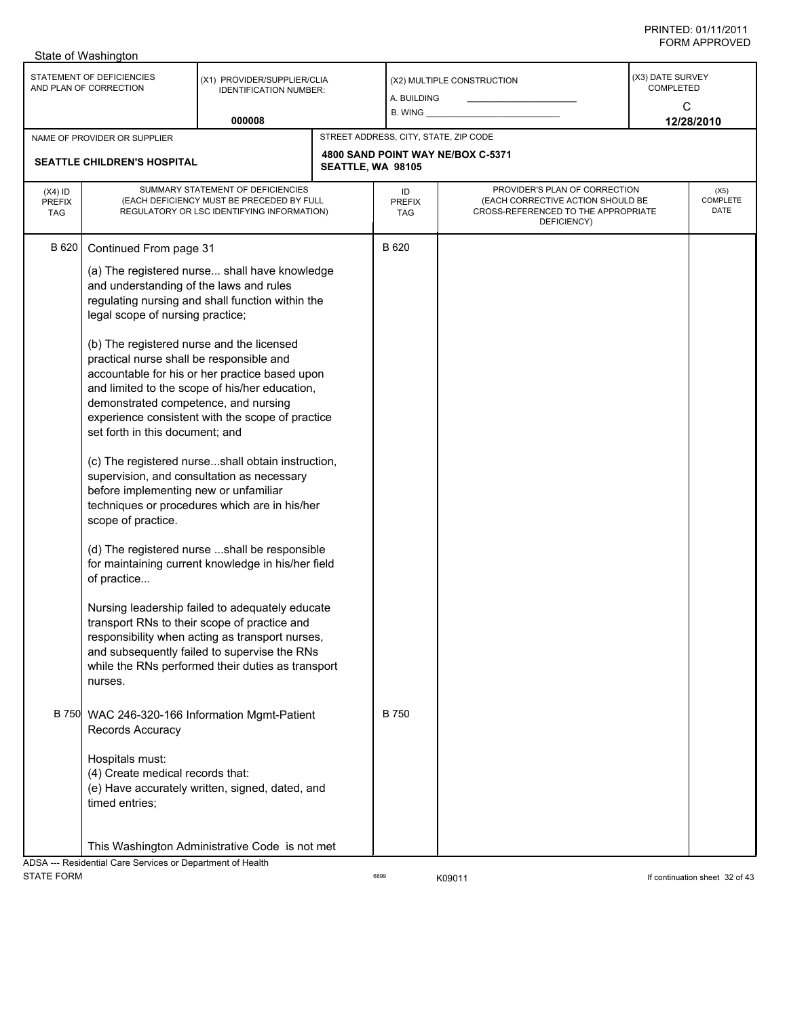| STATEMENT OF DEFICIENCIES<br>(X3) DATE SURVEY<br>(X1) PROVIDER/SUPPLIER/CLIA<br>(X2) MULTIPLE CONSTRUCTION<br><b>COMPLETED</b><br>AND PLAN OF CORRECTION<br><b>IDENTIFICATION NUMBER:</b><br>A. BUILDING<br>C<br>$B.$ WING $\_$<br>000008<br>12/28/2010<br>STREET ADDRESS, CITY, STATE, ZIP CODE<br>NAME OF PROVIDER OR SUPPLIER<br>4800 SAND POINT WAY NE/BOX C-5371<br>SEATTLE CHILDREN'S HOSPITAL<br>SEATTLE, WA 98105<br>PROVIDER'S PLAN OF CORRECTION<br>SUMMARY STATEMENT OF DEFICIENCIES<br>$(X4)$ ID<br>ID<br>(EACH DEFICIENCY MUST BE PRECEDED BY FULL<br>(EACH CORRECTIVE ACTION SHOULD BE<br><b>PREFIX</b><br><b>PREFIX</b><br>CROSS-REFERENCED TO THE APPROPRIATE<br>REGULATORY OR LSC IDENTIFYING INFORMATION)<br><b>TAG</b><br>TAG<br>DEFICIENCY)<br><b>B</b> 620<br>B 620<br>Continued From page 31<br>(a) The registered nurse shall have knowledge<br>and understanding of the laws and rules<br>regulating nursing and shall function within the<br>legal scope of nursing practice;<br>(b) The registered nurse and the licensed<br>practical nurse shall be responsible and<br>accountable for his or her practice based upon<br>and limited to the scope of his/her education,<br>demonstrated competence, and nursing<br>experience consistent with the scope of practice<br>set forth in this document; and<br>(c) The registered nurseshall obtain instruction,<br>supervision, and consultation as necessary<br>before implementing new or unfamiliar<br>techniques or procedures which are in his/her<br>scope of practice.<br>(d) The registered nurse shall be responsible<br>for maintaining current knowledge in his/her field<br>of practice<br>Nursing leadership failed to adequately educate<br>transport RNs to their scope of practice and<br>responsibility when acting as transport nurses,<br>and subsequently failed to supervise the RNs<br>while the RNs performed their duties as transport<br>nurses.<br><b>B</b> 750<br>B 750 WAC 246-320-166 Information Mgmt-Patient<br>Records Accuracy<br>Hospitals must:<br>(4) Create medical records that:<br>(e) Have accurately written, signed, dated, and<br>timed entries; | State of Washington |  |  |                          |
|---------------------------------------------------------------------------------------------------------------------------------------------------------------------------------------------------------------------------------------------------------------------------------------------------------------------------------------------------------------------------------------------------------------------------------------------------------------------------------------------------------------------------------------------------------------------------------------------------------------------------------------------------------------------------------------------------------------------------------------------------------------------------------------------------------------------------------------------------------------------------------------------------------------------------------------------------------------------------------------------------------------------------------------------------------------------------------------------------------------------------------------------------------------------------------------------------------------------------------------------------------------------------------------------------------------------------------------------------------------------------------------------------------------------------------------------------------------------------------------------------------------------------------------------------------------------------------------------------------------------------------------------------------------------------------------------------------------------------------------------------------------------------------------------------------------------------------------------------------------------------------------------------------------------------------------------------------------------------------------------------------------------------------------------------------------------------------------------------------------------------------------------------------------------|---------------------|--|--|--------------------------|
|                                                                                                                                                                                                                                                                                                                                                                                                                                                                                                                                                                                                                                                                                                                                                                                                                                                                                                                                                                                                                                                                                                                                                                                                                                                                                                                                                                                                                                                                                                                                                                                                                                                                                                                                                                                                                                                                                                                                                                                                                                                                                                                                                                     |                     |  |  |                          |
|                                                                                                                                                                                                                                                                                                                                                                                                                                                                                                                                                                                                                                                                                                                                                                                                                                                                                                                                                                                                                                                                                                                                                                                                                                                                                                                                                                                                                                                                                                                                                                                                                                                                                                                                                                                                                                                                                                                                                                                                                                                                                                                                                                     |                     |  |  |                          |
|                                                                                                                                                                                                                                                                                                                                                                                                                                                                                                                                                                                                                                                                                                                                                                                                                                                                                                                                                                                                                                                                                                                                                                                                                                                                                                                                                                                                                                                                                                                                                                                                                                                                                                                                                                                                                                                                                                                                                                                                                                                                                                                                                                     |                     |  |  |                          |
|                                                                                                                                                                                                                                                                                                                                                                                                                                                                                                                                                                                                                                                                                                                                                                                                                                                                                                                                                                                                                                                                                                                                                                                                                                                                                                                                                                                                                                                                                                                                                                                                                                                                                                                                                                                                                                                                                                                                                                                                                                                                                                                                                                     |                     |  |  |                          |
|                                                                                                                                                                                                                                                                                                                                                                                                                                                                                                                                                                                                                                                                                                                                                                                                                                                                                                                                                                                                                                                                                                                                                                                                                                                                                                                                                                                                                                                                                                                                                                                                                                                                                                                                                                                                                                                                                                                                                                                                                                                                                                                                                                     |                     |  |  | (X5)<br>COMPLETE<br>DATE |
|                                                                                                                                                                                                                                                                                                                                                                                                                                                                                                                                                                                                                                                                                                                                                                                                                                                                                                                                                                                                                                                                                                                                                                                                                                                                                                                                                                                                                                                                                                                                                                                                                                                                                                                                                                                                                                                                                                                                                                                                                                                                                                                                                                     |                     |  |  |                          |
| This Washington Administrative Code is not met<br>ADSA --- Residential Care Services or Department of Health                                                                                                                                                                                                                                                                                                                                                                                                                                                                                                                                                                                                                                                                                                                                                                                                                                                                                                                                                                                                                                                                                                                                                                                                                                                                                                                                                                                                                                                                                                                                                                                                                                                                                                                                                                                                                                                                                                                                                                                                                                                        |                     |  |  |                          |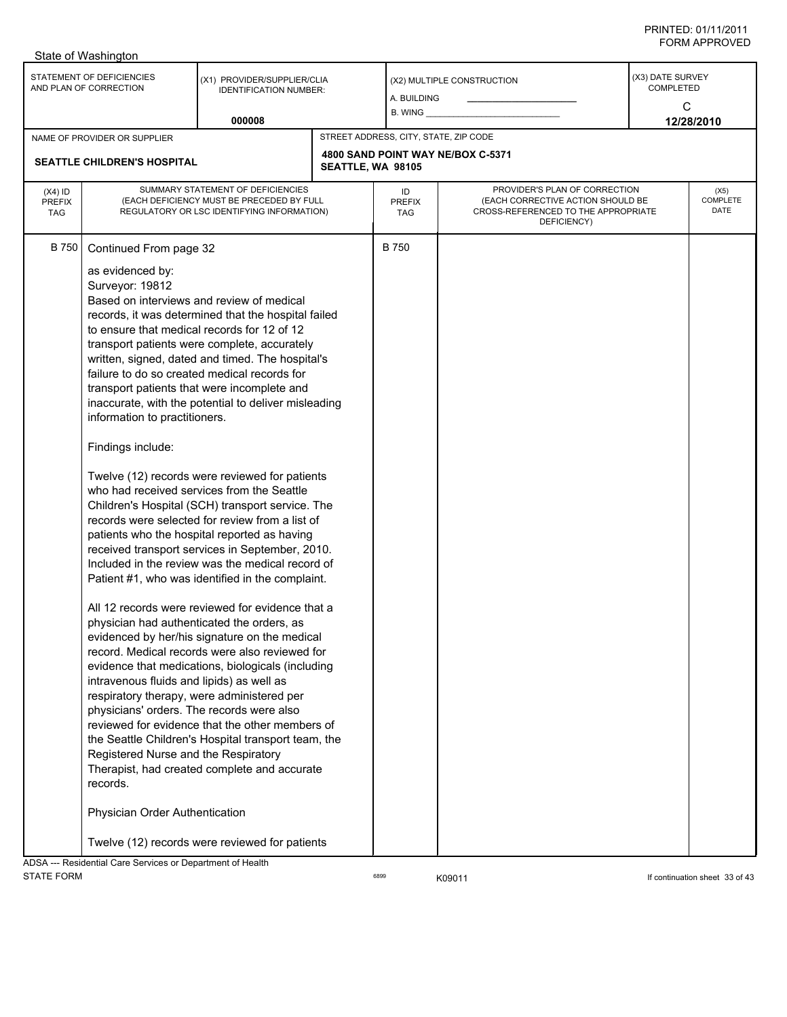|                                          | State of Washington                                                                                                                                                                                                                                                                                 |                                                                                                                                                                                                                                                                                                                                                                                                                                                                                                                                                                                                                                                                                                                                                                                                                                                                                                                                                                                                                                                                                                                                                                                                                                                                                                                                                  |                   |                                       |                                                                                                                          |                                      |                          |
|------------------------------------------|-----------------------------------------------------------------------------------------------------------------------------------------------------------------------------------------------------------------------------------------------------------------------------------------------------|--------------------------------------------------------------------------------------------------------------------------------------------------------------------------------------------------------------------------------------------------------------------------------------------------------------------------------------------------------------------------------------------------------------------------------------------------------------------------------------------------------------------------------------------------------------------------------------------------------------------------------------------------------------------------------------------------------------------------------------------------------------------------------------------------------------------------------------------------------------------------------------------------------------------------------------------------------------------------------------------------------------------------------------------------------------------------------------------------------------------------------------------------------------------------------------------------------------------------------------------------------------------------------------------------------------------------------------------------|-------------------|---------------------------------------|--------------------------------------------------------------------------------------------------------------------------|--------------------------------------|--------------------------|
|                                          | STATEMENT OF DEFICIENCIES<br>AND PLAN OF CORRECTION                                                                                                                                                                                                                                                 | (X1) PROVIDER/SUPPLIER/CLIA<br><b>IDENTIFICATION NUMBER:</b>                                                                                                                                                                                                                                                                                                                                                                                                                                                                                                                                                                                                                                                                                                                                                                                                                                                                                                                                                                                                                                                                                                                                                                                                                                                                                     |                   | A. BUILDING<br>$B.$ WING $\_$         | (X2) MULTIPLE CONSTRUCTION                                                                                               | (X3) DATE SURVEY<br><b>COMPLETED</b> | C                        |
|                                          |                                                                                                                                                                                                                                                                                                     | 000008                                                                                                                                                                                                                                                                                                                                                                                                                                                                                                                                                                                                                                                                                                                                                                                                                                                                                                                                                                                                                                                                                                                                                                                                                                                                                                                                           |                   |                                       |                                                                                                                          |                                      | 12/28/2010               |
|                                          | NAME OF PROVIDER OR SUPPLIER                                                                                                                                                                                                                                                                        |                                                                                                                                                                                                                                                                                                                                                                                                                                                                                                                                                                                                                                                                                                                                                                                                                                                                                                                                                                                                                                                                                                                                                                                                                                                                                                                                                  |                   | STREET ADDRESS, CITY, STATE, ZIP CODE |                                                                                                                          |                                      |                          |
|                                          | <b>SEATTLE CHILDREN'S HOSPITAL</b>                                                                                                                                                                                                                                                                  |                                                                                                                                                                                                                                                                                                                                                                                                                                                                                                                                                                                                                                                                                                                                                                                                                                                                                                                                                                                                                                                                                                                                                                                                                                                                                                                                                  | SEATTLE, WA 98105 |                                       | 4800 SAND POINT WAY NE/BOX C-5371                                                                                        |                                      |                          |
| $(X4)$ ID<br><b>PREFIX</b><br><b>TAG</b> |                                                                                                                                                                                                                                                                                                     | SUMMARY STATEMENT OF DEFICIENCIES<br>(EACH DEFICIENCY MUST BE PRECEDED BY FULL<br>REGULATORY OR LSC IDENTIFYING INFORMATION)                                                                                                                                                                                                                                                                                                                                                                                                                                                                                                                                                                                                                                                                                                                                                                                                                                                                                                                                                                                                                                                                                                                                                                                                                     |                   | ID<br><b>PREFIX</b><br>TAG            | PROVIDER'S PLAN OF CORRECTION<br>(EACH CORRECTIVE ACTION SHOULD BE<br>CROSS-REFERENCED TO THE APPROPRIATE<br>DEFICIENCY) |                                      | (X5)<br>COMPLETE<br>DATE |
| <b>B750</b>                              | Continued From page 32<br>as evidenced by:<br>Surveyor: 19812<br>information to practitioners.<br>Findings include:<br>intravenous fluids and lipids) as well as<br>physicians' orders. The records were also<br>Registered Nurse and the Respiratory<br>records.<br>Physician Order Authentication | Based on interviews and review of medical<br>records, it was determined that the hospital failed<br>to ensure that medical records for 12 of 12<br>transport patients were complete, accurately<br>written, signed, dated and timed. The hospital's<br>failure to do so created medical records for<br>transport patients that were incomplete and<br>inaccurate, with the potential to deliver misleading<br>Twelve (12) records were reviewed for patients<br>who had received services from the Seattle<br>Children's Hospital (SCH) transport service. The<br>records were selected for review from a list of<br>patients who the hospital reported as having<br>received transport services in September, 2010.<br>Included in the review was the medical record of<br>Patient #1, who was identified in the complaint.<br>All 12 records were reviewed for evidence that a<br>physician had authenticated the orders. as<br>evidenced by her/his signature on the medical<br>record. Medical records were also reviewed for<br>evidence that medications, biologicals (including<br>respiratory therapy, were administered per<br>reviewed for evidence that the other members of<br>the Seattle Children's Hospital transport team, the<br>Therapist, had created complete and accurate<br>Twelve (12) records were reviewed for patients |                   | <b>B750</b>                           |                                                                                                                          |                                      |                          |
|                                          | ADSA --- Residential Care Services or Department of Health                                                                                                                                                                                                                                          |                                                                                                                                                                                                                                                                                                                                                                                                                                                                                                                                                                                                                                                                                                                                                                                                                                                                                                                                                                                                                                                                                                                                                                                                                                                                                                                                                  |                   |                                       |                                                                                                                          |                                      |                          |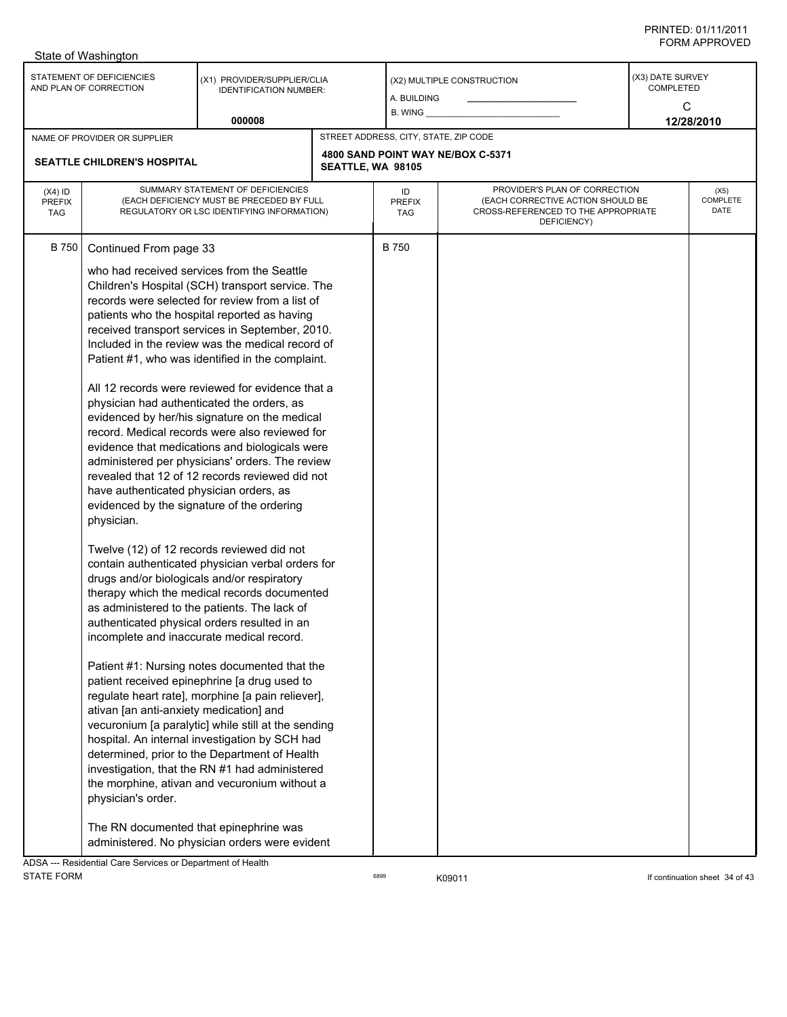|                                          | State of Washington                                                                                                                                                                                                                                                                                                                                                                |                                                                                                                                                                                                                                                                                                                                                                                                                                                                                                                                                                                                                                                                                                                                                                                                                                                                                                                                                                                                                                                                                                                                                                                                                                                                                                                                                   |                   |                                       |                                                                                                                          |                                           |                                 |
|------------------------------------------|------------------------------------------------------------------------------------------------------------------------------------------------------------------------------------------------------------------------------------------------------------------------------------------------------------------------------------------------------------------------------------|---------------------------------------------------------------------------------------------------------------------------------------------------------------------------------------------------------------------------------------------------------------------------------------------------------------------------------------------------------------------------------------------------------------------------------------------------------------------------------------------------------------------------------------------------------------------------------------------------------------------------------------------------------------------------------------------------------------------------------------------------------------------------------------------------------------------------------------------------------------------------------------------------------------------------------------------------------------------------------------------------------------------------------------------------------------------------------------------------------------------------------------------------------------------------------------------------------------------------------------------------------------------------------------------------------------------------------------------------|-------------------|---------------------------------------|--------------------------------------------------------------------------------------------------------------------------|-------------------------------------------|---------------------------------|
|                                          | STATEMENT OF DEFICIENCIES<br>AND PLAN OF CORRECTION                                                                                                                                                                                                                                                                                                                                | (X1) PROVIDER/SUPPLIER/CLIA<br><b>IDENTIFICATION NUMBER:</b>                                                                                                                                                                                                                                                                                                                                                                                                                                                                                                                                                                                                                                                                                                                                                                                                                                                                                                                                                                                                                                                                                                                                                                                                                                                                                      |                   | A. BUILDING<br>$B.$ WING $\_$         | (X2) MULTIPLE CONSTRUCTION                                                                                               | (X3) DATE SURVEY<br><b>COMPLETED</b><br>C |                                 |
|                                          |                                                                                                                                                                                                                                                                                                                                                                                    | 000008                                                                                                                                                                                                                                                                                                                                                                                                                                                                                                                                                                                                                                                                                                                                                                                                                                                                                                                                                                                                                                                                                                                                                                                                                                                                                                                                            |                   |                                       |                                                                                                                          |                                           | 12/28/2010                      |
|                                          | NAME OF PROVIDER OR SUPPLIER                                                                                                                                                                                                                                                                                                                                                       |                                                                                                                                                                                                                                                                                                                                                                                                                                                                                                                                                                                                                                                                                                                                                                                                                                                                                                                                                                                                                                                                                                                                                                                                                                                                                                                                                   |                   | STREET ADDRESS, CITY, STATE, ZIP CODE |                                                                                                                          |                                           |                                 |
|                                          | <b>SEATTLE CHILDREN'S HOSPITAL</b>                                                                                                                                                                                                                                                                                                                                                 |                                                                                                                                                                                                                                                                                                                                                                                                                                                                                                                                                                                                                                                                                                                                                                                                                                                                                                                                                                                                                                                                                                                                                                                                                                                                                                                                                   | SEATTLE, WA 98105 |                                       | 4800 SAND POINT WAY NE/BOX C-5371                                                                                        |                                           |                                 |
| $(X4)$ ID<br><b>PREFIX</b><br><b>TAG</b> |                                                                                                                                                                                                                                                                                                                                                                                    | SUMMARY STATEMENT OF DEFICIENCIES<br>(EACH DEFICIENCY MUST BE PRECEDED BY FULL<br>REGULATORY OR LSC IDENTIFYING INFORMATION)                                                                                                                                                                                                                                                                                                                                                                                                                                                                                                                                                                                                                                                                                                                                                                                                                                                                                                                                                                                                                                                                                                                                                                                                                      |                   | ID<br><b>PREFIX</b><br>TAG            | PROVIDER'S PLAN OF CORRECTION<br>(EACH CORRECTIVE ACTION SHOULD BE<br>CROSS-REFERENCED TO THE APPROPRIATE<br>DEFICIENCY) |                                           | (X5)<br><b>COMPLETE</b><br>DATE |
| B 750                                    | Continued From page 33<br>physician had authenticated the orders, as<br>have authenticated physician orders, as<br>evidenced by the signature of the ordering<br>physician.<br>drugs and/or biologicals and/or respiratory<br>incomplete and inaccurate medical record.<br>ativan [an anti-anxiety medication] and<br>physician's order.<br>The RN documented that epinephrine was | who had received services from the Seattle<br>Children's Hospital (SCH) transport service. The<br>records were selected for review from a list of<br>patients who the hospital reported as having<br>received transport services in September, 2010.<br>Included in the review was the medical record of<br>Patient #1, who was identified in the complaint.<br>All 12 records were reviewed for evidence that a<br>evidenced by her/his signature on the medical<br>record. Medical records were also reviewed for<br>evidence that medications and biologicals were<br>administered per physicians' orders. The review<br>revealed that 12 of 12 records reviewed did not<br>Twelve (12) of 12 records reviewed did not<br>contain authenticated physician verbal orders for<br>therapy which the medical records documented<br>as administered to the patients. The lack of<br>authenticated physical orders resulted in an<br>Patient #1: Nursing notes documented that the<br>patient received epinephrine [a drug used to<br>regulate heart rate], morphine [a pain reliever],<br>vecuronium [a paralytic] while still at the sending<br>hospital. An internal investigation by SCH had<br>determined, prior to the Department of Health<br>investigation, that the RN #1 had administered<br>the morphine, ativan and vecuronium without a |                   | <b>B</b> 750                          |                                                                                                                          |                                           |                                 |
|                                          | <b>Depidential Care Consigned or Department of Llooth</b>                                                                                                                                                                                                                                                                                                                          | administered. No physician orders were evident                                                                                                                                                                                                                                                                                                                                                                                                                                                                                                                                                                                                                                                                                                                                                                                                                                                                                                                                                                                                                                                                                                                                                                                                                                                                                                    |                   |                                       |                                                                                                                          |                                           |                                 |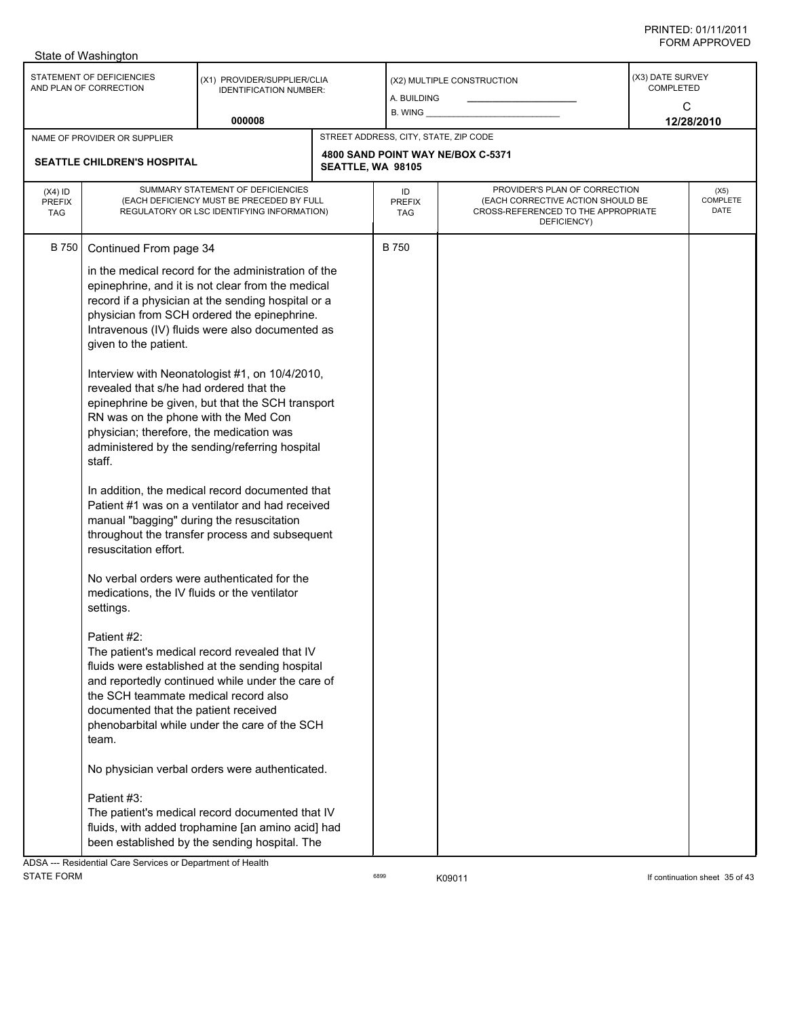| STATEMENT OF DEFICIENCIES<br>(X3) DATE SURVEY<br>(X1) PROVIDER/SUPPLIER/CLIA<br>(X2) MULTIPLE CONSTRUCTION<br>AND PLAN OF CORRECTION<br><b>COMPLETED</b><br><b>IDENTIFICATION NUMBER:</b><br>A. BUILDING<br>C<br>$B.$ WING $\_\_$<br>000008<br>12/28/2010<br>STREET ADDRESS, CITY, STATE, ZIP CODE<br>NAME OF PROVIDER OR SUPPLIER<br>4800 SAND POINT WAY NE/BOX C-5371<br><b>SEATTLE CHILDREN'S HOSPITAL</b><br>SEATTLE, WA 98105<br>SUMMARY STATEMENT OF DEFICIENCIES<br>PROVIDER'S PLAN OF CORRECTION<br>$(X4)$ ID<br>ID<br>(X5)<br><b>COMPLETE</b><br>(EACH DEFICIENCY MUST BE PRECEDED BY FULL<br>(EACH CORRECTIVE ACTION SHOULD BE<br><b>PREFIX</b><br><b>PREFIX</b><br>DATE<br>REGULATORY OR LSC IDENTIFYING INFORMATION)<br>CROSS-REFERENCED TO THE APPROPRIATE<br><b>TAG</b><br>TAG<br>DEFICIENCY)<br><b>B750</b><br>B 750<br>Continued From page 34<br>in the medical record for the administration of the<br>epinephrine, and it is not clear from the medical<br>record if a physician at the sending hospital or a<br>physician from SCH ordered the epinephrine.<br>Intravenous (IV) fluids were also documented as<br>given to the patient.<br>Interview with Neonatologist #1, on 10/4/2010,<br>revealed that s/he had ordered that the<br>epinephrine be given, but that the SCH transport<br>RN was on the phone with the Med Con<br>physician; therefore, the medication was<br>administered by the sending/referring hospital<br>staff.<br>In addition, the medical record documented that<br>Patient #1 was on a ventilator and had received<br>manual "bagging" during the resuscitation<br>throughout the transfer process and subsequent<br>resuscitation effort.<br>No verbal orders were authenticated for the<br>medications, the IV fluids or the ventilator<br>settings.<br>Patient #2:<br>The patient's medical record revealed that IV<br>fluids were established at the sending hospital<br>and reportedly continued while under the care of<br>the SCH teammate medical record also<br>documented that the patient received<br>phenobarbital while under the care of the SCH<br>team.<br>No physician verbal orders were authenticated.<br>Patient #3:<br>The patient's medical record documented that IV<br>fluids, with added trophamine [an amino acid] had<br>been established by the sending hospital. The | State of Washington |  |  |  |  |
|--------------------------------------------------------------------------------------------------------------------------------------------------------------------------------------------------------------------------------------------------------------------------------------------------------------------------------------------------------------------------------------------------------------------------------------------------------------------------------------------------------------------------------------------------------------------------------------------------------------------------------------------------------------------------------------------------------------------------------------------------------------------------------------------------------------------------------------------------------------------------------------------------------------------------------------------------------------------------------------------------------------------------------------------------------------------------------------------------------------------------------------------------------------------------------------------------------------------------------------------------------------------------------------------------------------------------------------------------------------------------------------------------------------------------------------------------------------------------------------------------------------------------------------------------------------------------------------------------------------------------------------------------------------------------------------------------------------------------------------------------------------------------------------------------------------------------------------------------------------------------------------------------------------------------------------------------------------------------------------------------------------------------------------------------------------------------------------------------------------------------------------------------------------------------------------------------------------------------------------------------------------------------------------------------------------------------------------------------|---------------------|--|--|--|--|
|                                                                                                                                                                                                                                                                                                                                                                                                                                                                                                                                                                                                                                                                                                                                                                                                                                                                                                                                                                                                                                                                                                                                                                                                                                                                                                                                                                                                                                                                                                                                                                                                                                                                                                                                                                                                                                                                                                                                                                                                                                                                                                                                                                                                                                                                                                                                                  |                     |  |  |  |  |
|                                                                                                                                                                                                                                                                                                                                                                                                                                                                                                                                                                                                                                                                                                                                                                                                                                                                                                                                                                                                                                                                                                                                                                                                                                                                                                                                                                                                                                                                                                                                                                                                                                                                                                                                                                                                                                                                                                                                                                                                                                                                                                                                                                                                                                                                                                                                                  |                     |  |  |  |  |
|                                                                                                                                                                                                                                                                                                                                                                                                                                                                                                                                                                                                                                                                                                                                                                                                                                                                                                                                                                                                                                                                                                                                                                                                                                                                                                                                                                                                                                                                                                                                                                                                                                                                                                                                                                                                                                                                                                                                                                                                                                                                                                                                                                                                                                                                                                                                                  |                     |  |  |  |  |
|                                                                                                                                                                                                                                                                                                                                                                                                                                                                                                                                                                                                                                                                                                                                                                                                                                                                                                                                                                                                                                                                                                                                                                                                                                                                                                                                                                                                                                                                                                                                                                                                                                                                                                                                                                                                                                                                                                                                                                                                                                                                                                                                                                                                                                                                                                                                                  |                     |  |  |  |  |
|                                                                                                                                                                                                                                                                                                                                                                                                                                                                                                                                                                                                                                                                                                                                                                                                                                                                                                                                                                                                                                                                                                                                                                                                                                                                                                                                                                                                                                                                                                                                                                                                                                                                                                                                                                                                                                                                                                                                                                                                                                                                                                                                                                                                                                                                                                                                                  |                     |  |  |  |  |

ADSA --- Residential Care Services or Department of Health STATE FORM **EXAMPLE 19** CONTINUES TO RESPAND TO RESPAND TO RESPAND TO RESPAND TO RESPAND THE CONTINUATION Sheet 35 of 43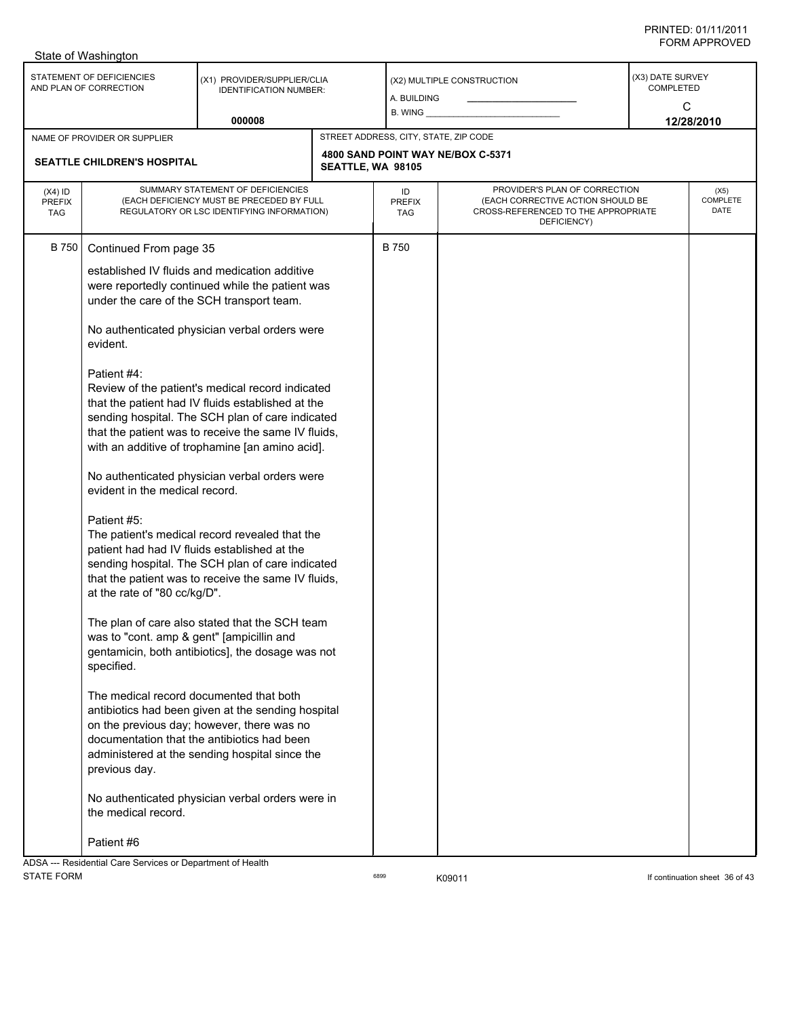|                                          | State of Washington                                                                                                                                                                                                                                                                                                           |                                                                                                                                                                                                                                                                                                                                                                                                                                                                                                                                                                                                                                                                                                                                                                                                                                                                                                                                                                                                                                                        |                   |                                       |                                                                                                                          |                                           |                          |  |
|------------------------------------------|-------------------------------------------------------------------------------------------------------------------------------------------------------------------------------------------------------------------------------------------------------------------------------------------------------------------------------|--------------------------------------------------------------------------------------------------------------------------------------------------------------------------------------------------------------------------------------------------------------------------------------------------------------------------------------------------------------------------------------------------------------------------------------------------------------------------------------------------------------------------------------------------------------------------------------------------------------------------------------------------------------------------------------------------------------------------------------------------------------------------------------------------------------------------------------------------------------------------------------------------------------------------------------------------------------------------------------------------------------------------------------------------------|-------------------|---------------------------------------|--------------------------------------------------------------------------------------------------------------------------|-------------------------------------------|--------------------------|--|
|                                          | STATEMENT OF DEFICIENCIES<br>AND PLAN OF CORRECTION                                                                                                                                                                                                                                                                           | (X1) PROVIDER/SUPPLIER/CLIA<br><b>IDENTIFICATION NUMBER:</b>                                                                                                                                                                                                                                                                                                                                                                                                                                                                                                                                                                                                                                                                                                                                                                                                                                                                                                                                                                                           |                   | A. BUILDING<br>$B.$ WING $\_\_$       | (X2) MULTIPLE CONSTRUCTION                                                                                               | (X3) DATE SURVEY<br><b>COMPLETED</b><br>C |                          |  |
|                                          |                                                                                                                                                                                                                                                                                                                               | 000008                                                                                                                                                                                                                                                                                                                                                                                                                                                                                                                                                                                                                                                                                                                                                                                                                                                                                                                                                                                                                                                 |                   |                                       |                                                                                                                          |                                           | 12/28/2010               |  |
|                                          | NAME OF PROVIDER OR SUPPLIER                                                                                                                                                                                                                                                                                                  |                                                                                                                                                                                                                                                                                                                                                                                                                                                                                                                                                                                                                                                                                                                                                                                                                                                                                                                                                                                                                                                        |                   | STREET ADDRESS, CITY, STATE, ZIP CODE |                                                                                                                          |                                           |                          |  |
|                                          | SEATTLE CHILDREN'S HOSPITAL                                                                                                                                                                                                                                                                                                   |                                                                                                                                                                                                                                                                                                                                                                                                                                                                                                                                                                                                                                                                                                                                                                                                                                                                                                                                                                                                                                                        | SEATTLE, WA 98105 |                                       | 4800 SAND POINT WAY NE/BOX C-5371                                                                                        |                                           |                          |  |
| $(X4)$ ID<br><b>PREFIX</b><br><b>TAG</b> |                                                                                                                                                                                                                                                                                                                               | SUMMARY STATEMENT OF DEFICIENCIES<br>(EACH DEFICIENCY MUST BE PRECEDED BY FULL<br>REGULATORY OR LSC IDENTIFYING INFORMATION)                                                                                                                                                                                                                                                                                                                                                                                                                                                                                                                                                                                                                                                                                                                                                                                                                                                                                                                           |                   | ID<br><b>PREFIX</b><br>TAG            | PROVIDER'S PLAN OF CORRECTION<br>(EACH CORRECTIVE ACTION SHOULD BE<br>CROSS-REFERENCED TO THE APPROPRIATE<br>DEFICIENCY) |                                           | (X5)<br>COMPLETE<br>DATE |  |
| <b>B</b> 750                             | Continued From page 35<br>under the care of the SCH transport team.<br>evident.<br>Patient #4:<br>evident in the medical record.<br>Patient #5:<br>at the rate of "80 cc/kg/D".<br>was to "cont. amp & gent" [ampicillin and<br>specified.<br>The medical record documented that both<br>previous day.<br>the medical record. | established IV fluids and medication additive<br>were reportedly continued while the patient was<br>No authenticated physician verbal orders were<br>Review of the patient's medical record indicated<br>that the patient had IV fluids established at the<br>sending hospital. The SCH plan of care indicated<br>that the patient was to receive the same IV fluids,<br>with an additive of trophamine [an amino acid].<br>No authenticated physician verbal orders were<br>The patient's medical record revealed that the<br>patient had had IV fluids established at the<br>sending hospital. The SCH plan of care indicated<br>that the patient was to receive the same IV fluids,<br>The plan of care also stated that the SCH team<br>gentamicin, both antibiotics], the dosage was not<br>antibiotics had been given at the sending hospital<br>on the previous day; however, there was no<br>documentation that the antibiotics had been<br>administered at the sending hospital since the<br>No authenticated physician verbal orders were in |                   | <b>B750</b>                           |                                                                                                                          |                                           |                          |  |
|                                          | Patient #6<br>ADSA --- Residential Care Services or Department of Health                                                                                                                                                                                                                                                      |                                                                                                                                                                                                                                                                                                                                                                                                                                                                                                                                                                                                                                                                                                                                                                                                                                                                                                                                                                                                                                                        |                   |                                       |                                                                                                                          |                                           |                          |  |

STATE FORM **EXAMPLE 19** CONTINUES TO RESPAND TO RESPAND THE STATE FORM **If continuation sheet 36 of 43**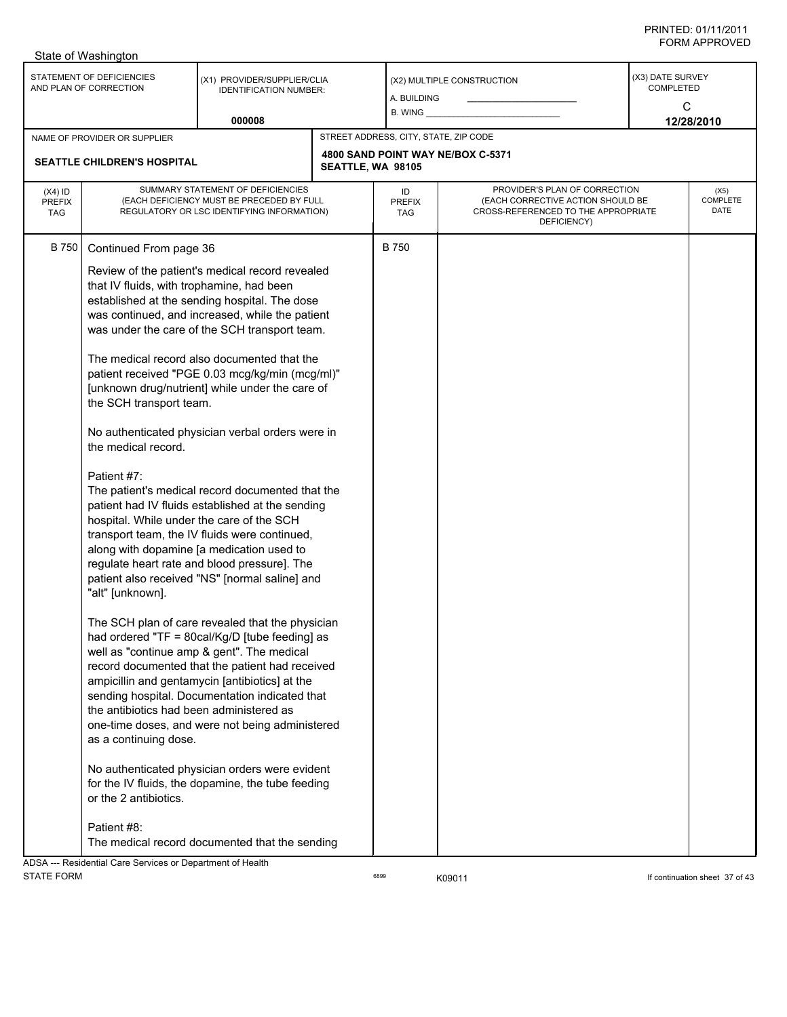|                                                                    | State of Washington                                                                                                                                                                                                                                                                                                |                                                                                                                                                                                                                                                                                                                                                                                                                                                                                                                                                                                                                                                                                                                                                                                                                                                                                                                                                                                                                                                                                                                                                                                                                                              |                   |                                                               |                                                                                                                          |                                                         |  |  |
|--------------------------------------------------------------------|--------------------------------------------------------------------------------------------------------------------------------------------------------------------------------------------------------------------------------------------------------------------------------------------------------------------|----------------------------------------------------------------------------------------------------------------------------------------------------------------------------------------------------------------------------------------------------------------------------------------------------------------------------------------------------------------------------------------------------------------------------------------------------------------------------------------------------------------------------------------------------------------------------------------------------------------------------------------------------------------------------------------------------------------------------------------------------------------------------------------------------------------------------------------------------------------------------------------------------------------------------------------------------------------------------------------------------------------------------------------------------------------------------------------------------------------------------------------------------------------------------------------------------------------------------------------------|-------------------|---------------------------------------------------------------|--------------------------------------------------------------------------------------------------------------------------|---------------------------------------------------------|--|--|
| STATEMENT OF DEFICIENCIES<br>AND PLAN OF CORRECTION                |                                                                                                                                                                                                                                                                                                                    | (X1) PROVIDER/SUPPLIER/CLIA<br><b>IDENTIFICATION NUMBER:</b>                                                                                                                                                                                                                                                                                                                                                                                                                                                                                                                                                                                                                                                                                                                                                                                                                                                                                                                                                                                                                                                                                                                                                                                 |                   | (X2) MULTIPLE CONSTRUCTION<br>A. BUILDING<br>$B.$ WING $\_\_$ |                                                                                                                          | (X3) DATE SURVEY<br><b>COMPLETED</b><br>C<br>12/28/2010 |  |  |
|                                                                    |                                                                                                                                                                                                                                                                                                                    | 000008                                                                                                                                                                                                                                                                                                                                                                                                                                                                                                                                                                                                                                                                                                                                                                                                                                                                                                                                                                                                                                                                                                                                                                                                                                       |                   |                                                               |                                                                                                                          |                                                         |  |  |
| NAME OF PROVIDER OR SUPPLIER<br><b>SEATTLE CHILDREN'S HOSPITAL</b> |                                                                                                                                                                                                                                                                                                                    |                                                                                                                                                                                                                                                                                                                                                                                                                                                                                                                                                                                                                                                                                                                                                                                                                                                                                                                                                                                                                                                                                                                                                                                                                                              | SEATTLE, WA 98105 | STREET ADDRESS, CITY, STATE, ZIP CODE                         | 4800 SAND POINT WAY NE/BOX C-5371                                                                                        |                                                         |  |  |
| $(X4)$ ID<br><b>PREFIX</b><br><b>TAG</b>                           | SUMMARY STATEMENT OF DEFICIENCIES<br>(EACH DEFICIENCY MUST BE PRECEDED BY FULL<br>REGULATORY OR LSC IDENTIFYING INFORMATION)                                                                                                                                                                                       |                                                                                                                                                                                                                                                                                                                                                                                                                                                                                                                                                                                                                                                                                                                                                                                                                                                                                                                                                                                                                                                                                                                                                                                                                                              |                   | ID<br><b>PREFIX</b><br>TAG                                    | PROVIDER'S PLAN OF CORRECTION<br>(EACH CORRECTIVE ACTION SHOULD BE<br>CROSS-REFERENCED TO THE APPROPRIATE<br>DEFICIENCY) | (X5)<br>COMPLETE<br>DATE                                |  |  |
| <b>B</b> 750                                                       | Continued From page 36<br>that IV fluids, with trophamine, had been<br>the SCH transport team.<br>the medical record.<br>Patient #7:<br>hospital. While under the care of the SCH<br>"alt" [unknown].<br>the antibiotics had been administered as<br>as a continuing dose.<br>or the 2 antibiotics.<br>Patient #8: | Review of the patient's medical record revealed<br>established at the sending hospital. The dose<br>was continued, and increased, while the patient<br>was under the care of the SCH transport team.<br>The medical record also documented that the<br>patient received "PGE 0.03 mcg/kg/min (mcg/ml)"<br>[unknown drug/nutrient] while under the care of<br>No authenticated physician verbal orders were in<br>The patient's medical record documented that the<br>patient had IV fluids established at the sending<br>transport team, the IV fluids were continued,<br>along with dopamine [a medication used to<br>regulate heart rate and blood pressure]. The<br>patient also received "NS" [normal saline] and<br>The SCH plan of care revealed that the physician<br>had ordered "TF = 80cal/Kg/D [tube feeding] as<br>well as "continue amp & gent". The medical<br>record documented that the patient had received<br>ampicillin and gentamycin [antibiotics] at the<br>sending hospital. Documentation indicated that<br>one-time doses, and were not being administered<br>No authenticated physician orders were evident<br>for the IV fluids, the dopamine, the tube feeding<br>The medical record documented that the sending |                   | <b>B750</b>                                                   |                                                                                                                          |                                                         |  |  |
|                                                                    | ADSA --- Residential Care Services or Department of Health                                                                                                                                                                                                                                                         |                                                                                                                                                                                                                                                                                                                                                                                                                                                                                                                                                                                                                                                                                                                                                                                                                                                                                                                                                                                                                                                                                                                                                                                                                                              |                   |                                                               |                                                                                                                          |                                                         |  |  |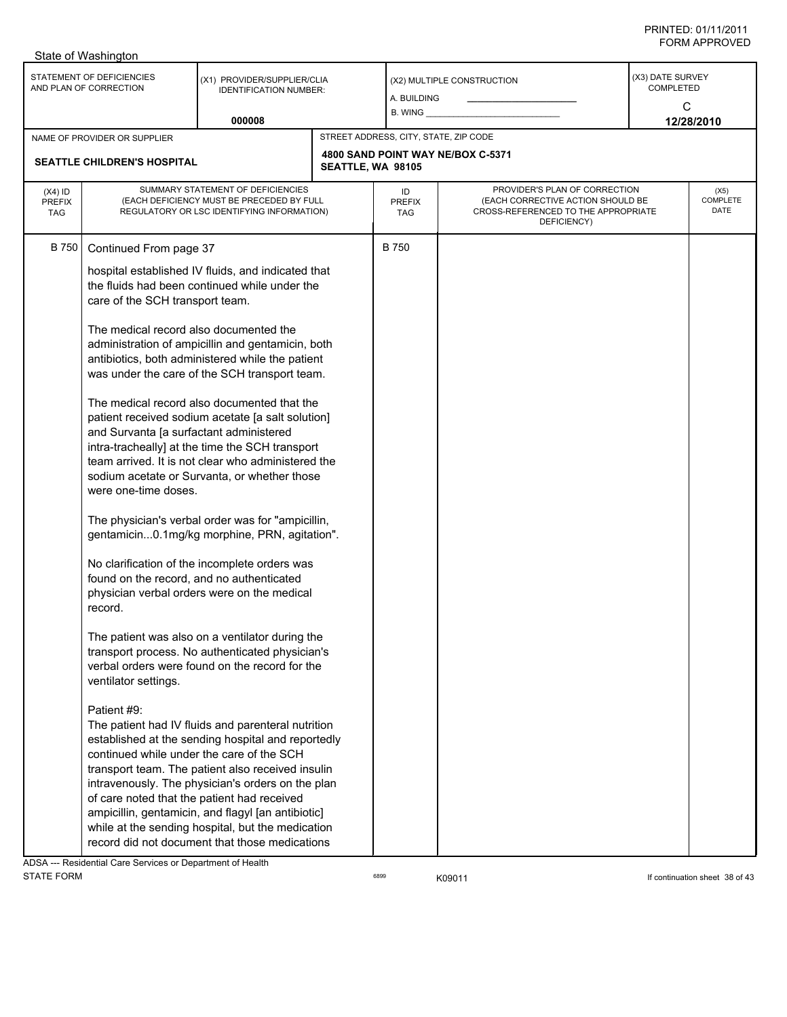| STATEMENT OF DEFICIENCIES<br>(X3) DATE SURVEY<br>(X1) PROVIDER/SUPPLIER/CLIA<br>(X2) MULTIPLE CONSTRUCTION<br>AND PLAN OF CORRECTION<br><b>COMPLETED</b><br><b>IDENTIFICATION NUMBER:</b><br>A. BUILDING<br>C<br>B. WING _<br>000008<br>12/28/2010<br>STREET ADDRESS, CITY, STATE, ZIP CODE<br>NAME OF PROVIDER OR SUPPLIER<br>4800 SAND POINT WAY NE/BOX C-5371<br><b>SEATTLE CHILDREN'S HOSPITAL</b><br>SEATTLE, WA 98105<br>PROVIDER'S PLAN OF CORRECTION<br>SUMMARY STATEMENT OF DEFICIENCIES<br>$(X4)$ ID<br>ID<br>(X5)<br><b>COMPLETE</b><br>(EACH DEFICIENCY MUST BE PRECEDED BY FULL<br>(EACH CORRECTIVE ACTION SHOULD BE<br><b>PREFIX</b><br><b>PREFIX</b><br>DATE<br>CROSS-REFERENCED TO THE APPROPRIATE<br>REGULATORY OR LSC IDENTIFYING INFORMATION)<br><b>TAG</b><br><b>TAG</b><br>DEFICIENCY)<br><b>B750</b><br>B 750<br>Continued From page 37<br>hospital established IV fluids, and indicated that<br>the fluids had been continued while under the<br>care of the SCH transport team.<br>The medical record also documented the<br>administration of ampicillin and gentamicin, both<br>antibiotics, both administered while the patient<br>was under the care of the SCH transport team.<br>The medical record also documented that the<br>patient received sodium acetate [a salt solution]<br>and Survanta [a surfactant administered<br>intra-tracheally] at the time the SCH transport<br>team arrived. It is not clear who administered the<br>sodium acetate or Survanta, or whether those<br>were one-time doses.<br>The physician's verbal order was for "ampicillin,<br>gentamicin0.1mg/kg morphine, PRN, agitation".<br>No clarification of the incomplete orders was<br>found on the record, and no authenticated<br>physician verbal orders were on the medical<br>record.<br>The patient was also on a ventilator during the<br>transport process. No authenticated physician's<br>verbal orders were found on the record for the<br>ventilator settings.<br>Patient #9:<br>The patient had IV fluids and parenteral nutrition |  | State of Washington                                                                                  |  |  |  |  |  |  |  |  |
|----------------------------------------------------------------------------------------------------------------------------------------------------------------------------------------------------------------------------------------------------------------------------------------------------------------------------------------------------------------------------------------------------------------------------------------------------------------------------------------------------------------------------------------------------------------------------------------------------------------------------------------------------------------------------------------------------------------------------------------------------------------------------------------------------------------------------------------------------------------------------------------------------------------------------------------------------------------------------------------------------------------------------------------------------------------------------------------------------------------------------------------------------------------------------------------------------------------------------------------------------------------------------------------------------------------------------------------------------------------------------------------------------------------------------------------------------------------------------------------------------------------------------------------------------------------------------------------------------------------------------------------------------------------------------------------------------------------------------------------------------------------------------------------------------------------------------------------------------------------------------------------------------------------------------------------------------------------------------------------------------------------------------------------------------------------|--|------------------------------------------------------------------------------------------------------|--|--|--|--|--|--|--|--|
|                                                                                                                                                                                                                                                                                                                                                                                                                                                                                                                                                                                                                                                                                                                                                                                                                                                                                                                                                                                                                                                                                                                                                                                                                                                                                                                                                                                                                                                                                                                                                                                                                                                                                                                                                                                                                                                                                                                                                                                                                                                                |  |                                                                                                      |  |  |  |  |  |  |  |  |
|                                                                                                                                                                                                                                                                                                                                                                                                                                                                                                                                                                                                                                                                                                                                                                                                                                                                                                                                                                                                                                                                                                                                                                                                                                                                                                                                                                                                                                                                                                                                                                                                                                                                                                                                                                                                                                                                                                                                                                                                                                                                |  |                                                                                                      |  |  |  |  |  |  |  |  |
|                                                                                                                                                                                                                                                                                                                                                                                                                                                                                                                                                                                                                                                                                                                                                                                                                                                                                                                                                                                                                                                                                                                                                                                                                                                                                                                                                                                                                                                                                                                                                                                                                                                                                                                                                                                                                                                                                                                                                                                                                                                                |  |                                                                                                      |  |  |  |  |  |  |  |  |
|                                                                                                                                                                                                                                                                                                                                                                                                                                                                                                                                                                                                                                                                                                                                                                                                                                                                                                                                                                                                                                                                                                                                                                                                                                                                                                                                                                                                                                                                                                                                                                                                                                                                                                                                                                                                                                                                                                                                                                                                                                                                |  |                                                                                                      |  |  |  |  |  |  |  |  |
| continued while under the care of the SCH<br>transport team. The patient also received insulin<br>intravenously. The physician's orders on the plan<br>of care noted that the patient had received<br>ampicillin, gentamicin, and flagyl [an antibiotic]<br>while at the sending hospital, but the medication                                                                                                                                                                                                                                                                                                                                                                                                                                                                                                                                                                                                                                                                                                                                                                                                                                                                                                                                                                                                                                                                                                                                                                                                                                                                                                                                                                                                                                                                                                                                                                                                                                                                                                                                                  |  | established at the sending hospital and reportedly<br>record did not document that those medications |  |  |  |  |  |  |  |  |

ADSA --- Residential Care Services or Department of Health<br>STATE FORM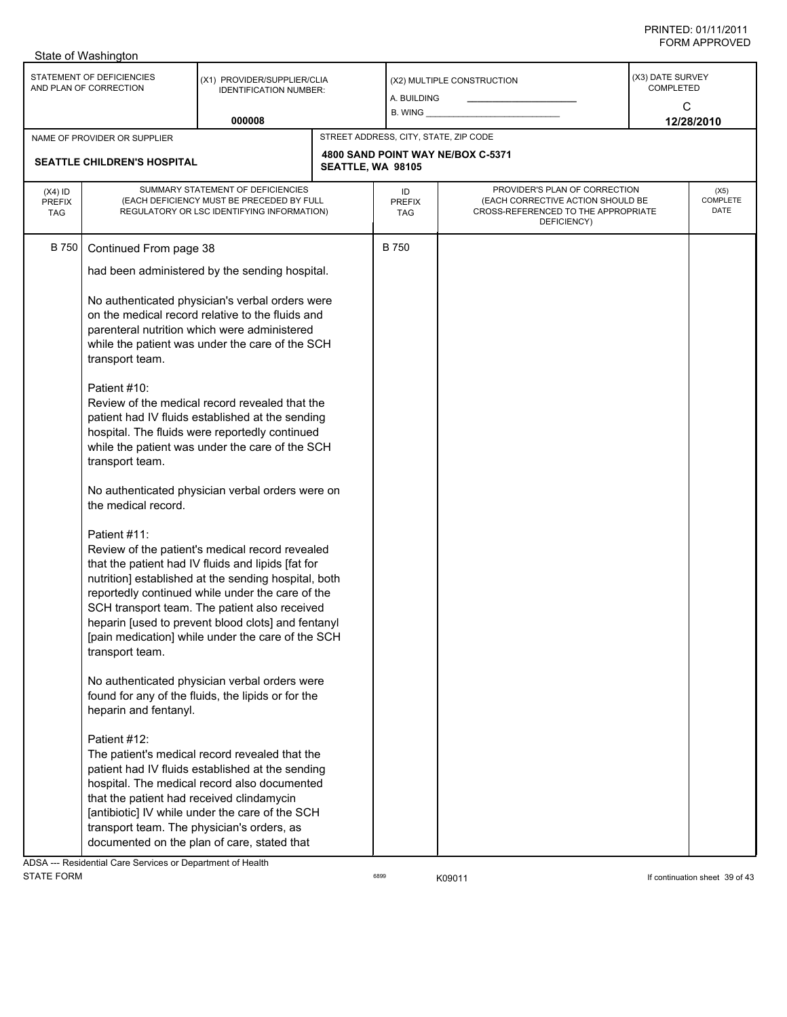|                                                             | State of Washington                                                                                                                                                                                                                                                                                                                                                                                                                                                                                                                              |                                                                                                                                                                                                                                                      |  |                                                                                                 |                                                                                                                          |                                           |                                 |  |  |  |
|-------------------------------------------------------------|--------------------------------------------------------------------------------------------------------------------------------------------------------------------------------------------------------------------------------------------------------------------------------------------------------------------------------------------------------------------------------------------------------------------------------------------------------------------------------------------------------------------------------------------------|------------------------------------------------------------------------------------------------------------------------------------------------------------------------------------------------------------------------------------------------------|--|-------------------------------------------------------------------------------------------------|--------------------------------------------------------------------------------------------------------------------------|-------------------------------------------|---------------------------------|--|--|--|
| STATEMENT OF DEFICIENCIES<br>AND PLAN OF CORRECTION         |                                                                                                                                                                                                                                                                                                                                                                                                                                                                                                                                                  | (X1) PROVIDER/SUPPLIER/CLIA<br><b>IDENTIFICATION NUMBER:</b><br>000008                                                                                                                                                                               |  | (X2) MULTIPLE CONSTRUCTION<br>A. BUILDING<br>B. WING __                                         |                                                                                                                          | (X3) DATE SURVEY<br><b>COMPLETED</b><br>C |                                 |  |  |  |
|                                                             |                                                                                                                                                                                                                                                                                                                                                                                                                                                                                                                                                  |                                                                                                                                                                                                                                                      |  | 12/28/2010                                                                                      |                                                                                                                          |                                           |                                 |  |  |  |
| NAME OF PROVIDER OR SUPPLIER<br>SEATTLE CHILDREN'S HOSPITAL |                                                                                                                                                                                                                                                                                                                                                                                                                                                                                                                                                  |                                                                                                                                                                                                                                                      |  | STREET ADDRESS, CITY, STATE, ZIP CODE<br>4800 SAND POINT WAY NE/BOX C-5371<br>SEATTLE, WA 98105 |                                                                                                                          |                                           |                                 |  |  |  |
| $(X4)$ ID<br><b>PREFIX</b><br><b>TAG</b>                    | SUMMARY STATEMENT OF DEFICIENCIES<br>(EACH DEFICIENCY MUST BE PRECEDED BY FULL<br>REGULATORY OR LSC IDENTIFYING INFORMATION)                                                                                                                                                                                                                                                                                                                                                                                                                     |                                                                                                                                                                                                                                                      |  | ID<br><b>PREFIX</b><br>TAG                                                                      | PROVIDER'S PLAN OF CORRECTION<br>(EACH CORRECTIVE ACTION SHOULD BE<br>CROSS-REFERENCED TO THE APPROPRIATE<br>DEFICIENCY) |                                           | (X5)<br><b>COMPLETE</b><br>DATE |  |  |  |
| B 750                                                       | Continued From page 38                                                                                                                                                                                                                                                                                                                                                                                                                                                                                                                           |                                                                                                                                                                                                                                                      |  | <b>B750</b>                                                                                     |                                                                                                                          |                                           |                                 |  |  |  |
|                                                             |                                                                                                                                                                                                                                                                                                                                                                                                                                                                                                                                                  | had been administered by the sending hospital.                                                                                                                                                                                                       |  |                                                                                                 |                                                                                                                          |                                           |                                 |  |  |  |
|                                                             | No authenticated physician's verbal orders were<br>on the medical record relative to the fluids and<br>parenteral nutrition which were administered<br>while the patient was under the care of the SCH<br>transport team.                                                                                                                                                                                                                                                                                                                        |                                                                                                                                                                                                                                                      |  |                                                                                                 |                                                                                                                          |                                           |                                 |  |  |  |
|                                                             | Patient #10:<br>Review of the medical record revealed that the<br>patient had IV fluids established at the sending<br>hospital. The fluids were reportedly continued<br>while the patient was under the care of the SCH<br>transport team.                                                                                                                                                                                                                                                                                                       |                                                                                                                                                                                                                                                      |  |                                                                                                 |                                                                                                                          |                                           |                                 |  |  |  |
|                                                             | No authenticated physician verbal orders were on<br>the medical record.                                                                                                                                                                                                                                                                                                                                                                                                                                                                          |                                                                                                                                                                                                                                                      |  |                                                                                                 |                                                                                                                          |                                           |                                 |  |  |  |
|                                                             | Patient #11:<br>Review of the patient's medical record revealed<br>that the patient had IV fluids and lipids [fat for<br>nutrition] established at the sending hospital, both<br>reportedly continued while under the care of the<br>SCH transport team. The patient also received<br>heparin [used to prevent blood clots] and fentanyl<br>[pain medication] while under the care of the SCH<br>transport team.<br>No authenticated physician verbal orders were<br>found for any of the fluids, the lipids or for the<br>heparin and fentanyl. |                                                                                                                                                                                                                                                      |  |                                                                                                 |                                                                                                                          |                                           |                                 |  |  |  |
|                                                             |                                                                                                                                                                                                                                                                                                                                                                                                                                                                                                                                                  |                                                                                                                                                                                                                                                      |  |                                                                                                 |                                                                                                                          |                                           |                                 |  |  |  |
|                                                             | Patient #12:<br>that the patient had received clindamycin<br>transport team. The physician's orders, as                                                                                                                                                                                                                                                                                                                                                                                                                                          | The patient's medical record revealed that the<br>patient had IV fluids established at the sending<br>hospital. The medical record also documented<br>[antibiotic] IV while under the care of the SCH<br>documented on the plan of care, stated that |  |                                                                                                 |                                                                                                                          |                                           |                                 |  |  |  |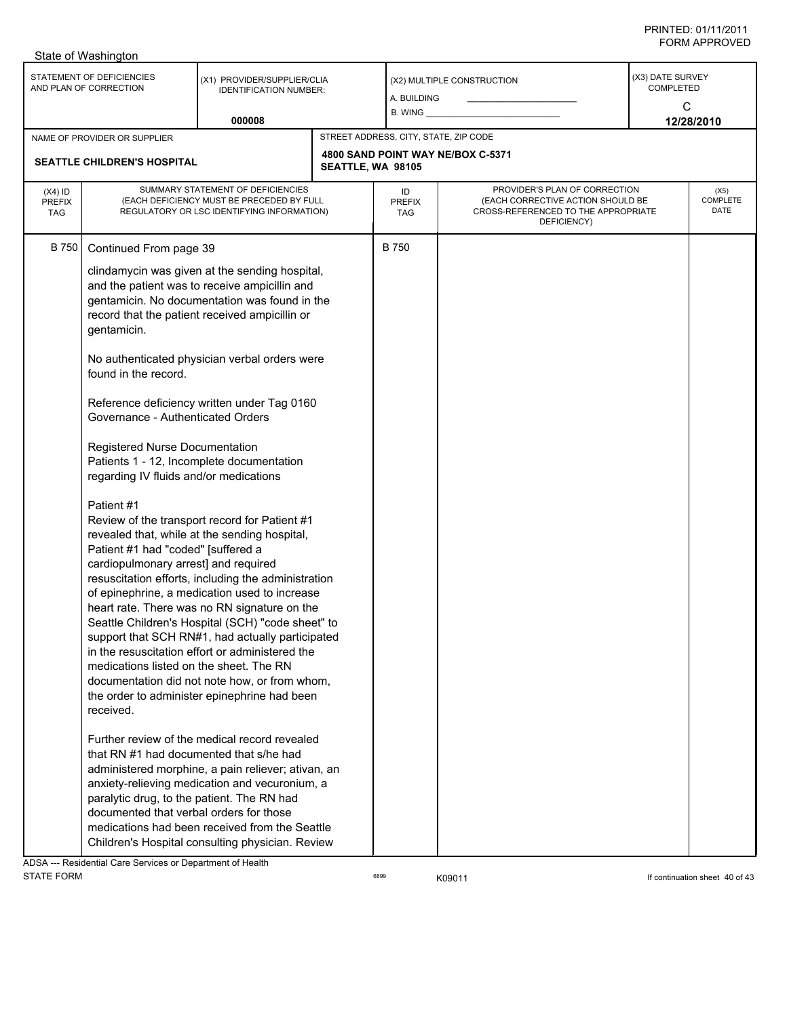| STATEMENT OF DEFICIENCIES<br>(X3) DATE SURVEY<br>(X1) PROVIDER/SUPPLIER/CLIA<br>(X2) MULTIPLE CONSTRUCTION<br>AND PLAN OF CORRECTION<br>COMPLETED<br><b>IDENTIFICATION NUMBER:</b><br>A. BUILDING<br>C<br>$B.$ WING $\_\_$<br>000008<br>12/28/2010<br>STREET ADDRESS, CITY, STATE, ZIP CODE<br>NAME OF PROVIDER OR SUPPLIER<br>4800 SAND POINT WAY NE/BOX C-5371<br><b>SEATTLE CHILDREN'S HOSPITAL</b><br>SEATTLE, WA 98105<br>SUMMARY STATEMENT OF DEFICIENCIES<br>PROVIDER'S PLAN OF CORRECTION<br>$(X4)$ ID<br>ID<br>(X5)<br>COMPLETE<br>(EACH DEFICIENCY MUST BE PRECEDED BY FULL<br>(EACH CORRECTIVE ACTION SHOULD BE<br><b>PREFIX</b><br><b>PREFIX</b><br>DATE<br>CROSS-REFERENCED TO THE APPROPRIATE<br>REGULATORY OR LSC IDENTIFYING INFORMATION)<br><b>TAG</b><br>TAG<br>DEFICIENCY)<br><b>B750</b><br>Continued From page 39<br>B 750<br>clindamycin was given at the sending hospital,<br>and the patient was to receive ampicillin and<br>gentamicin. No documentation was found in the<br>record that the patient received ampicillin or<br>gentamicin.<br>No authenticated physician verbal orders were<br>found in the record.<br>Reference deficiency written under Tag 0160<br>Governance - Authenticated Orders<br>Registered Nurse Documentation<br>Patients 1 - 12, Incomplete documentation<br>regarding IV fluids and/or medications<br>Patient #1<br>Review of the transport record for Patient #1<br>revealed that, while at the sending hospital,<br>Patient #1 had "coded" [suffered a<br>cardiopulmonary arrest] and required<br>resuscitation efforts, including the administration<br>of epinephrine, a medication used to increase<br>heart rate. There was no RN signature on the<br>Seattle Children's Hospital (SCH) "code sheet" to<br>support that SCH RN#1, had actually participated<br>in the resuscitation effort or administered the<br>medications listed on the sheet. The RN<br>documentation did not note how, or from whom,<br>the order to administer epinephrine had been<br>received.<br>Further review of the medical record revealed<br>that RN #1 had documented that s/he had<br>administered morphine, a pain reliever; ativan, an<br>anxiety-relieving medication and vecuronium, a<br>paralytic drug, to the patient. The RN had<br>documented that verbal orders for those<br>medications had been received from the Seattle | State of Washington |                                                  |  |  |  |  |  |  |  |
|--------------------------------------------------------------------------------------------------------------------------------------------------------------------------------------------------------------------------------------------------------------------------------------------------------------------------------------------------------------------------------------------------------------------------------------------------------------------------------------------------------------------------------------------------------------------------------------------------------------------------------------------------------------------------------------------------------------------------------------------------------------------------------------------------------------------------------------------------------------------------------------------------------------------------------------------------------------------------------------------------------------------------------------------------------------------------------------------------------------------------------------------------------------------------------------------------------------------------------------------------------------------------------------------------------------------------------------------------------------------------------------------------------------------------------------------------------------------------------------------------------------------------------------------------------------------------------------------------------------------------------------------------------------------------------------------------------------------------------------------------------------------------------------------------------------------------------------------------------------------------------------------------------------------------------------------------------------------------------------------------------------------------------------------------------------------------------------------------------------------------------------------------------------------------------------------------------------------------------------------------------------------------------------------------------------------------------------------------------------------------------------|---------------------|--------------------------------------------------|--|--|--|--|--|--|--|
|                                                                                                                                                                                                                                                                                                                                                                                                                                                                                                                                                                                                                                                                                                                                                                                                                                                                                                                                                                                                                                                                                                                                                                                                                                                                                                                                                                                                                                                                                                                                                                                                                                                                                                                                                                                                                                                                                                                                                                                                                                                                                                                                                                                                                                                                                                                                                                                      |                     |                                                  |  |  |  |  |  |  |  |
|                                                                                                                                                                                                                                                                                                                                                                                                                                                                                                                                                                                                                                                                                                                                                                                                                                                                                                                                                                                                                                                                                                                                                                                                                                                                                                                                                                                                                                                                                                                                                                                                                                                                                                                                                                                                                                                                                                                                                                                                                                                                                                                                                                                                                                                                                                                                                                                      |                     |                                                  |  |  |  |  |  |  |  |
|                                                                                                                                                                                                                                                                                                                                                                                                                                                                                                                                                                                                                                                                                                                                                                                                                                                                                                                                                                                                                                                                                                                                                                                                                                                                                                                                                                                                                                                                                                                                                                                                                                                                                                                                                                                                                                                                                                                                                                                                                                                                                                                                                                                                                                                                                                                                                                                      |                     |                                                  |  |  |  |  |  |  |  |
|                                                                                                                                                                                                                                                                                                                                                                                                                                                                                                                                                                                                                                                                                                                                                                                                                                                                                                                                                                                                                                                                                                                                                                                                                                                                                                                                                                                                                                                                                                                                                                                                                                                                                                                                                                                                                                                                                                                                                                                                                                                                                                                                                                                                                                                                                                                                                                                      |                     |                                                  |  |  |  |  |  |  |  |
|                                                                                                                                                                                                                                                                                                                                                                                                                                                                                                                                                                                                                                                                                                                                                                                                                                                                                                                                                                                                                                                                                                                                                                                                                                                                                                                                                                                                                                                                                                                                                                                                                                                                                                                                                                                                                                                                                                                                                                                                                                                                                                                                                                                                                                                                                                                                                                                      |                     | Children's Hospital consulting physician. Review |  |  |  |  |  |  |  |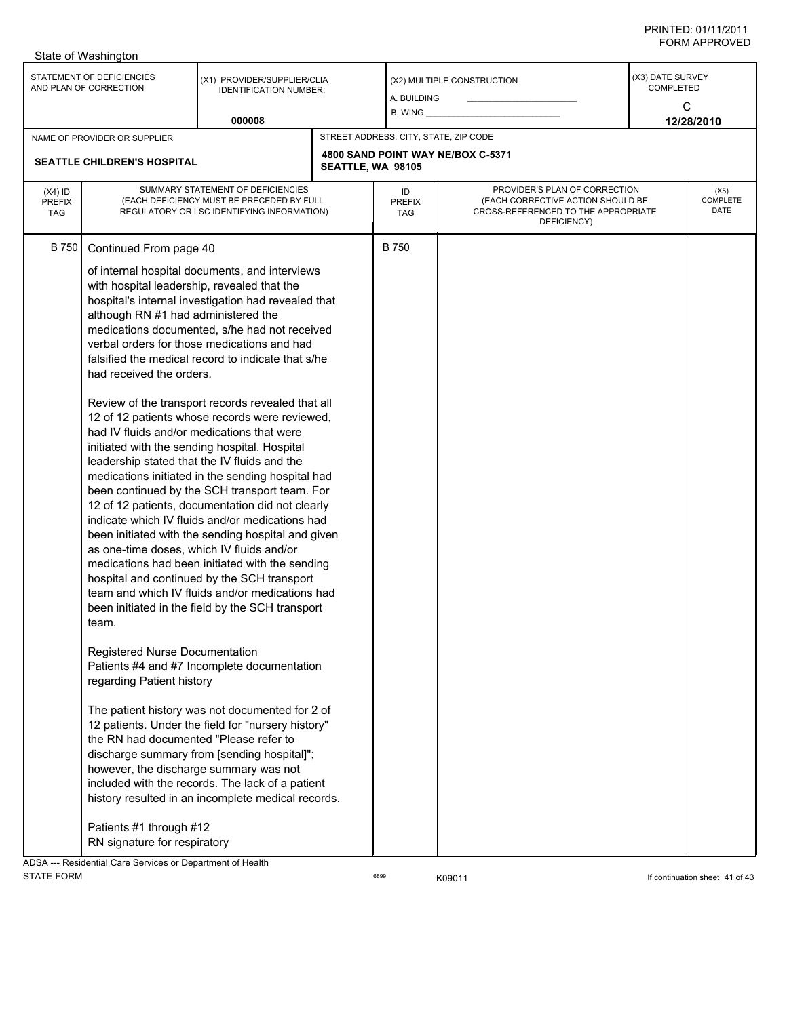| State of Washington                                 |                                                                                                                                                                                                                                                                                                                                                                                                                                                                           |                                                                                                                                                                                                                                                                                                                                                                                                                                                                                                                                                                                                                                                                                                                                                                                                                                                                                                                                                                                                                                                                                                                                                                                                                  |                   |                                                      |                                                                                                                          |                                    |                                 |  |  |
|-----------------------------------------------------|---------------------------------------------------------------------------------------------------------------------------------------------------------------------------------------------------------------------------------------------------------------------------------------------------------------------------------------------------------------------------------------------------------------------------------------------------------------------------|------------------------------------------------------------------------------------------------------------------------------------------------------------------------------------------------------------------------------------------------------------------------------------------------------------------------------------------------------------------------------------------------------------------------------------------------------------------------------------------------------------------------------------------------------------------------------------------------------------------------------------------------------------------------------------------------------------------------------------------------------------------------------------------------------------------------------------------------------------------------------------------------------------------------------------------------------------------------------------------------------------------------------------------------------------------------------------------------------------------------------------------------------------------------------------------------------------------|-------------------|------------------------------------------------------|--------------------------------------------------------------------------------------------------------------------------|------------------------------------|---------------------------------|--|--|
| STATEMENT OF DEFICIENCIES<br>AND PLAN OF CORRECTION |                                                                                                                                                                                                                                                                                                                                                                                                                                                                           | (X1) PROVIDER/SUPPLIER/CLIA<br><b>IDENTIFICATION NUMBER:</b>                                                                                                                                                                                                                                                                                                                                                                                                                                                                                                                                                                                                                                                                                                                                                                                                                                                                                                                                                                                                                                                                                                                                                     |                   | (X2) MULTIPLE CONSTRUCTION<br>A. BUILDING<br>B. WING |                                                                                                                          | (X3) DATE SURVEY<br>COMPLETED<br>C |                                 |  |  |
|                                                     |                                                                                                                                                                                                                                                                                                                                                                                                                                                                           | 000008                                                                                                                                                                                                                                                                                                                                                                                                                                                                                                                                                                                                                                                                                                                                                                                                                                                                                                                                                                                                                                                                                                                                                                                                           |                   |                                                      |                                                                                                                          |                                    | 12/28/2010                      |  |  |
|                                                     | NAME OF PROVIDER OR SUPPLIER                                                                                                                                                                                                                                                                                                                                                                                                                                              |                                                                                                                                                                                                                                                                                                                                                                                                                                                                                                                                                                                                                                                                                                                                                                                                                                                                                                                                                                                                                                                                                                                                                                                                                  |                   | STREET ADDRESS, CITY, STATE, ZIP CODE                |                                                                                                                          |                                    |                                 |  |  |
| <b>SEATTLE CHILDREN'S HOSPITAL</b>                  |                                                                                                                                                                                                                                                                                                                                                                                                                                                                           |                                                                                                                                                                                                                                                                                                                                                                                                                                                                                                                                                                                                                                                                                                                                                                                                                                                                                                                                                                                                                                                                                                                                                                                                                  | SEATTLE, WA 98105 |                                                      | 4800 SAND POINT WAY NE/BOX C-5371                                                                                        |                                    |                                 |  |  |
| $(X4)$ ID<br><b>PREFIX</b><br><b>TAG</b>            | SUMMARY STATEMENT OF DEFICIENCIES<br>(EACH DEFICIENCY MUST BE PRECEDED BY FULL<br>REGULATORY OR LSC IDENTIFYING INFORMATION)                                                                                                                                                                                                                                                                                                                                              |                                                                                                                                                                                                                                                                                                                                                                                                                                                                                                                                                                                                                                                                                                                                                                                                                                                                                                                                                                                                                                                                                                                                                                                                                  |                   | ID<br><b>PREFIX</b><br>TAG                           | PROVIDER'S PLAN OF CORRECTION<br>(EACH CORRECTIVE ACTION SHOULD BE<br>CROSS-REFERENCED TO THE APPROPRIATE<br>DEFICIENCY) |                                    | (X5)<br><b>COMPLETE</b><br>DATE |  |  |
| B 750                                               | Continued From page 40<br>with hospital leadership, revealed that the<br>although RN #1 had administered the<br>had received the orders.<br>had IV fluids and/or medications that were<br>leadership stated that the IV fluids and the<br>as one-time doses, which IV fluids and/or<br>team<br>Registered Nurse Documentation<br>regarding Patient history<br>the RN had documented "Please refer to<br>however, the discharge summary was not<br>Patients #1 through #12 | of internal hospital documents, and interviews<br>hospital's internal investigation had revealed that<br>medications documented, s/he had not received<br>verbal orders for those medications and had<br>falsified the medical record to indicate that s/he<br>Review of the transport records revealed that all<br>12 of 12 patients whose records were reviewed,<br>initiated with the sending hospital. Hospital<br>medications initiated in the sending hospital had<br>been continued by the SCH transport team. For<br>12 of 12 patients, documentation did not clearly<br>indicate which IV fluids and/or medications had<br>been initiated with the sending hospital and given<br>medications had been initiated with the sending<br>hospital and continued by the SCH transport<br>team and which IV fluids and/or medications had<br>been initiated in the field by the SCH transport<br>Patients #4 and #7 Incomplete documentation<br>The patient history was not documented for 2 of<br>12 patients. Under the field for "nursery history"<br>discharge summary from [sending hospital]";<br>included with the records. The lack of a patient<br>history resulted in an incomplete medical records. |                   | <b>B750</b>                                          |                                                                                                                          |                                    |                                 |  |  |
| $\overline{N}$<br>D <sub>o</sub>                    | RN signature for respiratory<br>ntial Caro Comicoso er Denartmant of Lloalth                                                                                                                                                                                                                                                                                                                                                                                              |                                                                                                                                                                                                                                                                                                                                                                                                                                                                                                                                                                                                                                                                                                                                                                                                                                                                                                                                                                                                                                                                                                                                                                                                                  |                   |                                                      |                                                                                                                          |                                    |                                 |  |  |

ADSA --- Residential Care Services or Department of Health STATE FORM **EXAMPLE 12 CONSUMED SEGGIARY CONSUMING SEGGIARY CONTINUES** 6899 K09011 **If continuation sheet 41 of 43**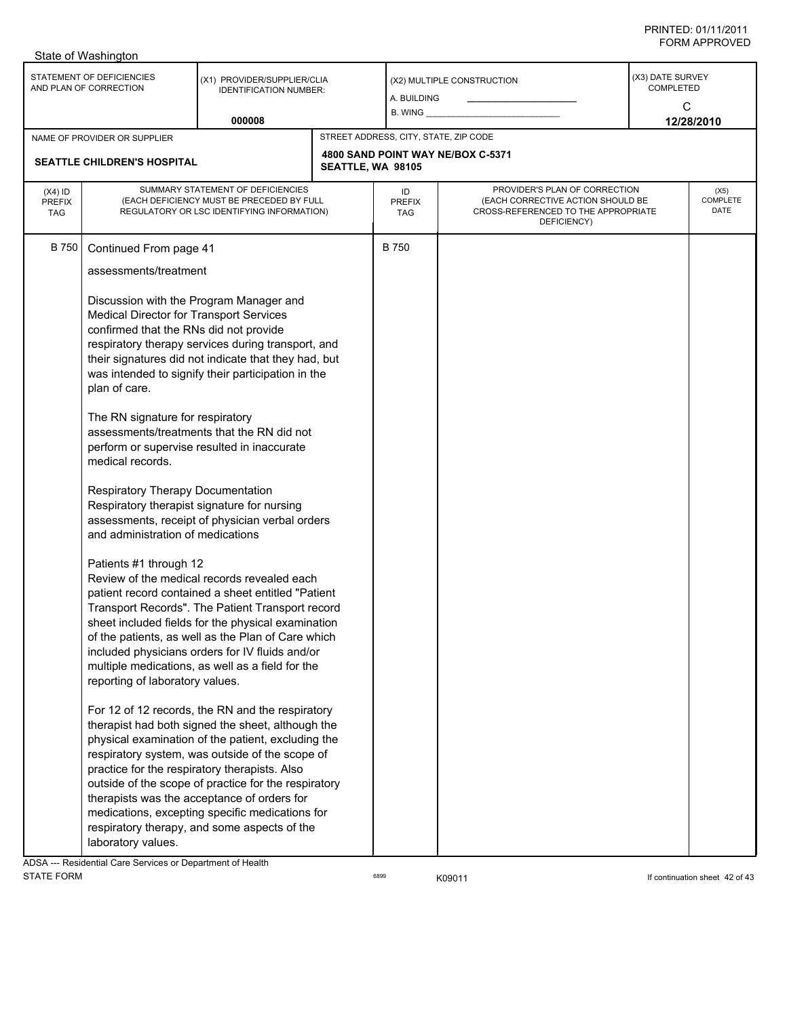|                                                                                                                     | State of Washington                                                                                                                                                                                                                                                                                                                                                                                                                                                                                                                                                                                                                                                                                                                                                                                                                                                                                                                                                                                                                                                                                                                                                                                                                                                                                                                                                                                                                                                                                                                                                                                                                                                                                          |        |  |                                       |                                                                                                                          |                                                         |  |  |  |
|---------------------------------------------------------------------------------------------------------------------|--------------------------------------------------------------------------------------------------------------------------------------------------------------------------------------------------------------------------------------------------------------------------------------------------------------------------------------------------------------------------------------------------------------------------------------------------------------------------------------------------------------------------------------------------------------------------------------------------------------------------------------------------------------------------------------------------------------------------------------------------------------------------------------------------------------------------------------------------------------------------------------------------------------------------------------------------------------------------------------------------------------------------------------------------------------------------------------------------------------------------------------------------------------------------------------------------------------------------------------------------------------------------------------------------------------------------------------------------------------------------------------------------------------------------------------------------------------------------------------------------------------------------------------------------------------------------------------------------------------------------------------------------------------------------------------------------------------|--------|--|---------------------------------------|--------------------------------------------------------------------------------------------------------------------------|---------------------------------------------------------|--|--|--|
| STATEMENT OF DEFICIENCIES<br>(X1) PROVIDER/SUPPLIER/CLIA<br>AND PLAN OF CORRECTION<br><b>IDENTIFICATION NUMBER:</b> |                                                                                                                                                                                                                                                                                                                                                                                                                                                                                                                                                                                                                                                                                                                                                                                                                                                                                                                                                                                                                                                                                                                                                                                                                                                                                                                                                                                                                                                                                                                                                                                                                                                                                                              |        |  | A. BUILDING<br>$B.$ WING $\_\_$       | (X2) MULTIPLE CONSTRUCTION                                                                                               | (X3) DATE SURVEY<br><b>COMPLETED</b><br>C<br>12/28/2010 |  |  |  |
|                                                                                                                     |                                                                                                                                                                                                                                                                                                                                                                                                                                                                                                                                                                                                                                                                                                                                                                                                                                                                                                                                                                                                                                                                                                                                                                                                                                                                                                                                                                                                                                                                                                                                                                                                                                                                                                              | 000008 |  |                                       |                                                                                                                          |                                                         |  |  |  |
|                                                                                                                     | NAME OF PROVIDER OR SUPPLIER                                                                                                                                                                                                                                                                                                                                                                                                                                                                                                                                                                                                                                                                                                                                                                                                                                                                                                                                                                                                                                                                                                                                                                                                                                                                                                                                                                                                                                                                                                                                                                                                                                                                                 |        |  | STREET ADDRESS, CITY, STATE, ZIP CODE | 4800 SAND POINT WAY NE/BOX C-5371                                                                                        |                                                         |  |  |  |
| $(X4)$ ID<br><b>PREFIX</b><br><b>TAG</b>                                                                            | SUMMARY STATEMENT OF DEFICIENCIES<br>(EACH DEFICIENCY MUST BE PRECEDED BY FULL<br>REGULATORY OR LSC IDENTIFYING INFORMATION)                                                                                                                                                                                                                                                                                                                                                                                                                                                                                                                                                                                                                                                                                                                                                                                                                                                                                                                                                                                                                                                                                                                                                                                                                                                                                                                                                                                                                                                                                                                                                                                 |        |  | ID<br><b>PREFIX</b><br>TAG            | PROVIDER'S PLAN OF CORRECTION<br>(EACH CORRECTIVE ACTION SHOULD BE<br>CROSS-REFERENCED TO THE APPROPRIATE<br>DEFICIENCY) | (X5)<br>COMPLETE<br>DATE                                |  |  |  |
| <b>B750</b>                                                                                                         | <b>SEATTLE CHILDREN'S HOSPITAL</b><br>SEATTLE, WA 98105<br>Continued From page 41<br>assessments/treatment<br>Discussion with the Program Manager and<br>Medical Director for Transport Services<br>confirmed that the RNs did not provide<br>respiratory therapy services during transport, and<br>their signatures did not indicate that they had, but<br>was intended to signify their participation in the<br>plan of care.<br>The RN signature for respiratory<br>assessments/treatments that the RN did not<br>perform or supervise resulted in inaccurate<br>medical records.<br>Respiratory Therapy Documentation<br>Respiratory therapist signature for nursing<br>assessments, receipt of physician verbal orders<br>and administration of medications<br>Patients #1 through 12<br>Review of the medical records revealed each<br>patient record contained a sheet entitled "Patient<br>Transport Records". The Patient Transport record<br>sheet included fields for the physical examination<br>of the patients, as well as the Plan of Care which<br>included physicians orders for IV fluids and/or<br>multiple medications, as well as a field for the<br>reporting of laboratory values.<br>For 12 of 12 records, the RN and the respiratory<br>therapist had both signed the sheet, although the<br>physical examination of the patient, excluding the<br>respiratory system, was outside of the scope of<br>practice for the respiratory therapists. Also<br>outside of the scope of practice for the respiratory<br>therapists was the acceptance of orders for<br>medications, excepting specific medications for<br>respiratory therapy, and some aspects of the<br>laboratory values. |        |  | <b>B750</b>                           |                                                                                                                          |                                                         |  |  |  |
|                                                                                                                     |                                                                                                                                                                                                                                                                                                                                                                                                                                                                                                                                                                                                                                                                                                                                                                                                                                                                                                                                                                                                                                                                                                                                                                                                                                                                                                                                                                                                                                                                                                                                                                                                                                                                                                              |        |  |                                       |                                                                                                                          |                                                         |  |  |  |